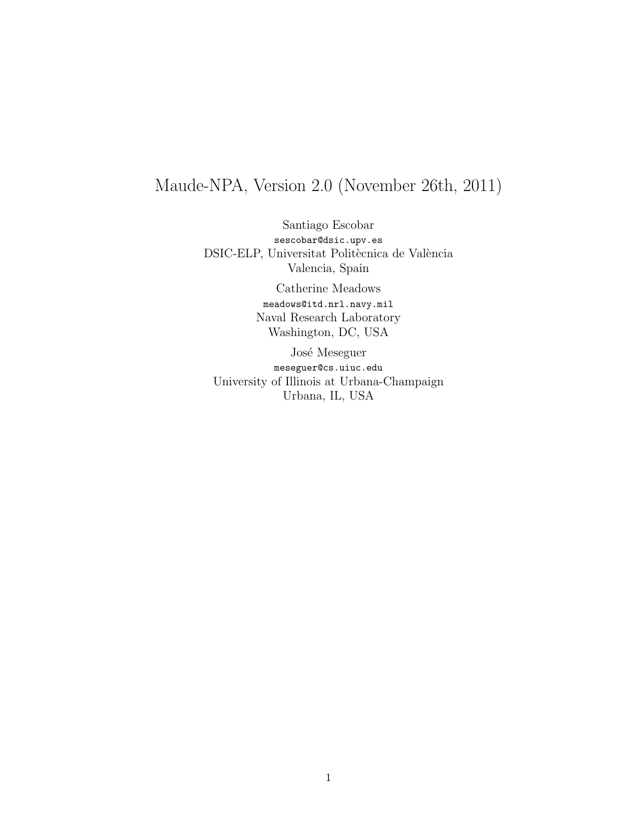# Maude-NPA, Version 2.0 (November 26th, 2011)

Santiago Escobar sescobar@dsic.upv.es DSIC-ELP, Universitat Politècnica de València Valencia, Spain

> Catherine Meadows meadows@itd.nrl.navy.mil Naval Research Laboratory Washington, DC, USA

José Meseguer meseguer@cs.uiuc.edu University of Illinois at Urbana-Champaign Urbana, IL, USA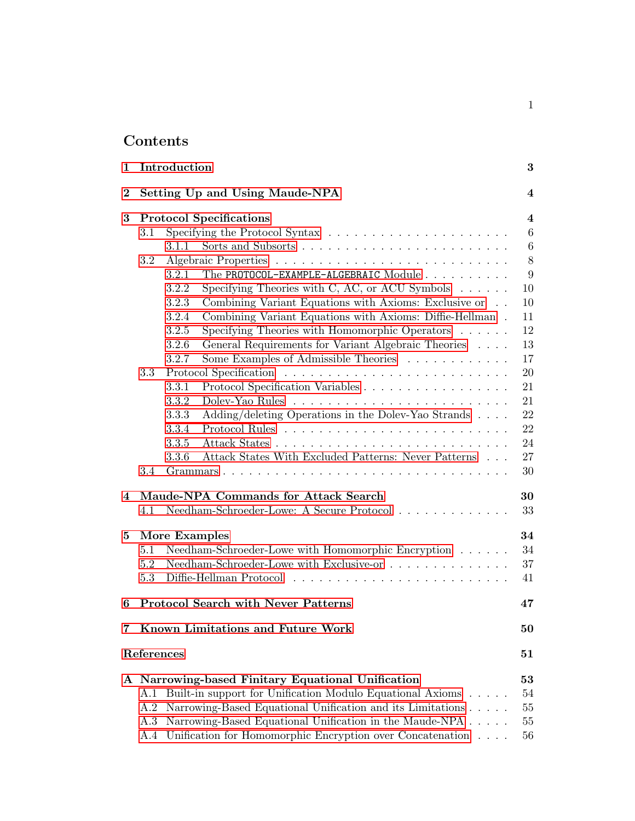## Contents

| 1        |            | Introduction                                                                 | 3                       |
|----------|------------|------------------------------------------------------------------------------|-------------------------|
| $\bf{2}$ |            | Setting Up and Using Maude-NPA                                               | $\boldsymbol{4}$        |
| 3        |            | <b>Protocol Specifications</b>                                               | $\overline{\mathbf{4}}$ |
|          | 3.1        |                                                                              | $\,6\,$                 |
|          |            | 3.1.1                                                                        | 6                       |
|          | 3.2        |                                                                              | 8                       |
|          |            | The PROTOCOL-EXAMPLE-ALGEBRAIC Module<br>3.2.1                               | 9                       |
|          |            | 3.2.2<br>Specifying Theories with C, AC, or ACU Symbols $\ldots \ldots$      | 10                      |
|          |            | 3.2.3<br>Combining Variant Equations with Axioms: Exclusive or               | 10                      |
|          |            | Combining Variant Equations with Axioms: Diffie-Hellman.<br>3.2.4            | 11                      |
|          |            | Specifying Theories with Homomorphic Operators<br>3.2.5                      | 12                      |
|          |            | General Requirements for Variant Algebraic Theories<br>3.2.6                 | 13                      |
|          |            | Some Examples of Admissible Theories<br>3.2.7                                | 17                      |
|          | 3.3        |                                                                              | 20                      |
|          |            | Protocol Specification Variables<br>3.3.1                                    | 21                      |
|          |            | 3.3.2                                                                        | 21                      |
|          |            | 3.3.3<br>Adding/deleting Operations in the Dolev-Yao Strands $\ldots$ .      | 22                      |
|          |            | 3.3.4                                                                        | 22                      |
|          |            | 3.3.5                                                                        | 24                      |
|          |            | Attack States With Excluded Patterns: Never Patterns $\dots$<br>3.3.6        | 27                      |
|          | 3.4        |                                                                              | 30                      |
| 4        |            | Maude-NPA Commands for Attack Search                                         | 30                      |
|          | 4.1        | Needham-Schroeder-Lowe: A Secure Protocol                                    | 33                      |
| 5        |            | More Examples                                                                | 34                      |
|          | 5.1        | Needham-Schroeder-Lowe with Homomorphic Encryption                           | 34                      |
|          | 5.2        | Needham-Schroeder-Lowe with Exclusive-or                                     | 37                      |
|          | 5.3        |                                                                              | 41                      |
| 6        |            | <b>Protocol Search with Never Patterns</b>                                   | 47                      |
|          |            |                                                                              |                         |
| 7        |            | Known Limitations and Future Work                                            | 50                      |
|          | References |                                                                              | 51                      |
|          |            | A Narrowing-based Finitary Equational Unification                            | 53                      |
|          | A.1        | Built-in support for Unification Modulo Equational Axioms                    | 54                      |
|          | A.2        | Narrowing-Based Equational Unification and its Limitations                   | 55                      |
|          | A.3        | Narrowing-Based Equational Unification in the Maude-NPA $.\;.\;.\;.\;.\;.\;$ | 55                      |
|          | A.4        | Unification for Homomorphic Encryption over Concatenation                    | 56                      |

1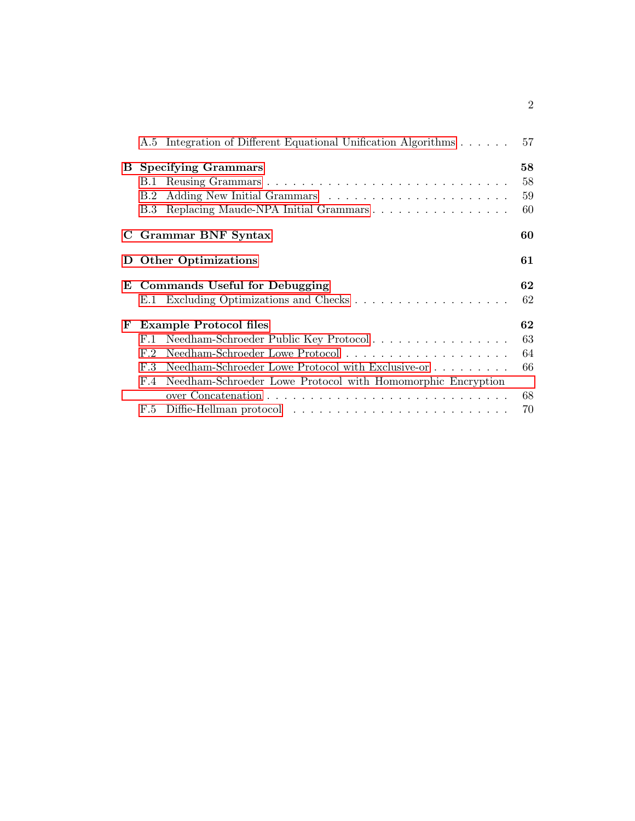|          |       | A.5 Integration of Different Equational Unification Algorithms | 57 |
|----------|-------|----------------------------------------------------------------|----|
| $\bf{B}$ |       | <b>Specifying Grammars</b>                                     | 58 |
|          | B.1 - |                                                                | 58 |
|          | B.2   |                                                                | 59 |
|          | B.3   | Replacing Maude-NPA Initial Grammars                           | 60 |
| C –      |       | <b>Grammar BNF Syntax</b>                                      | 60 |
|          |       |                                                                | 61 |
|          |       | <b>Other Optimizations</b>                                     |    |
| D<br>Е   |       | Commands Useful for Debugging                                  | 62 |
|          |       |                                                                | 62 |
|          |       | <b>Example Protocol files</b>                                  | 62 |
| F        | F.1   | Needham-Schroeder Public Key Protocol                          | 63 |
|          | F 2   |                                                                | 64 |
|          | F.3   | Needham-Schroeder Lowe Protocol with Exclusive-or              | 66 |
|          | F.4   | Needham-Schroeder Lowe Protocol with Homomorphic Encryption    |    |
|          |       |                                                                | 68 |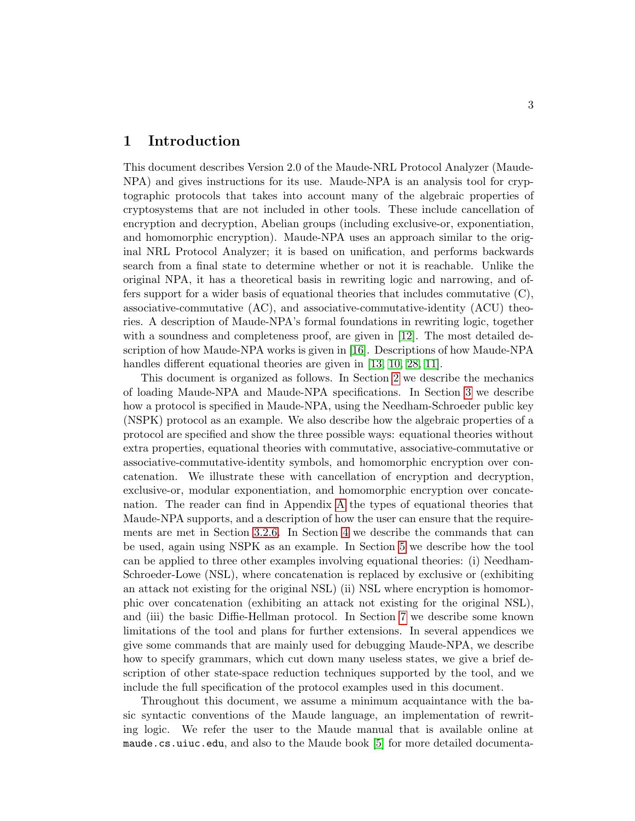## <span id="page-3-0"></span>1 Introduction

This document describes Version 2.0 of the Maude-NRL Protocol Analyzer (Maude-NPA) and gives instructions for its use. Maude-NPA is an analysis tool for cryptographic protocols that takes into account many of the algebraic properties of cryptosystems that are not included in other tools. These include cancellation of encryption and decryption, Abelian groups (including exclusive-or, exponentiation, and homomorphic encryption). Maude-NPA uses an approach similar to the original NRL Protocol Analyzer; it is based on unification, and performs backwards search from a final state to determine whether or not it is reachable. Unlike the original NPA, it has a theoretical basis in rewriting logic and narrowing, and offers support for a wider basis of equational theories that includes commutative (C), associative-commutative (AC), and associative-commutative-identity (ACU) theories. A description of Maude-NPA's formal foundations in rewriting logic, together with a soundness and completeness proof, are given in [\[12\]](#page-52-0). The most detailed description of how Maude-NPA works is given in [\[16\]](#page-52-1). Descriptions of how Maude-NPA handles different equational theories are given in [\[13,](#page-52-2) [10,](#page-51-0) [28,](#page-53-1) [11\]](#page-52-3).

This document is organized as follows. In Section [2](#page-4-0) we describe the mechanics of loading Maude-NPA and Maude-NPA specifications. In Section [3](#page-4-1) we describe how a protocol is specified in Maude-NPA, using the Needham-Schroeder public key (NSPK) protocol as an example. We also describe how the algebraic properties of a protocol are specified and show the three possible ways: equational theories without extra properties, equational theories with commutative, associative-commutative or associative-commutative-identity symbols, and homomorphic encryption over concatenation. We illustrate these with cancellation of encryption and decryption, exclusive-or, modular exponentiation, and homomorphic encryption over concatenation. The reader can find in Appendix [A](#page-53-0) the types of equational theories that Maude-NPA supports, and a description of how the user can ensure that the requirements are met in Section [3.2.6.](#page-13-0) In Section [4](#page-30-1) we describe the commands that can be used, again using NSPK as an example. In Section [5](#page-34-0) we describe how the tool can be applied to three other examples involving equational theories: (i) Needham-Schroeder-Lowe (NSL), where concatenation is replaced by exclusive or (exhibiting an attack not existing for the original NSL) (ii) NSL where encryption is homomorphic over concatenation (exhibiting an attack not existing for the original NSL), and (iii) the basic Diffie-Hellman protocol. In Section [7](#page-50-0) we describe some known limitations of the tool and plans for further extensions. In several appendices we give some commands that are mainly used for debugging Maude-NPA, we describe how to specify grammars, which cut down many useless states, we give a brief description of other state-space reduction techniques supported by the tool, and we include the full specification of the protocol examples used in this document.

Throughout this document, we assume a minimum acquaintance with the basic syntactic conventions of the Maude language, an implementation of rewriting logic. We refer the user to the Maude manual that is available online at maude.cs.uiuc.edu, and also to the Maude book [\[5\]](#page-51-1) for more detailed documenta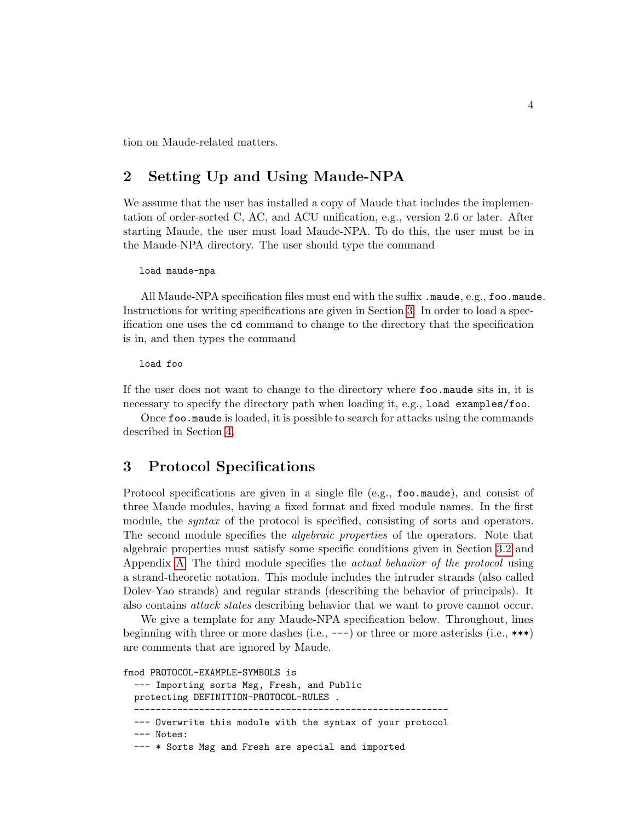tion on Maude-related matters.

## <span id="page-4-0"></span>2 Setting Up and Using Maude-NPA

We assume that the user has installed a copy of Maude that includes the implementation of order-sorted C, AC, and ACU unification, e.g., version 2.6 or later. After starting Maude, the user must load Maude-NPA. To do this, the user must be in the Maude-NPA directory. The user should type the command

#### load maude-npa

All Maude-NPA specification files must end with the suffix .maude, e.g., foo.maude. Instructions for writing specifications are given in Section [3.](#page-4-1) In order to load a specification one uses the cd command to change to the directory that the specification is in, and then types the command

#### load foo

If the user does not want to change to the directory where foo.maude sits in, it is necessary to specify the directory path when loading it, e.g., load examples/foo.

Once foo.maude is loaded, it is possible to search for attacks using the commands described in Section [4.](#page-30-1)

## <span id="page-4-1"></span>3 Protocol Specifications

Protocol specifications are given in a single file (e.g., foo.maude), and consist of three Maude modules, having a fixed format and fixed module names. In the first module, the *syntax* of the protocol is specified, consisting of sorts and operators. The second module specifies the algebraic properties of the operators. Note that algebraic properties must satisfy some specific conditions given in Section [3.2](#page-8-0) and Appendix [A.](#page-53-0) The third module specifies the actual behavior of the protocol using a strand-theoretic notation. This module includes the intruder strands (also called Dolev-Yao strands) and regular strands (describing the behavior of principals). It also contains attack states describing behavior that we want to prove cannot occur.

We give a template for any Maude-NPA specification below. Throughout, lines beginning with three or more dashes (i.e.,  $---$ ) or three or more asterisks (i.e., \*\*\*) are comments that are ignored by Maude.

```
fmod PROTOCOL-EXAMPLE-SYMBOLS is
 --- Importing sorts Msg, Fresh, and Public
 protecting DEFINITION-PROTOCOL-RULES .
  ----------------------------------------------------------
  --- Overwrite this module with the syntax of your protocol
  --- Notes:
  --- * Sorts Msg and Fresh are special and imported
```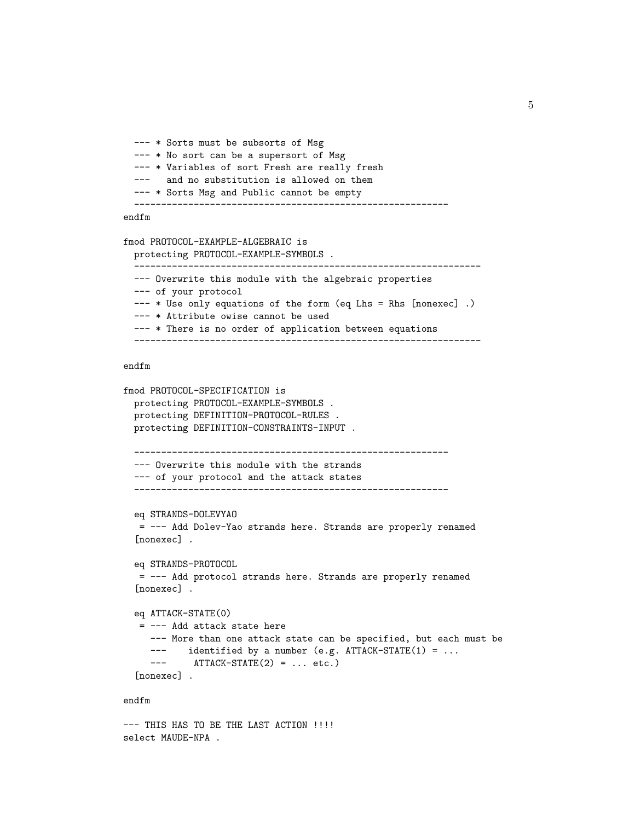```
--- * Sorts must be subsorts of Msg
 --- * No sort can be a supersort of Msg
 --- * Variables of sort Fresh are really fresh
 --- and no substitution is allowed on them
  --- * Sorts Msg and Public cannot be empty
  ----------------------------------------------------------
endfm
fmod PROTOCOL-EXAMPLE-ALGEBRAIC is
 protecting PROTOCOL-EXAMPLE-SYMBOLS .
 ----------------------------------------------------------------
  --- Overwrite this module with the algebraic properties
 --- of your protocol
 --- * Use only equations of the form (eq Lhs = Rhs [nonexec] .)
 --- * Attribute owise cannot be used
 --- * There is no order of application between equations
 ----------------------------------------------------------------
endfm
fmod PROTOCOL-SPECIFICATION is
 protecting PROTOCOL-EXAMPLE-SYMBOLS .
 protecting DEFINITION-PROTOCOL-RULES .
 protecting DEFINITION-CONSTRAINTS-INPUT .
  ----------------------------------------------------------
  --- Overwrite this module with the strands
 --- of your protocol and the attack states
  ----------------------------------------------------------
 eq STRANDS-DOLEVYAO
  = --- Add Dolev-Yao strands here. Strands are properly renamed
  [nonexec] .
 eq STRANDS-PROTOCOL
  = --- Add protocol strands here. Strands are properly renamed
  [nonexec] .
 eq ATTACK-STATE(0)
  = --- Add attack state here
    --- More than one attack state can be specified, but each must be
    --- identified by a number (e.g. ATTACK-STATE(1) = ...
     --- ATTACK-STATE(2) = ... etc.[nonexec] .
```
#### endfm

--- THIS HAS TO BE THE LAST ACTION !!!! select MAUDE-NPA .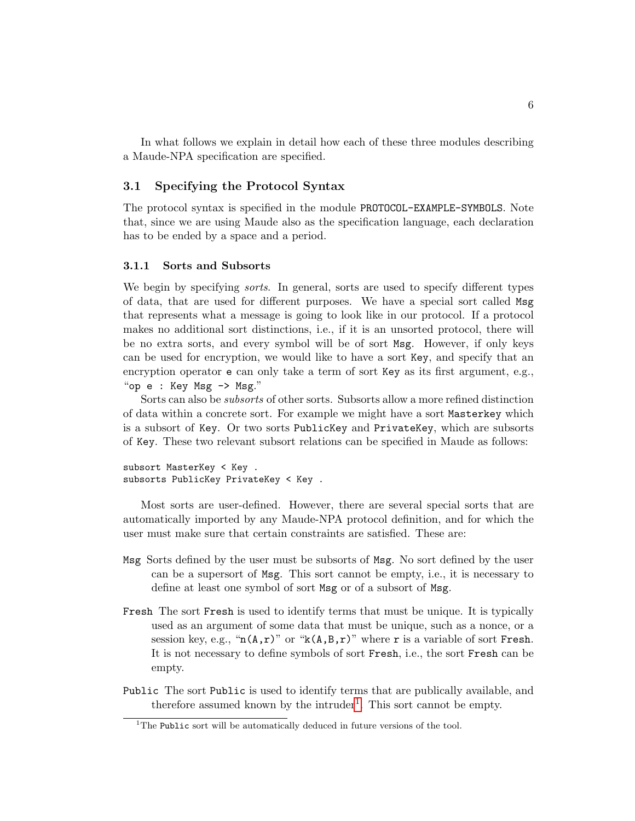In what follows we explain in detail how each of these three modules describing a Maude-NPA specification are specified.

#### <span id="page-6-0"></span>3.1 Specifying the Protocol Syntax

The protocol syntax is specified in the module PROTOCOL-EXAMPLE-SYMBOLS. Note that, since we are using Maude also as the specification language, each declaration has to be ended by a space and a period.

#### <span id="page-6-1"></span>3.1.1 Sorts and Subsorts

We begin by specifying *sorts*. In general, sorts are used to specify different types of data, that are used for different purposes. We have a special sort called Msg that represents what a message is going to look like in our protocol. If a protocol makes no additional sort distinctions, i.e., if it is an unsorted protocol, there will be no extra sorts, and every symbol will be of sort Msg. However, if only keys can be used for encryption, we would like to have a sort Key, and specify that an encryption operator e can only take a term of sort Key as its first argument, e.g., "op e : Key Msg -> Msg."

Sorts can also be subsorts of other sorts. Subsorts allow a more refined distinction of data within a concrete sort. For example we might have a sort Masterkey which is a subsort of Key. Or two sorts PublicKey and PrivateKey, which are subsorts of Key. These two relevant subsort relations can be specified in Maude as follows:

```
subsort MasterKey < Key .
subsorts PublicKey PrivateKey < Key .
```
Most sorts are user-defined. However, there are several special sorts that are automatically imported by any Maude-NPA protocol definition, and for which the user must make sure that certain constraints are satisfied. These are:

- Msg Sorts defined by the user must be subsorts of Msg. No sort defined by the user can be a supersort of Msg. This sort cannot be empty, i.e., it is necessary to define at least one symbol of sort Msg or of a subsort of Msg.
- Fresh The sort Fresh is used to identify terms that must be unique. It is typically used as an argument of some data that must be unique, such as a nonce, or a session key, e.g., " $n(A,r)$ " or " $k(A,B,r)$ " where r is a variable of sort Fresh. It is not necessary to define symbols of sort Fresh, i.e., the sort Fresh can be empty.
- Public The sort Public is used to identify terms that are publically available, and therefore assumed known by the intruder<sup>[1](#page-6-2)</sup>. This sort cannot be empty.

<span id="page-6-2"></span><sup>&</sup>lt;sup>1</sup>The Public sort will be automatically deduced in future versions of the tool.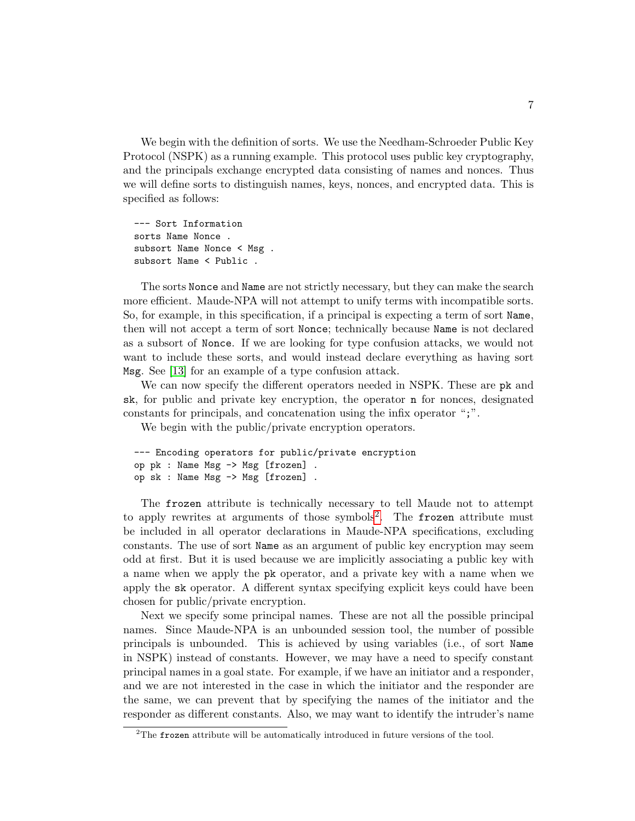We begin with the definition of sorts. We use the Needham-Schroeder Public Key Protocol (NSPK) as a running example. This protocol uses public key cryptography, and the principals exchange encrypted data consisting of names and nonces. Thus we will define sorts to distinguish names, keys, nonces, and encrypted data. This is specified as follows:

--- Sort Information sorts Name Nonce . subsort Name Nonce < Msg . subsort Name < Public .

The sorts Nonce and Name are not strictly necessary, but they can make the search more efficient. Maude-NPA will not attempt to unify terms with incompatible sorts. So, for example, in this specification, if a principal is expecting a term of sort Name, then will not accept a term of sort Nonce; technically because Name is not declared as a subsort of Nonce. If we are looking for type confusion attacks, we would not want to include these sorts, and would instead declare everything as having sort Msg. See [\[13\]](#page-52-2) for an example of a type confusion attack.

We can now specify the different operators needed in NSPK. These are pk and sk, for public and private key encryption, the operator n for nonces, designated constants for principals, and concatenation using the infix operator ";".

We begin with the public/private encryption operators.

```
--- Encoding operators for public/private encryption
op pk : Name Msg -> Msg [frozen] .
op sk : Name Msg -> Msg [frozen] .
```
The frozen attribute is technically necessary to tell Maude not to attempt to apply rewrites at arguments of those symbols<sup>[2](#page-7-0)</sup>. The frozen attribute must be included in all operator declarations in Maude-NPA specifications, excluding constants. The use of sort Name as an argument of public key encryption may seem odd at first. But it is used because we are implicitly associating a public key with a name when we apply the pk operator, and a private key with a name when we apply the sk operator. A different syntax specifying explicit keys could have been chosen for public/private encryption.

Next we specify some principal names. These are not all the possible principal names. Since Maude-NPA is an unbounded session tool, the number of possible principals is unbounded. This is achieved by using variables (i.e., of sort Name in NSPK) instead of constants. However, we may have a need to specify constant principal names in a goal state. For example, if we have an initiator and a responder, and we are not interested in the case in which the initiator and the responder are the same, we can prevent that by specifying the names of the initiator and the responder as different constants. Also, we may want to identify the intruder's name

<span id="page-7-0"></span> $2$ The frozen attribute will be automatically introduced in future versions of the tool.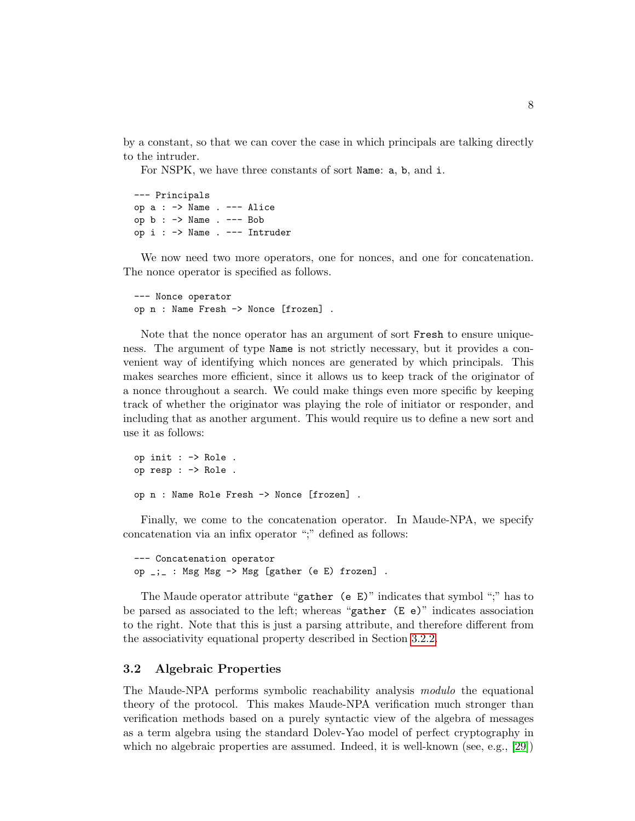by a constant, so that we can cover the case in which principals are talking directly to the intruder.

For NSPK, we have three constants of sort Name: a, b, and i.

--- Principals op a : -> Name . --- Alice op b : -> Name . --- Bob op i : -> Name . --- Intruder

We now need two more operators, one for nonces, and one for concatenation. The nonce operator is specified as follows.

```
--- Nonce operator
op n : Name Fresh -> Nonce [frozen] .
```
Note that the nonce operator has an argument of sort Fresh to ensure uniqueness. The argument of type Name is not strictly necessary, but it provides a convenient way of identifying which nonces are generated by which principals. This makes searches more efficient, since it allows us to keep track of the originator of a nonce throughout a search. We could make things even more specific by keeping track of whether the originator was playing the role of initiator or responder, and including that as another argument. This would require us to define a new sort and use it as follows:

```
op init : -> Role .
op resp : -> Role .
op n : Name Role Fresh -> Nonce [frozen] .
```
Finally, we come to the concatenation operator. In Maude-NPA, we specify concatenation via an infix operator ";" defined as follows:

```
--- Concatenation operator
op _;_ : Msg Msg -> Msg [gather (e E) frozen] .
```
The Maude operator attribute "gather (e E)" indicates that symbol ";" has to be parsed as associated to the left; whereas "gather  $(E e)$ " indicates association to the right. Note that this is just a parsing attribute, and therefore different from the associativity equational property described in Section [3.2.2.](#page-10-0)

#### <span id="page-8-0"></span>3.2 Algebraic Properties

The Maude-NPA performs symbolic reachability analysis modulo the equational theory of the protocol. This makes Maude-NPA verification much stronger than verification methods based on a purely syntactic view of the algebra of messages as a term algebra using the standard Dolev-Yao model of perfect cryptography in which no algebraic properties are assumed. Indeed, it is well-known (see, e.g., [\[29\]](#page-53-2))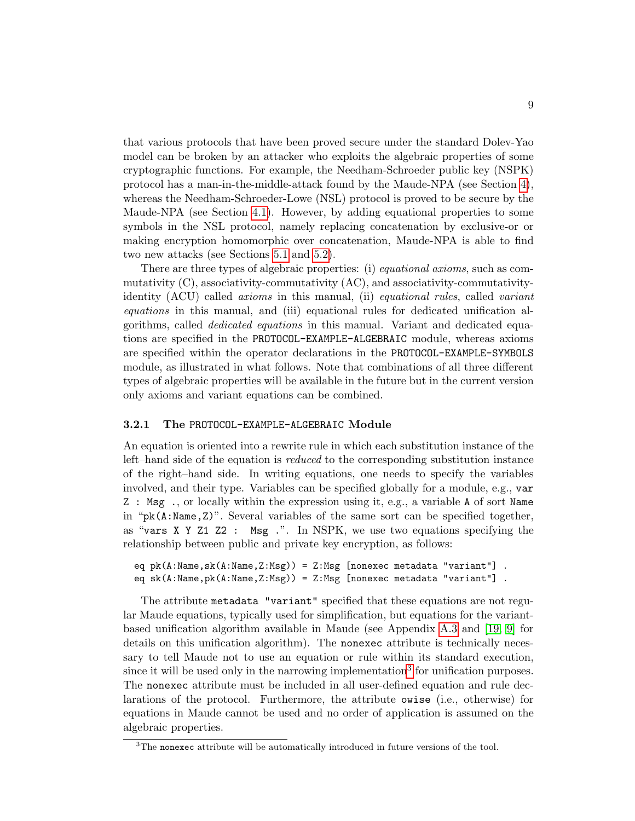that various protocols that have been proved secure under the standard Dolev-Yao model can be broken by an attacker who exploits the algebraic properties of some cryptographic functions. For example, the Needham-Schroeder public key (NSPK) protocol has a man-in-the-middle-attack found by the Maude-NPA (see Section [4\)](#page-30-1), whereas the Needham-Schroeder-Lowe (NSL) protocol is proved to be secure by the Maude-NPA (see Section [4.1\)](#page-33-0). However, by adding equational properties to some symbols in the NSL protocol, namely replacing concatenation by exclusive-or or making encryption homomorphic over concatenation, Maude-NPA is able to find two new attacks (see Sections [5.1](#page-34-1) and [5.2\)](#page-37-0).

There are three types of algebraic properties: (i) *equational axioms*, such as commutativity  $(C)$ , associativity-commutativity  $(AC)$ , and associativity-commutativityidentity (ACU) called *axioms* in this manual, (ii) *equational rules*, called variant equations in this manual, and (iii) equational rules for dedicated unification algorithms, called dedicated equations in this manual. Variant and dedicated equations are specified in the PROTOCOL-EXAMPLE-ALGEBRAIC module, whereas axioms are specified within the operator declarations in the PROTOCOL-EXAMPLE-SYMBOLS module, as illustrated in what follows. Note that combinations of all three different types of algebraic properties will be available in the future but in the current version only axioms and variant equations can be combined.

#### <span id="page-9-0"></span>3.2.1 The PROTOCOL-EXAMPLE-ALGEBRAIC Module

An equation is oriented into a rewrite rule in which each substitution instance of the left–hand side of the equation is reduced to the corresponding substitution instance of the right–hand side. In writing equations, one needs to specify the variables involved, and their type. Variables can be specified globally for a module, e.g., var Z : Msg ., or locally within the expression using it, e.g., a variable A of sort Name in " $pk(A:Name, Z)$ ". Several variables of the same sort can be specified together, as "vars X Y Z1 Z2 : Msg .". In NSPK, we use two equations specifying the relationship between public and private key encryption, as follows:

```
eq pk(A:Name, sk(A:Name, Z:Msg)) = Z: Msg [nonexec metadata "variant"].
eq sk(A:Name, pk(A:Name, Z:Msg)) = Z:Msg [nonexec metadata "variant"].
```
The attribute metadata "variant" specified that these equations are not regular Maude equations, typically used for simplification, but equations for the variantbased unification algorithm available in Maude (see Appendix [A.3](#page-55-1) and [\[19,](#page-52-4) [9\]](#page-51-2) for details on this unification algorithm). The nonexec attribute is technically necessary to tell Maude not to use an equation or rule within its standard execution, since it will be used only in the narrowing implementation<sup>[3](#page-9-1)</sup> for unification purposes. The nonexec attribute must be included in all user-defined equation and rule declarations of the protocol. Furthermore, the attribute owise (i.e., otherwise) for equations in Maude cannot be used and no order of application is assumed on the algebraic properties.

<span id="page-9-1"></span><sup>&</sup>lt;sup>3</sup>The nonexec attribute will be automatically introduced in future versions of the tool.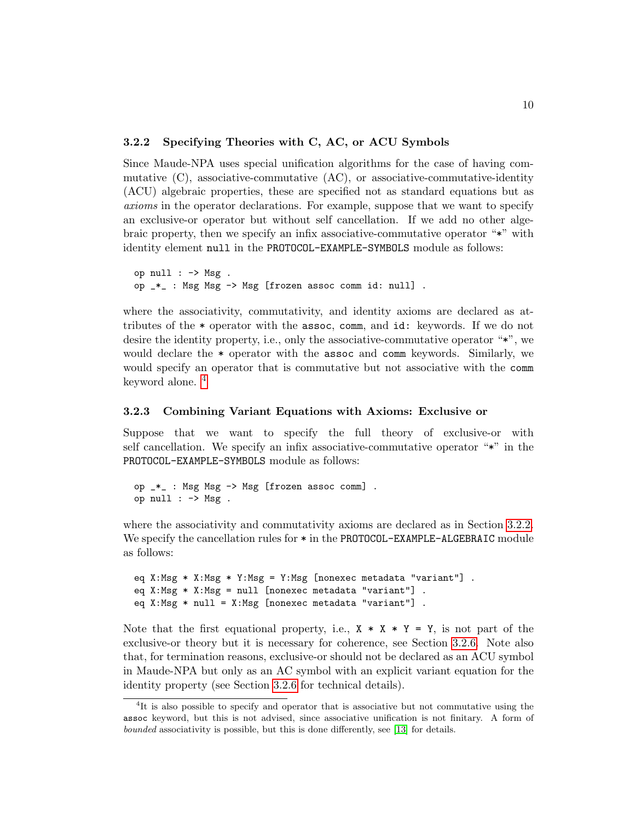#### <span id="page-10-0"></span>3.2.2 Specifying Theories with C, AC, or ACU Symbols

Since Maude-NPA uses special unification algorithms for the case of having commutative  $(C)$ , associative-commutative  $(AC)$ , or associative-commutative-identity (ACU) algebraic properties, these are specified not as standard equations but as axioms in the operator declarations. For example, suppose that we want to specify an exclusive-or operator but without self cancellation. If we add no other algebraic property, then we specify an infix associative-commutative operator "\*" with identity element null in the PROTOCOL-EXAMPLE-SYMBOLS module as follows:

```
op null: -> Msg.op _*_ : Msg Msg -> Msg [frozen assoc comm id: null] .
```
where the associativity, commutativity, and identity axioms are declared as attributes of the \* operator with the assoc, comm, and id: keywords. If we do not desire the identity property, i.e., only the associative-commutative operator "\*", we would declare the \* operator with the assoc and comm keywords. Similarly, we would specify an operator that is commutative but not associative with the comm keyword alone. [4](#page-10-2)

#### <span id="page-10-1"></span>3.2.3 Combining Variant Equations with Axioms: Exclusive or

Suppose that we want to specify the full theory of exclusive-or with self cancellation. We specify an infix associative-commutative operator "\*" in the PROTOCOL-EXAMPLE-SYMBOLS module as follows:

```
op _*_ : Msg Msg -> Msg [frozen assoc comm] .
op null: -> Msg.
```
where the associativity and commutativity axioms are declared as in Section [3.2.2.](#page-10-0) We specify the cancellation rules for  $*$  in the PROTOCOL-EXAMPLE-ALGEBRAIC module as follows:

```
eq X:Msg * X:Msg * Y:Msg = Y:Msg [nonexec metadata "variant"] .
eq X:Msg * X:Msg = null [nonexec metadata "variant"] .
eq X:Msg * null = X:Msg [nonexec metadata "variant"].
```
Note that the first equational property, i.e.,  $X \times X \times Y = Y$ , is not part of the exclusive-or theory but it is necessary for coherence, see Section [3.2.6.](#page-13-0) Note also that, for termination reasons, exclusive-or should not be declared as an ACU symbol in Maude-NPA but only as an AC symbol with an explicit variant equation for the identity property (see Section [3.2.6](#page-13-0) for technical details).

<span id="page-10-2"></span><sup>&</sup>lt;sup>4</sup>It is also possible to specify and operator that is associative but not commutative using the assoc keyword, but this is not advised, since associative unification is not finitary. A form of bounded associativity is possible, but this is done differently, see [\[13\]](#page-52-2) for details.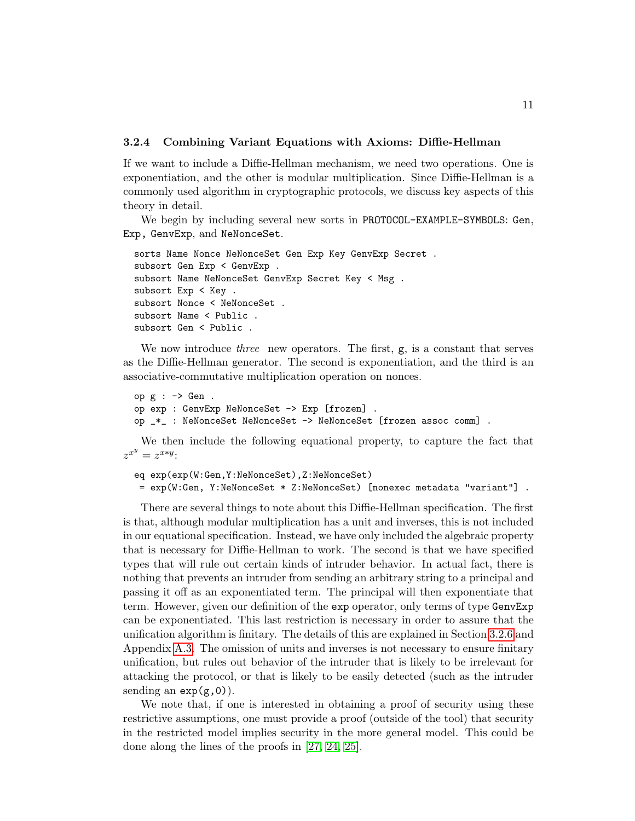#### <span id="page-11-0"></span>3.2.4 Combining Variant Equations with Axioms: Diffie-Hellman

If we want to include a Diffie-Hellman mechanism, we need two operations. One is exponentiation, and the other is modular multiplication. Since Diffie-Hellman is a commonly used algorithm in cryptographic protocols, we discuss key aspects of this theory in detail.

We begin by including several new sorts in PROTOCOL-EXAMPLE-SYMBOLS: Gen, Exp, GenvExp, and NeNonceSet.

```
sorts Name Nonce NeNonceSet Gen Exp Key GenvExp Secret .
subsort Gen Exp < GenvExp .
subsort Name NeNonceSet GenvExp Secret Key < Msg .
subsort Exp < Key .
subsort Nonce < NeNonceSet .
subsort Name < Public .
subsort Gen < Public .
```
We now introduce *three* new operators. The first, g, is a constant that serves as the Diffie-Hellman generator. The second is exponentiation, and the third is an associative-commutative multiplication operation on nonces.

```
op g : -\ge Gen.
op exp : GenvExp NeNonceSet -> Exp [frozen] .
op _*_ : NeNonceSet NeNonceSet -> NeNonceSet [frozen assoc comm] .
```
We then include the following equational property, to capture the fact that  $z^{x^y} = z^{x*y}$ :

```
eq exp(exp(W:Gen,Y:NeNonceSet),Z:NeNonceSet)
 = exp(W:Gen, Y:NeNonceSet * Z:NeNonceSet) [nonexec metadata "variant"] .
```
There are several things to note about this Diffie-Hellman specification. The first is that, although modular multiplication has a unit and inverses, this is not included in our equational specification. Instead, we have only included the algebraic property that is necessary for Diffie-Hellman to work. The second is that we have specified types that will rule out certain kinds of intruder behavior. In actual fact, there is nothing that prevents an intruder from sending an arbitrary string to a principal and passing it off as an exponentiated term. The principal will then exponentiate that term. However, given our definition of the exp operator, only terms of type GenvExp can be exponentiated. This last restriction is necessary in order to assure that the unification algorithm is finitary. The details of this are explained in Section [3.2.6](#page-13-0) and Appendix [A.3.](#page-55-1) The omission of units and inverses is not necessary to ensure finitary unification, but rules out behavior of the intruder that is likely to be irrelevant for attacking the protocol, or that is likely to be easily detected (such as the intruder sending an  $exp(g, 0)$ .

We note that, if one is interested in obtaining a proof of security using these restrictive assumptions, one must provide a proof (outside of the tool) that security in the restricted model implies security in the more general model. This could be done along the lines of the proofs in [\[27,](#page-53-3) [24,](#page-53-4) [25\]](#page-53-5).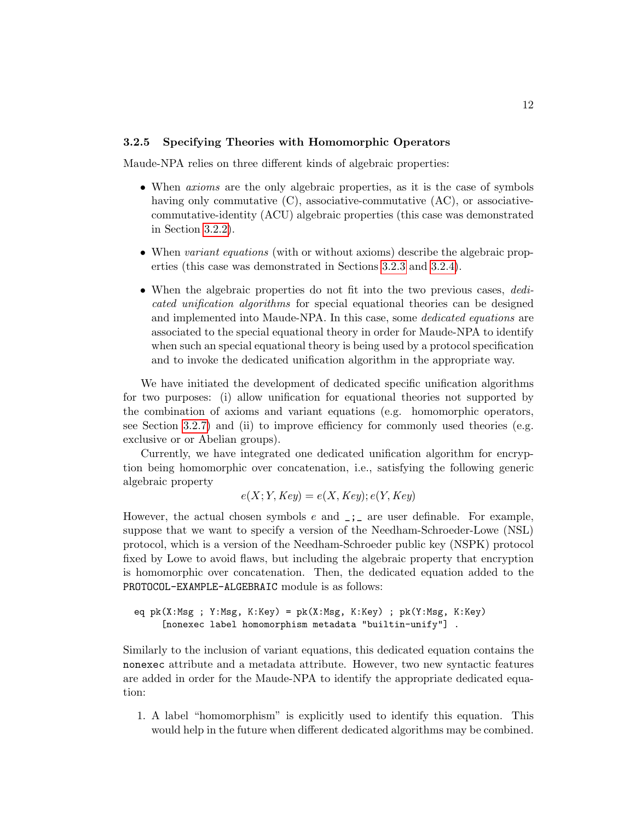#### <span id="page-12-0"></span>3.2.5 Specifying Theories with Homomorphic Operators

Maude-NPA relies on three different kinds of algebraic properties:

- When *axioms* are the only algebraic properties, as it is the case of symbols having only commutative  $(C)$ , associative-commutative  $(AC)$ , or associativecommutative-identity (ACU) algebraic properties (this case was demonstrated in Section [3.2.2\)](#page-10-0).
- When variant equations (with or without axioms) describe the algebraic properties (this case was demonstrated in Sections [3.2.3](#page-10-1) and [3.2.4\)](#page-11-0).
- When the algebraic properties do not fit into the two previous cases, *dedi*cated unification algorithms for special equational theories can be designed and implemented into Maude-NPA. In this case, some dedicated equations are associated to the special equational theory in order for Maude-NPA to identify when such an special equational theory is being used by a protocol specification and to invoke the dedicated unification algorithm in the appropriate way.

We have initiated the development of dedicated specific unification algorithms for two purposes: (i) allow unification for equational theories not supported by the combination of axioms and variant equations (e.g. homomorphic operators, see Section [3.2.7\)](#page-17-0) and (ii) to improve efficiency for commonly used theories (e.g. exclusive or or Abelian groups).

Currently, we have integrated one dedicated unification algorithm for encryption being homomorphic over concatenation, i.e., satisfying the following generic algebraic property

$$
e(X;Y, Key) = e(X, Key); e(Y, Key)
$$

However, the actual chosen symbols  $e$  and  $\overline{\phantom{a}}$ ; are user definable. For example, suppose that we want to specify a version of the Needham-Schroeder-Lowe (NSL) protocol, which is a version of the Needham-Schroeder public key (NSPK) protocol fixed by Lowe to avoid flaws, but including the algebraic property that encryption is homomorphic over concatenation. Then, the dedicated equation added to the PROTOCOL-EXAMPLE-ALGEBRAIC module is as follows:

eq  $pk(X:Msg ; Y:Msg, K:Key) = pk(X:Msg, K:Key) ; pk(Y:Msg, K:Key)$ [nonexec label homomorphism metadata "builtin-unify"] .

Similarly to the inclusion of variant equations, this dedicated equation contains the nonexec attribute and a metadata attribute. However, two new syntactic features are added in order for the Maude-NPA to identify the appropriate dedicated equation:

1. A label "homomorphism" is explicitly used to identify this equation. This would help in the future when different dedicated algorithms may be combined.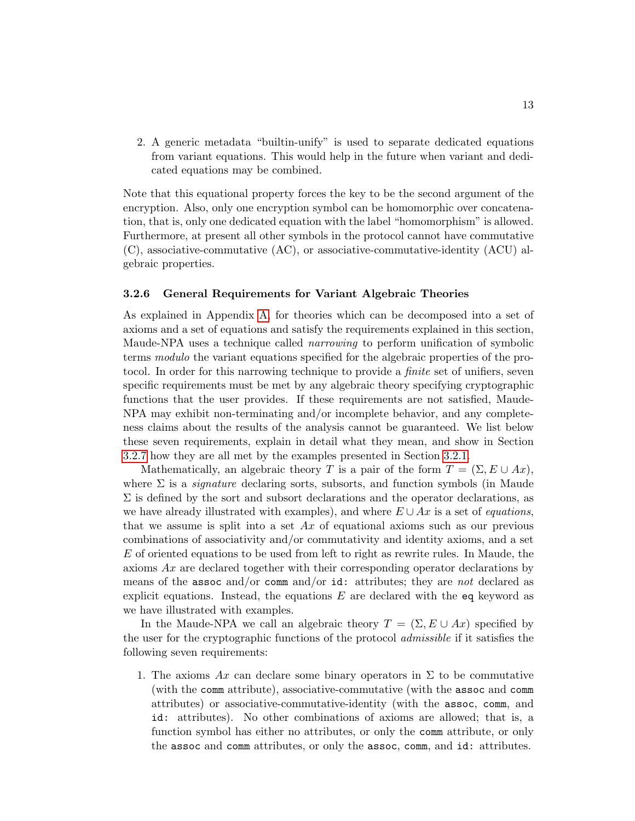2. A generic metadata "builtin-unify" is used to separate dedicated equations from variant equations. This would help in the future when variant and dedicated equations may be combined.

Note that this equational property forces the key to be the second argument of the encryption. Also, only one encryption symbol can be homomorphic over concatenation, that is, only one dedicated equation with the label "homomorphism" is allowed. Furthermore, at present all other symbols in the protocol cannot have commutative (C), associative-commutative (AC), or associative-commutative-identity (ACU) algebraic properties.

#### <span id="page-13-0"></span>3.2.6 General Requirements for Variant Algebraic Theories

As explained in Appendix [A,](#page-53-0) for theories which can be decomposed into a set of axioms and a set of equations and satisfy the requirements explained in this section, Maude-NPA uses a technique called narrowing to perform unification of symbolic terms modulo the variant equations specified for the algebraic properties of the protocol. In order for this narrowing technique to provide a finite set of unifiers, seven specific requirements must be met by any algebraic theory specifying cryptographic functions that the user provides. If these requirements are not satisfied, Maude-NPA may exhibit non-terminating and/or incomplete behavior, and any completeness claims about the results of the analysis cannot be guaranteed. We list below these seven requirements, explain in detail what they mean, and show in Section [3.2.7](#page-17-0) how they are all met by the examples presented in Section [3.2.1.](#page-9-0)

Mathematically, an algebraic theory T is a pair of the form  $T = (\Sigma, E \cup Ax)$ , where  $\Sigma$  is a *signature* declaring sorts, subsorts, and function symbols (in Maude  $\Sigma$  is defined by the sort and subsort declarations and the operator declarations, as we have already illustrated with examples), and where  $E \cup Ax$  is a set of *equations*, that we assume is split into a set  $Ax$  of equational axioms such as our previous combinations of associativity and/or commutativity and identity axioms, and a set E of oriented equations to be used from left to right as rewrite rules. In Maude, the axioms Ax are declared together with their corresponding operator declarations by means of the assoc and/or comm and/or id: attributes; they are not declared as explicit equations. Instead, the equations  $E$  are declared with the eq keyword as we have illustrated with examples.

In the Maude-NPA we call an algebraic theory  $T = (\Sigma, E \cup Ax)$  specified by the user for the cryptographic functions of the protocol admissible if it satisfies the following seven requirements:

<span id="page-13-1"></span>1. The axioms  $Ax$  can declare some binary operators in  $\Sigma$  to be commutative (with the comm attribute), associative-commutative (with the assoc and comm attributes) or associative-commutative-identity (with the assoc, comm, and id: attributes). No other combinations of axioms are allowed; that is, a function symbol has either no attributes, or only the comm attribute, or only the assoc and comm attributes, or only the assoc, comm, and id: attributes.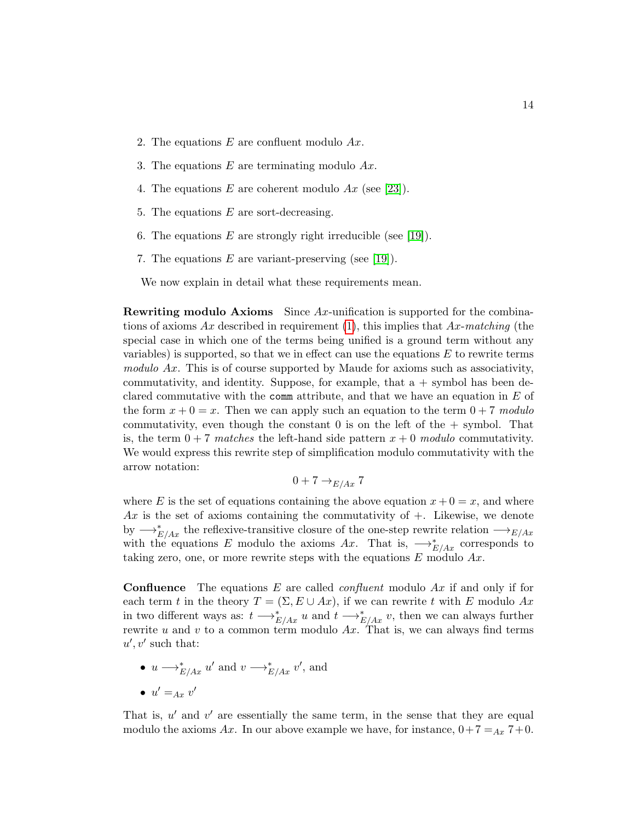- <span id="page-14-2"></span>2. The equations  $E$  are confluent modulo  $Ax$ .
- 3. The equations  $E$  are terminating modulo  $Ax$ .
- 4. The equations E are coherent modulo  $Ax$  (see [\[23\]](#page-53-6)).
- <span id="page-14-0"></span>5. The equations  $E$  are sort-decreasing.
- <span id="page-14-3"></span>6. The equations E are strongly right irreducible (see [\[19\]](#page-52-4)).
- <span id="page-14-1"></span>7. The equations  $E$  are variant-preserving (see [\[19\]](#page-52-4)).

We now explain in detail what these requirements mean.

**Rewriting modulo Axioms** Since  $Ax$ -unification is supported for the combina-tions of axioms Ax described in requirement [\(1\)](#page-13-1), this implies that  $Ax$ -matching (the special case in which one of the terms being unified is a ground term without any variables) is supported, so that we in effect can use the equations  $E$  to rewrite terms modulo Ax. This is of course supported by Maude for axioms such as associativity, commutativity, and identity. Suppose, for example, that  $a +$  symbol has been declared commutative with the commutative and that we have an equation in  $E$  of the form  $x + 0 = x$ . Then we can apply such an equation to the term  $0 + 7$  modulo commutativity, even though the constant  $0$  is on the left of the  $+$  symbol. That is, the term  $0 + 7$  matches the left-hand side pattern  $x + 0$  modulo commutativity. We would express this rewrite step of simplification modulo commutativity with the arrow notation:

$$
0+7 \to_{E/Ax} 7
$$

where E is the set of equations containing the above equation  $x + 0 = x$ , and where Ax is the set of axioms containing the commutativity of  $+$ . Likewise, we denote by  $\longrightarrow_{E/Ax}^*$  the reflexive-transitive closure of the one-step rewrite relation  $\longrightarrow_{E/Ax}$ with the equations E modulo the axioms Ax. That is,  $\longrightarrow_{E/Ax}^*$  corresponds to taking zero, one, or more rewrite steps with the equations  $E$  modulo  $Ax$ .

**Confluence** The equations E are called *confluent* modulo  $Ax$  if and only if for each term t in the theory  $T = (\Sigma, E \cup Ax)$ , if we can rewrite t with E modulo Ax in two different ways as:  $t \longrightarrow_{E/Ax}^* u$  and  $t \longrightarrow_{E/Ax}^* v$ , then we can always further rewrite u and v to a common term modulo  $Ax$ . That is, we can always find terms  $u', v'$  such that:

•  $u \longrightarrow_{E/Ax}^* u'$  and  $v \longrightarrow_{E/Ax}^* v'$ , and  $\bullet\ u' =_{Ax} v'$ 

That is,  $u'$  and  $v'$  are essentially the same term, in the sense that they are equal modulo the axioms Ax. In our above example we have, for instance,  $0+7 =_{Ax} 7+0$ .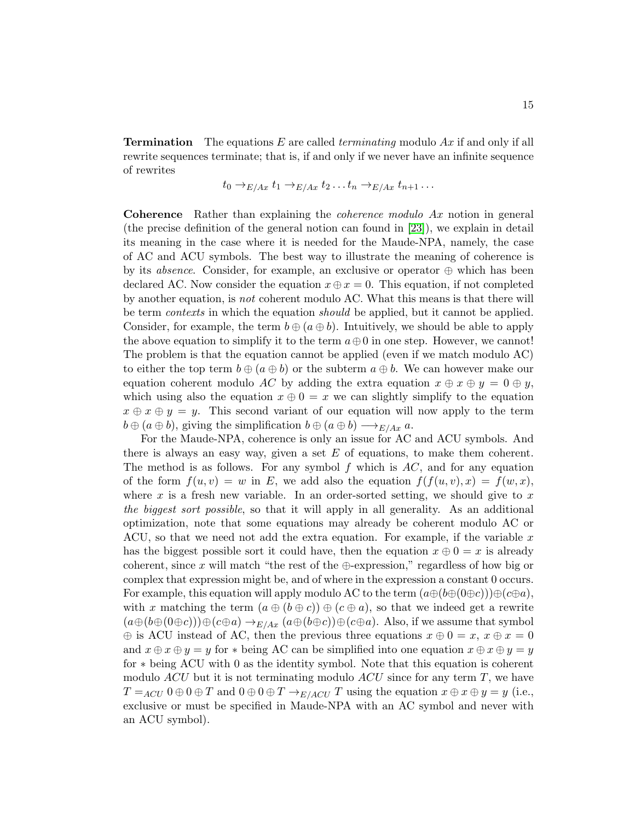**Termination** The equations E are called *terminating* modulo  $Ax$  if and only if all rewrite sequences terminate; that is, if and only if we never have an infinite sequence of rewrites

$$
t_0 \to_{E/Ax} t_1 \to_{E/Ax} t_2 \dots t_n \to_{E/Ax} t_{n+1} \dots
$$

Coherence Rather than explaining the coherence modulo Ax notion in general (the precise definition of the general notion can found in [\[23\]](#page-53-6)), we explain in detail its meaning in the case where it is needed for the Maude-NPA, namely, the case of AC and ACU symbols. The best way to illustrate the meaning of coherence is by its *absence*. Consider, for example, an exclusive or operator  $\oplus$  which has been declared AC. Now consider the equation  $x \oplus x = 0$ . This equation, if not completed by another equation, is not coherent modulo AC. What this means is that there will be term contexts in which the equation should be applied, but it cannot be applied. Consider, for example, the term  $b \oplus (a \oplus b)$ . Intuitively, we should be able to apply the above equation to simplify it to the term  $a \oplus 0$  in one step. However, we cannot! The problem is that the equation cannot be applied (even if we match modulo AC) to either the top term  $b \oplus (a \oplus b)$  or the subterm  $a \oplus b$ . We can however make our equation coherent modulo AC by adding the extra equation  $x \oplus x \oplus y = 0 \oplus y$ , which using also the equation  $x \oplus 0 = x$  we can slightly simplify to the equation  $x \oplus x \oplus y = y$ . This second variant of our equation will now apply to the term  $b \oplus (a \oplus b)$ , giving the simplification  $b \oplus (a \oplus b) \longrightarrow_{E/Ax} a$ .

For the Maude-NPA, coherence is only an issue for AC and ACU symbols. And there is always an easy way, given a set  $E$  of equations, to make them coherent. The method is as follows. For any symbol  $f$  which is  $AC$ , and for any equation of the form  $f(u, v) = w$  in E, we add also the equation  $f(f(u, v), x) = f(w, x)$ , where  $x$  is a fresh new variable. In an order-sorted setting, we should give to  $x$ the biggest sort possible, so that it will apply in all generality. As an additional optimization, note that some equations may already be coherent modulo AC or ACU, so that we need not add the extra equation. For example, if the variable  $x$ has the biggest possible sort it could have, then the equation  $x \oplus 0 = x$  is already coherent, since x will match "the rest of the  $\bigoplus$ -expression," regardless of how big or complex that expression might be, and of where in the expression a constant 0 occurs. For example, this equation will apply modulo AC to the term  $(a\oplus (b\oplus (0\oplus c)))\oplus (c\oplus a)$ , with x matching the term  $(a \oplus (b \oplus c)) \oplus (c \oplus a)$ , so that we indeed get a rewrite  $(a\oplus(b\oplus(0\oplus c)))\oplus(c\oplus a)\to_{E/Ax} (a\oplus(b\oplus c))\oplus(c\oplus a)$ . Also, if we assume that symbol  $\oplus$  is ACU instead of AC, then the previous three equations  $x \oplus 0 = x, x \oplus x = 0$ and  $x \oplus x \oplus y = y$  for  $*$  being AC can be simplified into one equation  $x \oplus x \oplus y = y$ for ∗ being ACU with 0 as the identity symbol. Note that this equation is coherent modulo  $ACU$  but it is not terminating modulo  $ACU$  since for any term  $T$ , we have  $T =_{ACU} 0 \oplus 0 \oplus T$  and  $0 \oplus 0 \oplus T \rightarrow_{E/ACU} T$  using the equation  $x \oplus x \oplus y = y$  (i.e., exclusive or must be specified in Maude-NPA with an AC symbol and never with an ACU symbol).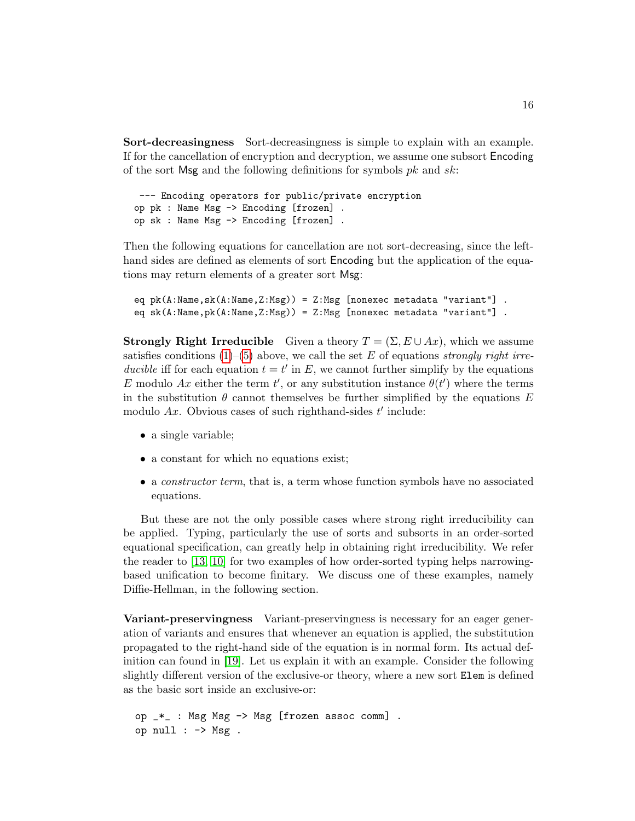Sort-decreasingness Sort-decreasingness is simple to explain with an example. If for the cancellation of encryption and decryption, we assume one subsort Encoding of the sort Msg and the following definitions for symbols  $pk$  and  $sk$ :

```
--- Encoding operators for public/private encryption
op pk : Name Msg -> Encoding [frozen] .
op sk : Name Msg -> Encoding [frozen] .
```
Then the following equations for cancellation are not sort-decreasing, since the lefthand sides are defined as elements of sort Encoding but the application of the equations may return elements of a greater sort Msg:

```
eq pk(A:Name,sk(A:Name,Z:Msg)) = Z:Msg [nonexec metadata "variant"] .
eq sk(A:Name,pk(A:Name,Z:Msg)) = Z:Msg [nonexec metadata "variant"] .
```
**Strongly Right Irreducible** Given a theory  $T = (\Sigma, E \cup Ax)$ , which we assume satisfies conditions  $(1)$ – $(5)$  above, we call the set E of equations strongly right irreducible iff for each equation  $t = t'$  in E, we cannot further simplify by the equations E modulo Ax either the term  $t'$ , or any substitution instance  $\theta(t')$  where the terms in the substitution  $\theta$  cannot themselves be further simplified by the equations E modulo  $Ax$ . Obvious cases of such righthand-sides  $t'$  include:

- a single variable;
- a constant for which no equations exist;
- a *constructor term*, that is, a term whose function symbols have no associated equations.

But these are not the only possible cases where strong right irreducibility can be applied. Typing, particularly the use of sorts and subsorts in an order-sorted equational specification, can greatly help in obtaining right irreducibility. We refer the reader to [\[13,](#page-52-2) [10\]](#page-51-0) for two examples of how order-sorted typing helps narrowingbased unification to become finitary. We discuss one of these examples, namely Diffie-Hellman, in the following section.

Variant-preservingness Variant-preservingness is necessary for an eager generation of variants and ensures that whenever an equation is applied, the substitution propagated to the right-hand side of the equation is in normal form. Its actual definition can found in [\[19\]](#page-52-4). Let us explain it with an example. Consider the following slightly different version of the exclusive-or theory, where a new sort Elem is defined as the basic sort inside an exclusive-or:

op \_\*\_ : Msg Msg -> Msg [frozen assoc comm] . op  $null : -> Msg.$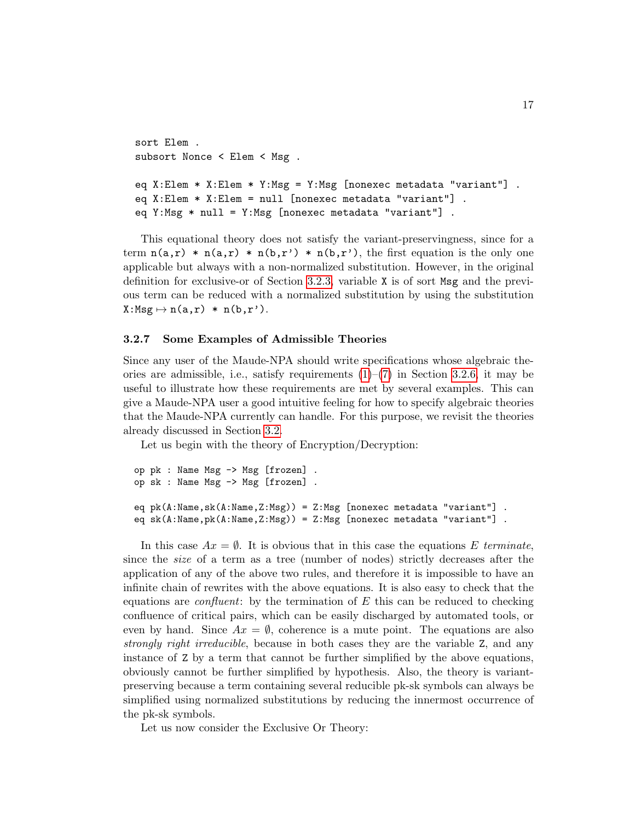```
sort Elem .
subsort Nonce < Elem < Msg .
eq X: Elem * X: Elem * Y: Msg = Y: Msg [nonexec metadata "variant"].
eq X:Elem * X:Elem = null [nonexec metadata "variant"] .
eq Y:Msg * null = Y:Msg [nonexec metadata "variant"] .
```
This equational theory does not satisfy the variant-preservingness, since for a term  $n(a,r) * n(a,r) * n(b,r') * n(b,r')$ , the first equation is the only one applicable but always with a non-normalized substitution. However, in the original definition for exclusive-or of Section [3.2.3,](#page-10-1) variable X is of sort Msg and the previous term can be reduced with a normalized substitution by using the substitution  $X: Msg \mapsto n(a,r) * n(b,r').$ 

#### <span id="page-17-0"></span>3.2.7 Some Examples of Admissible Theories

Since any user of the Maude-NPA should write specifications whose algebraic theories are admissible, i.e., satisfy requirements  $(1)-(7)$  $(1)-(7)$  $(1)-(7)$  in Section [3.2.6,](#page-13-0) it may be useful to illustrate how these requirements are met by several examples. This can give a Maude-NPA user a good intuitive feeling for how to specify algebraic theories that the Maude-NPA currently can handle. For this purpose, we revisit the theories already discussed in Section [3.2.](#page-8-0)

Let us begin with the theory of Encryption/Decryption:

```
op pk : Name Msg -> Msg [frozen] .
op sk : Name Msg -> Msg [frozen] .
eq pk(A:Name, sk(A:Name, Z:Msg)) = Z:Msg [nonexec metadata "variant"].
eq sk(A:Name,pk(A:Name,Z:Msg)) = Z:Msg [nonexec metadata "variant"] .
```
In this case  $Ax = \emptyset$ . It is obvious that in this case the equations E terminate, since the size of a term as a tree (number of nodes) strictly decreases after the application of any of the above two rules, and therefore it is impossible to have an infinite chain of rewrites with the above equations. It is also easy to check that the equations are *confluent*: by the termination of  $E$  this can be reduced to checking confluence of critical pairs, which can be easily discharged by automated tools, or even by hand. Since  $Ax = \emptyset$ , coherence is a mute point. The equations are also strongly right irreducible, because in both cases they are the variable Z, and any instance of Z by a term that cannot be further simplified by the above equations, obviously cannot be further simplified by hypothesis. Also, the theory is variantpreserving because a term containing several reducible pk-sk symbols can always be simplified using normalized substitutions by reducing the innermost occurrence of the pk-sk symbols.

Let us now consider the Exclusive Or Theory: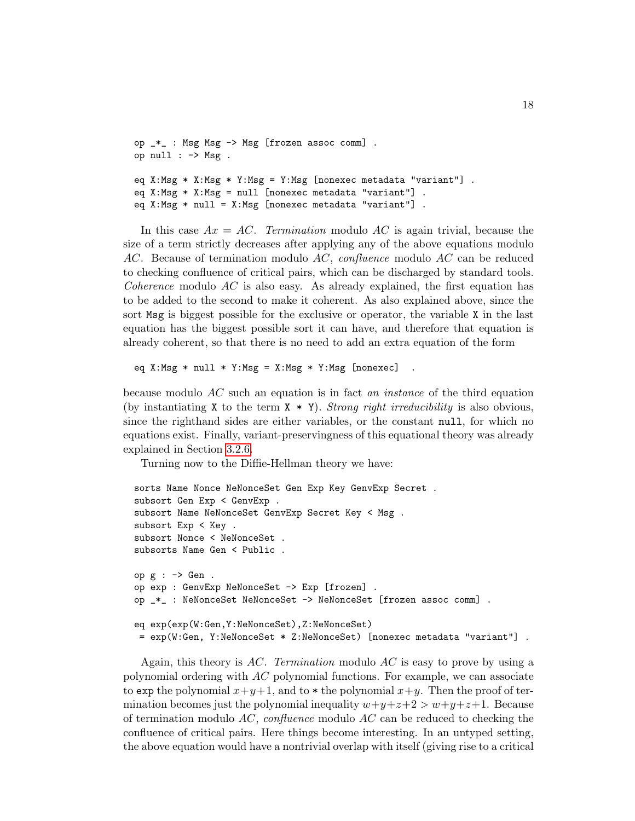```
op _*_ : Msg Msg -> Msg [frozen assoc comm] .
op null : -> Msg.
eq X:Msg * X:Msg * Y:Msg = Y:Msg [nonexec metadata "variant"].
eq X: Msg * X: Msg = null [nonexec metadata "variant"].
eq X: Msg * null = X: Msg [nonexec metadata "variant"].
```
In this case  $Ax = AC$ . Termination modulo AC is again trivial, because the size of a term strictly decreases after applying any of the above equations modulo AC. Because of termination modulo AC, confluence modulo AC can be reduced to checking confluence of critical pairs, which can be discharged by standard tools. Coherence modulo  $AC$  is also easy. As already explained, the first equation has to be added to the second to make it coherent. As also explained above, since the sort Msg is biggest possible for the exclusive or operator, the variable X in the last equation has the biggest possible sort it can have, and therefore that equation is already coherent, so that there is no need to add an extra equation of the form

eq X:Msg  $*$  null  $*$  Y:Msg = X:Msg  $*$  Y:Msg [nonexec]

because modulo  $AC$  such an equation is in fact an instance of the third equation (by instantiating X to the term  $X * Y$ ). Strong right irreducibility is also obvious, since the righthand sides are either variables, or the constant null, for which no equations exist. Finally, variant-preservingness of this equational theory was already explained in Section [3.2.6.](#page-13-0)

Turning now to the Diffie-Hellman theory we have:

```
sorts Name Nonce NeNonceSet Gen Exp Key GenvExp Secret .
subsort Gen Exp < GenvExp .
subsort Name NeNonceSet GenvExp Secret Key < Msg .
subsort Exp < Key .
subsort Nonce < NeNonceSet .
subsorts Name Gen < Public .
op g : -> Gen .
op exp : GenvExp NeNonceSet -> Exp [frozen] .
op _*_ : NeNonceSet NeNonceSet -> NeNonceSet [frozen assoc comm] .
eq exp(exp(W:Gen,Y:NeNonceSet),Z:NeNonceSet)
 = exp(W:Gen, Y:NeNonceSet * Z:NeNonceSet) [nonexec metadata "variant"] .
```
Again, this theory is AC. Termination modulo AC is easy to prove by using a polynomial ordering with AC polynomial functions. For example, we can associate to exp the polynomial  $x+y+1$ , and to  $*$  the polynomial  $x+y$ . Then the proof of termination becomes just the polynomial inequality  $w+y+z+2 > w+y+z+1$ . Because of termination modulo  $AC$ , confluence modulo  $AC$  can be reduced to checking the confluence of critical pairs. Here things become interesting. In an untyped setting, the above equation would have a nontrivial overlap with itself (giving rise to a critical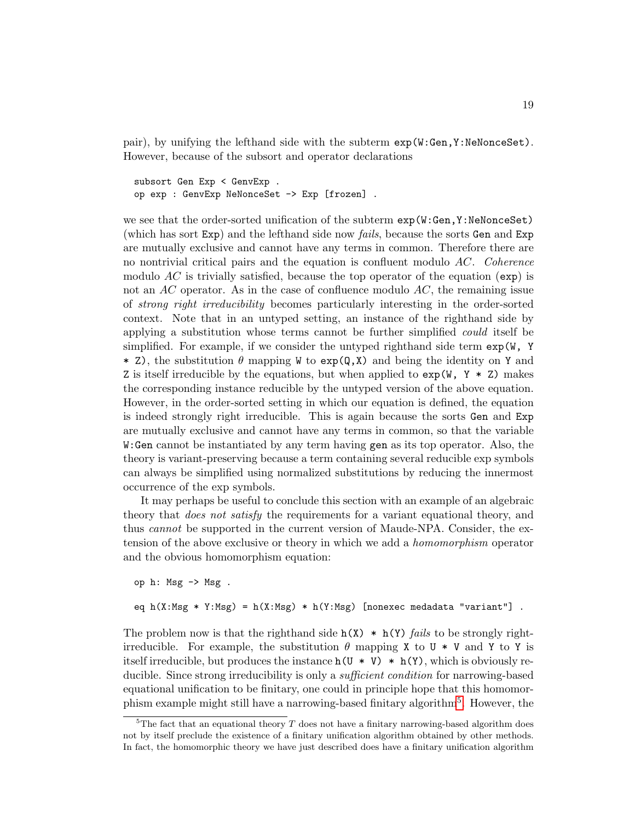pair), by unifying the lefthand side with the subterm  $exp(W:Gen, Y:NeNonceSet)$ . However, because of the subsort and operator declarations

```
subsort Gen Exp < GenvExp .
op exp : GenvExp NeNonceSet -> Exp [frozen] .
```
we see that the order-sorted unification of the subterm  $exp(W:Gen, Y:NeNonceSet)$ (which has sort Exp) and the lefthand side now fails, because the sorts Gen and Exp are mutually exclusive and cannot have any terms in common. Therefore there are no nontrivial critical pairs and the equation is confluent modulo AC. Coherence modulo AC is trivially satisfied, because the top operator of the equation (exp) is not an  $AC$  operator. As in the case of confluence modulo  $AC$ , the remaining issue of strong right irreducibility becomes particularly interesting in the order-sorted context. Note that in an untyped setting, an instance of the righthand side by applying a substitution whose terms cannot be further simplified could itself be simplified. For example, if we consider the untyped righthand side term  $exp(W, Y)$  $*$  Z), the substitution  $\theta$  mapping W to  $exp(Q,X)$  and being the identity on Y and Z is itself irreducible by the equations, but when applied to  $exp(W, Y \ast Z)$  makes the corresponding instance reducible by the untyped version of the above equation. However, in the order-sorted setting in which our equation is defined, the equation is indeed strongly right irreducible. This is again because the sorts Gen and Exp are mutually exclusive and cannot have any terms in common, so that the variable W:Gen cannot be instantiated by any term having gen as its top operator. Also, the theory is variant-preserving because a term containing several reducible exp symbols can always be simplified using normalized substitutions by reducing the innermost occurrence of the exp symbols.

It may perhaps be useful to conclude this section with an example of an algebraic theory that *does not satisfy* the requirements for a variant equational theory, and thus *cannot* be supported in the current version of Maude-NPA. Consider, the extension of the above exclusive or theory in which we add a homomorphism operator and the obvious homomorphism equation:

```
op h: Msg -> Msg .
eq h(X:MSg * Y:MSg) = h(X:MSg) * h(Y:MSg) [nonexec medadata "variant"].
```
The problem now is that the righthand side  $h(X) * h(Y)$  fails to be strongly rightirreducible. For example, the substitution  $\theta$  mapping X to U  $*$  V and Y to Y is itself irreducible, but produces the instance  $h(U * V) * h(Y)$ , which is obviously reducible. Since strong irreducibility is only a *sufficient condition* for narrowing-based equational unification to be finitary, one could in principle hope that this homomor-phism example might still have a narrowing-based finitary algorithm<sup>[5](#page-19-0)</sup>. However, the

<span id="page-19-0"></span><sup>&</sup>lt;sup>5</sup>The fact that an equational theory  $T$  does not have a finitary narrowing-based algorithm does not by itself preclude the existence of a finitary unification algorithm obtained by other methods. In fact, the homomorphic theory we have just described does have a finitary unification algorithm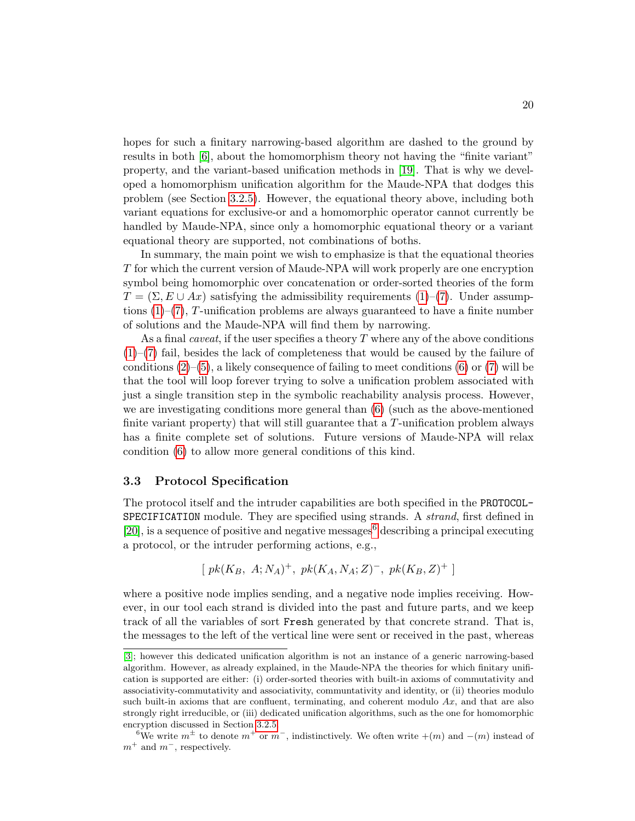hopes for such a finitary narrowing-based algorithm are dashed to the ground by results in both [\[6\]](#page-51-3), about the homomorphism theory not having the "finite variant" property, and the variant-based unification methods in [\[19\]](#page-52-4). That is why we developed a homomorphism unification algorithm for the Maude-NPA that dodges this problem (see Section [3.2.5\)](#page-12-0). However, the equational theory above, including both variant equations for exclusive-or and a homomorphic operator cannot currently be handled by Maude-NPA, since only a homomorphic equational theory or a variant equational theory are supported, not combinations of boths.

In summary, the main point we wish to emphasize is that the equational theories T for which the current version of Maude-NPA will work properly are one encryption symbol being homomorphic over concatenation or order-sorted theories of the form  $T = (\Sigma, E \cup Ax)$  satisfying the admissibility requirements [\(1\)](#page-13-1)–[\(7\)](#page-14-1). Under assumptions  $(1)$ – $(7)$ , T-unification problems are always guaranteed to have a finite number of solutions and the Maude-NPA will find them by narrowing.

As a final *caveat*, if the user specifies a theory T where any of the above conditions  $(1)$ – $(7)$  fail, besides the lack of completeness that would be caused by the failure of conditions  $(2)$ – $(5)$ , a likely consequence of failing to meet conditions  $(6)$  or  $(7)$  will be that the tool will loop forever trying to solve a unification problem associated with just a single transition step in the symbolic reachability analysis process. However, we are investigating conditions more general than [\(6\)](#page-14-3) (such as the above-mentioned finite variant property) that will still guarantee that a T-unification problem always has a finite complete set of solutions. Future versions of Maude-NPA will relax condition [\(6\)](#page-14-3) to allow more general conditions of this kind.

#### <span id="page-20-0"></span>3.3 Protocol Specification

The protocol itself and the intruder capabilities are both specified in the PROTOCOL-SPECIFICATION module. They are specified using strands. A *strand*, first defined in [\[20\]](#page-52-5), is a sequence of positive and negative messages<sup>[6](#page-20-1)</sup> describing a principal executing a protocol, or the intruder performing actions, e.g.,

$$
[pk(K_B, A; N_A)^+, pk(K_A, N_A; Z)^-, pk(K_B, Z)^+]
$$

where a positive node implies sending, and a negative node implies receiving. However, in our tool each strand is divided into the past and future parts, and we keep track of all the variables of sort Fresh generated by that concrete strand. That is, the messages to the left of the vertical line were sent or received in the past, whereas

[<sup>\[3\]</sup>](#page-51-4); however this dedicated unification algorithm is not an instance of a generic narrowing-based algorithm. However, as already explained, in the Maude-NPA the theories for which finitary unification is supported are either: (i) order-sorted theories with built-in axioms of commutativity and associativity-commutativity and associativity, communtativity and identity, or (ii) theories modulo such built-in axioms that are confluent, terminating, and coherent modulo  $Ax$ , and that are also strongly right irreducible, or (iii) dedicated unification algorithms, such as the one for homomorphic encryption discussed in Section [3.2.5.](#page-12-0)

<span id="page-20-1"></span><sup>&</sup>lt;sup>6</sup>We write  $m^{\pm}$  to denote  $m^{+}$  or  $m^{-}$ , indistinctively. We often write  $+(m)$  and  $-(m)$  instead of  $m^+$  and  $m^-$ , respectively.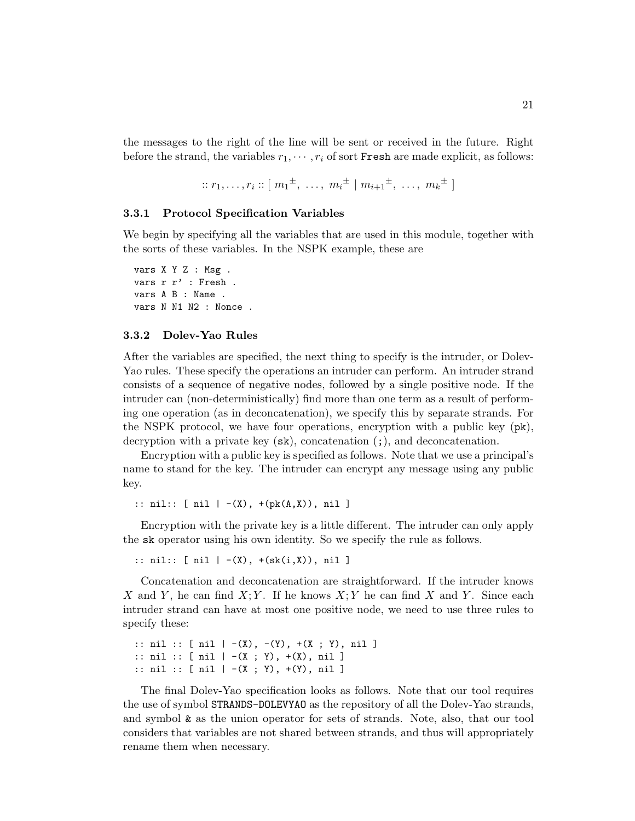the messages to the right of the line will be sent or received in the future. Right before the strand, the variables  $r_1, \dots, r_i$  of sort Fresh are made explicit, as follows:

```
:: r_1, \ldots, r_i :: [m_1^{\pm}, \ldots, m_i^{\pm} | m_{i+1}^{\pm}, \ldots, m_k^{\pm} ]
```
#### <span id="page-21-0"></span>3.3.1 Protocol Specification Variables

We begin by specifying all the variables that are used in this module, together with the sorts of these variables. In the NSPK example, these are

vars X Y Z : Msg . vars r r' : Fresh. vars A B : Name . vars N N1 N2 : Nonce .

#### <span id="page-21-1"></span>3.3.2 Dolev-Yao Rules

After the variables are specified, the next thing to specify is the intruder, or Dolev-Yao rules. These specify the operations an intruder can perform. An intruder strand consists of a sequence of negative nodes, followed by a single positive node. If the intruder can (non-deterministically) find more than one term as a result of performing one operation (as in deconcatenation), we specify this by separate strands. For the NSPK protocol, we have four operations, encryption with a public key (pk), decryption with a private key  $(\mathbf{sk})$ , concatenation  $($ ;  $)$ , and deconcatenation.

Encryption with a public key is specified as follows. Note that we use a principal's name to stand for the key. The intruder can encrypt any message using any public key.

```
:: nil:: [ nil | -(X), +(pk(A,X)), nil ]
```
Encryption with the private key is a little different. The intruder can only apply the sk operator using his own identity. So we specify the rule as follows.

```
:: nil:: [ nil | -(X), +(sk(i,X)), nil ]
```
Concatenation and deconcatenation are straightforward. If the intruder knows X and Y, he can find  $X; Y$ . If he knows  $X; Y$  he can find X and Y. Since each intruder strand can have at most one positive node, we need to use three rules to specify these:

```
:: nil :: [ nil | -(X), -(Y), +(X ; Y), nil ]
:: nil :: [ nil | -(X ; Y), +(X), nil ]
:: nil :: [ nil | -(X ; Y), +(Y), nil ]
```
The final Dolev-Yao specification looks as follows. Note that our tool requires the use of symbol STRANDS-DOLEVYAO as the repository of all the Dolev-Yao strands, and symbol & as the union operator for sets of strands. Note, also, that our tool considers that variables are not shared between strands, and thus will appropriately rename them when necessary.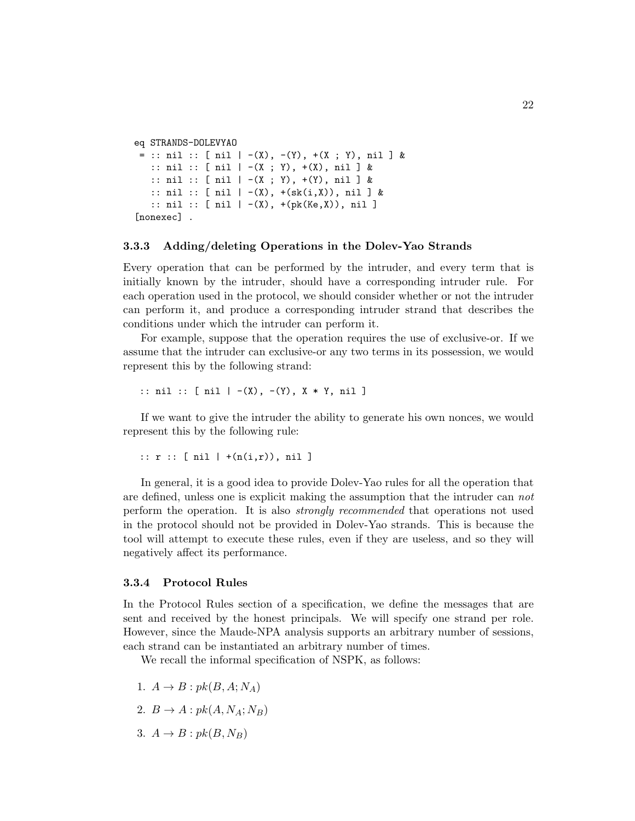```
eq STRANDS-DOLEVYAO
 = :: nil :: [ nil | -(X), -(Y), +(X ; Y), nil ] &
   :: nil :: [ nil | -(X ; Y), +(X), nil ] &
   :: nil :: [ nil | -(X ; Y), +(Y), nil ] &
   :: nil :: [ nil | -(X), +(sk(i,X)), nil ] &
   :: nil :: [ nil | -(X), +(pk(Ke,X)), nil ]
[nonexec] .
```
#### <span id="page-22-0"></span>3.3.3 Adding/deleting Operations in the Dolev-Yao Strands

Every operation that can be performed by the intruder, and every term that is initially known by the intruder, should have a corresponding intruder rule. For each operation used in the protocol, we should consider whether or not the intruder can perform it, and produce a corresponding intruder strand that describes the conditions under which the intruder can perform it.

For example, suppose that the operation requires the use of exclusive-or. If we assume that the intruder can exclusive-or any two terms in its possession, we would represent this by the following strand:

:: nil :: [ nil | -(X), -(Y), X \* Y, nil ]

If we want to give the intruder the ability to generate his own nonces, we would represent this by the following rule:

```
:: r :: [ nil | +(n(i,r)), nil ]
```
In general, it is a good idea to provide Dolev-Yao rules for all the operation that are defined, unless one is explicit making the assumption that the intruder can not perform the operation. It is also strongly recommended that operations not used in the protocol should not be provided in Dolev-Yao strands. This is because the tool will attempt to execute these rules, even if they are useless, and so they will negatively affect its performance.

#### <span id="page-22-1"></span>3.3.4 Protocol Rules

In the Protocol Rules section of a specification, we define the messages that are sent and received by the honest principals. We will specify one strand per role. However, since the Maude-NPA analysis supports an arbitrary number of sessions, each strand can be instantiated an arbitrary number of times.

We recall the informal specification of NSPK, as follows:

- 1.  $A \rightarrow B : pk(B, A; N_A)$
- 2.  $B \rightarrow A : pk(A, N_A; N_B)$
- 3.  $A \rightarrow B : pk(B, N_B)$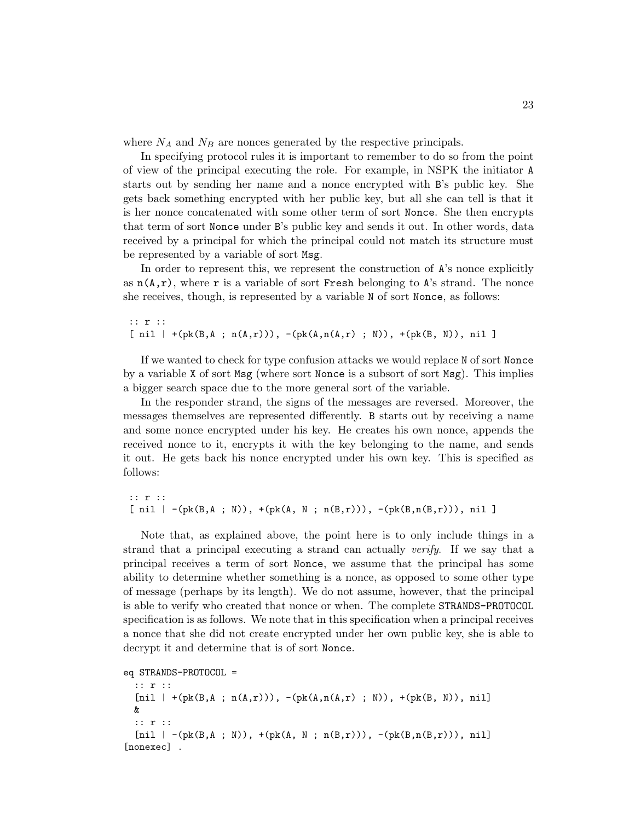where  $N_A$  and  $N_B$  are nonces generated by the respective principals.

In specifying protocol rules it is important to remember to do so from the point of view of the principal executing the role. For example, in NSPK the initiator A starts out by sending her name and a nonce encrypted with B's public key. She gets back something encrypted with her public key, but all she can tell is that it is her nonce concatenated with some other term of sort Nonce. She then encrypts that term of sort Nonce under B's public key and sends it out. In other words, data received by a principal for which the principal could not match its structure must be represented by a variable of sort Msg.

In order to represent this, we represent the construction of A's nonce explicitly as  $n(A,r)$ , where r is a variable of sort Fresh belonging to A's strand. The nonce she receives, though, is represented by a variable N of sort Nonce, as follows:

#### :: r ::  $[ni]$  + (pk(B,A; n(A,r))), - (pk(A,n(A,r); N)), + (pk(B, N)), nil ]

If we wanted to check for type confusion attacks we would replace N of sort Nonce by a variable X of sort Msg (where sort Nonce is a subsort of sort Msg). This implies a bigger search space due to the more general sort of the variable.

In the responder strand, the signs of the messages are reversed. Moreover, the messages themselves are represented differently. B starts out by receiving a name and some nonce encrypted under his key. He creates his own nonce, appends the received nonce to it, encrypts it with the key belonging to the name, and sends it out. He gets back his nonce encrypted under his own key. This is specified as follows:

```
:: r ::
[ nil | -(pk(B, A ; N)), +(pk(A, N ; n(B, r))), -(pk(B, n(B, r))), nil ]
```
Note that, as explained above, the point here is to only include things in a strand that a principal executing a strand can actually verify. If we say that a principal receives a term of sort Nonce, we assume that the principal has some ability to determine whether something is a nonce, as opposed to some other type of message (perhaps by its length). We do not assume, however, that the principal is able to verify who created that nonce or when. The complete STRANDS-PROTOCOL specification is as follows. We note that in this specification when a principal receives a nonce that she did not create encrypted under her own public key, she is able to decrypt it and determine that is of sort Nonce.

```
eq STRANDS-PROTOCOL =
```

```
:: r ::
 [nil | +(pk(B, A ; n(A, r))), -(pk(A, n(A, r) ; N)), +(pk(B, N)), nil]&
 :: r ::
 [nil | -(pk(B, A ; N)), +(pk(A, N ; n(B,r))), -(pk(B, n(B,r))), nil]
[nonexec] .
```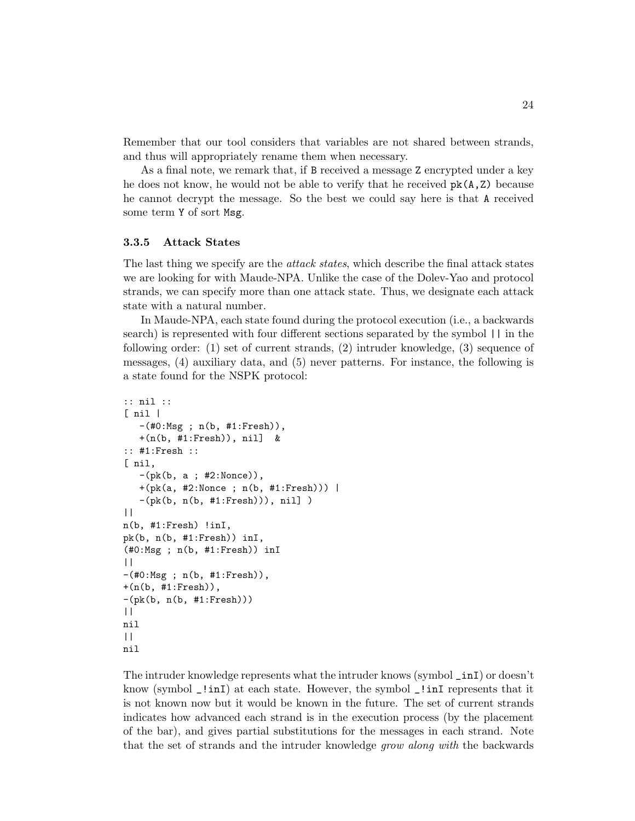Remember that our tool considers that variables are not shared between strands, and thus will appropriately rename them when necessary.

As a final note, we remark that, if B received a message Z encrypted under a key he does not know, he would not be able to verify that he received  $pk(A, Z)$  because he cannot decrypt the message. So the best we could say here is that A received some term Y of sort Msg.

#### <span id="page-24-0"></span>3.3.5 Attack States

The last thing we specify are the *attack states*, which describe the final attack states we are looking for with Maude-NPA. Unlike the case of the Dolev-Yao and protocol strands, we can specify more than one attack state. Thus, we designate each attack state with a natural number.

In Maude-NPA, each state found during the protocol execution (i.e., a backwards search) is represented with four different sections separated by the symbol || in the following order: (1) set of current strands, (2) intruder knowledge, (3) sequence of messages, (4) auxiliary data, and (5) never patterns. For instance, the following is a state found for the NSPK protocol:

```
:: nil ::
\lceil nil \lceil-(#0:Msg ; n(b, #1:Fresh)),
   +(n(b, #1:Fresh)), nil] &
:: #1:Fresh ::
[ nil,
   -(pk(b, a ; #2:Nonce)),+(pk(a, #2:Nonce ; n(b, #1:Fresh))) |
   -(pk(b, n(b, #1:Fresh))), nil] )
| \ |n(b, #1:Fresh) !inI,
pk(b, n(b, #1:Fresh)) inI,
(#0:Msg ; n(b, #1:Fresh)) inI
| \cdot |-(#0:Msg ; n(b, #1:Fresh)),
+(n(b, #1:Fresh)),
-(pk(b, n(b, #1:FFresh)))| \cdot |nil
| \ |nil
```
The intruder knowledge represents what the intruder knows (symbol \_inI) or doesn't know (symbol \_!inI) at each state. However, the symbol \_!inI represents that it is not known now but it would be known in the future. The set of current strands indicates how advanced each strand is in the execution process (by the placement of the bar), and gives partial substitutions for the messages in each strand. Note that the set of strands and the intruder knowledge grow along with the backwards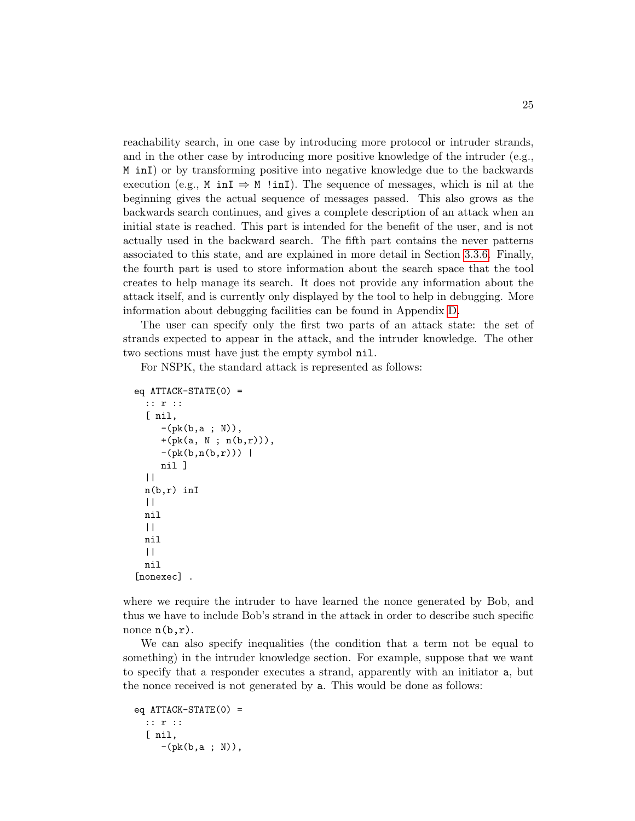reachability search, in one case by introducing more protocol or intruder strands, and in the other case by introducing more positive knowledge of the intruder (e.g., M inI) or by transforming positive into negative knowledge due to the backwards execution (e.g., M inI  $\Rightarrow$  M !inI). The sequence of messages, which is nil at the beginning gives the actual sequence of messages passed. This also grows as the backwards search continues, and gives a complete description of an attack when an initial state is reached. This part is intended for the benefit of the user, and is not actually used in the backward search. The fifth part contains the never patterns associated to this state, and are explained in more detail in Section [3.3.6.](#page-27-0) Finally, the fourth part is used to store information about the search space that the tool creates to help manage its search. It does not provide any information about the attack itself, and is currently only displayed by the tool to help in debugging. More information about debugging facilities can be found in Appendix [D.](#page-61-0)

The user can specify only the first two parts of an attack state: the set of strands expected to appear in the attack, and the intruder knowledge. The other two sections must have just the empty symbol nil.

For NSPK, the standard attack is represented as follows:

```
eq ATTACK-STATE(0) =
  :: r ::
  [ nil,
     -(pk(b, a ; N)),+(pk(a, N ; n(b,r))),
     -(pk(b, n(b, r))) |
     nil ]
  ||
  n(b,r) inI
  | \ |nil
  ||
  nil
  ||
  nil
[nonexec] .
```
where we require the intruder to have learned the nonce generated by Bob, and thus we have to include Bob's strand in the attack in order to describe such specific nonce  $n(b,r)$ .

We can also specify inequalities (the condition that a term not be equal to something) in the intruder knowledge section. For example, suppose that we want to specify that a responder executes a strand, apparently with an initiator a, but the nonce received is not generated by a. This would be done as follows:

```
eq ATTACK-STATE(0) =:: r ::
  [ nil,
     -(pk(b,a ; N)),
```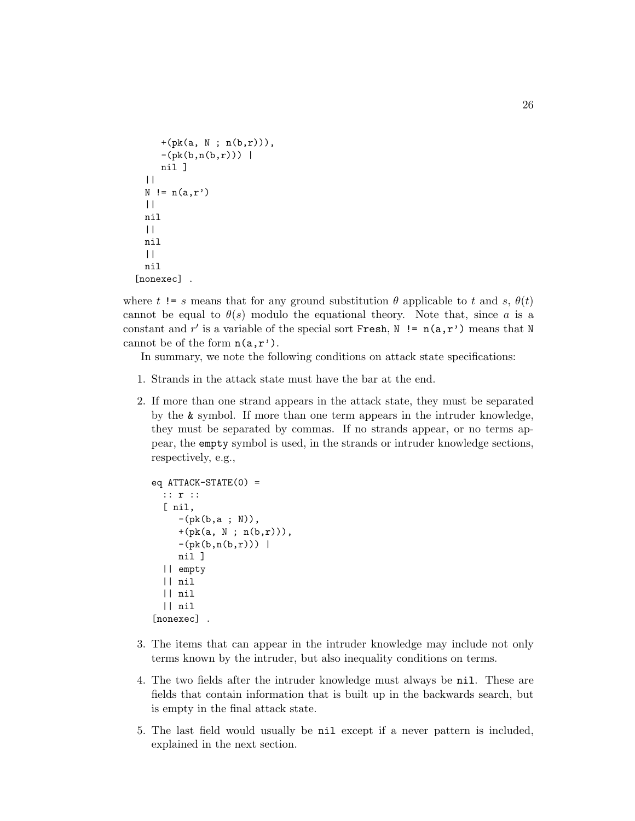```
+(pk(a, N ; n(b,r))),
      -(pk(b, n(b, r))) |
     nil ]
  | \ |N := n(a,r')| \ |nil
  | \cdot |nil
  | \cdot |nil
[nonexec] .
```
where t != s means that for any ground substitution  $\theta$  applicable to t and s,  $\theta(t)$ cannot be equal to  $\theta(s)$  modulo the equational theory. Note that, since a is a constant and  $r'$  is a variable of the special sort Fresh, N !=  $n(a,r')$  means that N cannot be of the form  $n(a,r')$ .

In summary, we note the following conditions on attack state specifications:

- 1. Strands in the attack state must have the bar at the end.
- 2. If more than one strand appears in the attack state, they must be separated by the & symbol. If more than one term appears in the intruder knowledge, they must be separated by commas. If no strands appear, or no terms appear, the empty symbol is used, in the strands or intruder knowledge sections, respectively, e.g.,

```
eq ATTACK-STATE(0) =:: r ::
  [ nil,
     -(pk(b,a; N)),+(pk(a, N ; n(b,r))),-(pk(b, n(b, r))) |
     nil ]
  || empty
  || nil
  || nil
  || nil
[nonexec] .
```
- 3. The items that can appear in the intruder knowledge may include not only terms known by the intruder, but also inequality conditions on terms.
- 4. The two fields after the intruder knowledge must always be nil. These are fields that contain information that is built up in the backwards search, but is empty in the final attack state.
- 5. The last field would usually be nil except if a never pattern is included, explained in the next section.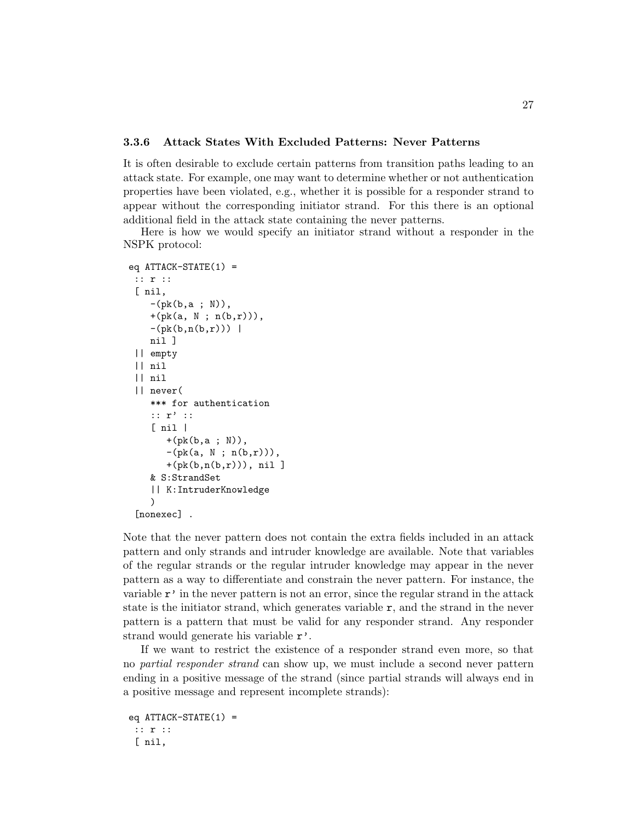#### <span id="page-27-0"></span>3.3.6 Attack States With Excluded Patterns: Never Patterns

It is often desirable to exclude certain patterns from transition paths leading to an attack state. For example, one may want to determine whether or not authentication properties have been violated, e.g., whether it is possible for a responder strand to appear without the corresponding initiator strand. For this there is an optional additional field in the attack state containing the never patterns.

Here is how we would specify an initiator strand without a responder in the NSPK protocol:

```
eq ATTACK-STATE(1) =:: r ::
 [ nil,
    -(pk(b,a ; N)),+(pk(a, N ; n(b,r))),
    -(pk(b, n(b, r))) |
    nil ]
 || empty
 || nil
 || nil
 || never(
    *** for authentication
    :: r' ::
    [ nil |
       +(pk(b,a ; N)),
       -(pk(a, N ; n(b,r))),+(pk(b,n(b,r))), nil ]
    & S:StrandSet
    || K:IntruderKnowledge
    \lambda[nonexec] .
```
Note that the never pattern does not contain the extra fields included in an attack pattern and only strands and intruder knowledge are available. Note that variables of the regular strands or the regular intruder knowledge may appear in the never pattern as a way to differentiate and constrain the never pattern. For instance, the variable  $\mathbf{r}'$  in the never pattern is not an error, since the regular strand in the attack state is the initiator strand, which generates variable  $r$ , and the strand in the never pattern is a pattern that must be valid for any responder strand. Any responder strand would generate his variable r'.

If we want to restrict the existence of a responder strand even more, so that no partial responder strand can show up, we must include a second never pattern ending in a positive message of the strand (since partial strands will always end in a positive message and represent incomplete strands):

```
eq ATTACK-STATE(1) =:: r ::
 [ nil,
```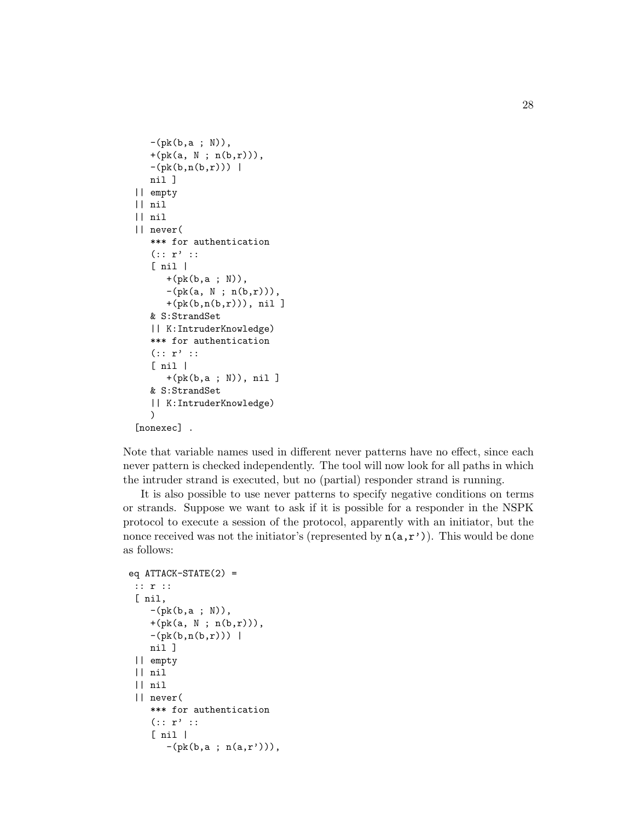```
-(pk(b,a ; N)),+(pk(a, N ; n(b,r))),
   -(pk(b, n(b, r))) |
   nil ]
|| empty
|| nil
|| nil
|| never(
   *** for authentication
   (:: r': :[ nil |
      +(pk(b,a ; N)),
      -(pk(a, N ; n(b,r))),+(pk(b,n(b,r))), nil]
   & S:StrandSet
   || K:IntruderKnowledge)
   *** for authentication
   (:: r': :[ nil |
      +(pk(b,a ; N)), nil ]
   & S:StrandSet
   || K:IntruderKnowledge)
   \lambda[nonexec] .
```
Note that variable names used in different never patterns have no effect, since each never pattern is checked independently. The tool will now look for all paths in which the intruder strand is executed, but no (partial) responder strand is running.

It is also possible to use never patterns to specify negative conditions on terms or strands. Suppose we want to ask if it is possible for a responder in the NSPK protocol to execute a session of the protocol, apparently with an initiator, but the nonce received was not the initiator's (represented by  $n(a,r')$ ). This would be done as follows:

```
eq ATTACK-STATE(2) =
:: r ::
 [ nil,
    -(pk(b,a ; N)),+(pk(a, N ; n(b,r))),
    -(pk(b, n(b, r))) |
    nil ]
 || empty
 || nil
 || nil
 || never(
    *** for authentication
    (:: r':[ nil |
       -(pk(b,a ; n(a,r'))),
```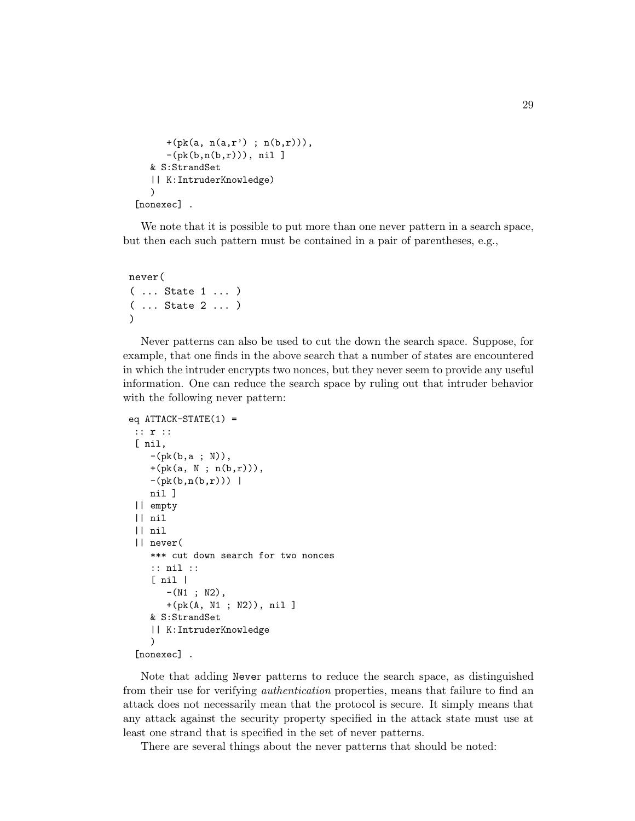```
+(pk(a, n(a,r') ; n(b,r))),
      -(pk(b,n(b,r))), nil ]
  & S:StrandSet
   || K:IntruderKnowledge)
   \lambda[nonexec] .
```
We note that it is possible to put more than one never pattern in a search space, but then each such pattern must be contained in a pair of parentheses, e.g.,

```
never(
( ... State 1 ... )
( ... State 2 ... )
\lambda
```
Never patterns can also be used to cut the down the search space. Suppose, for example, that one finds in the above search that a number of states are encountered in which the intruder encrypts two nonces, but they never seem to provide any useful information. One can reduce the search space by ruling out that intruder behavior with the following never pattern:

```
eq ATTACK-STATE(1) =:: r ::
 [ nil,
    -(pk(b,a ; N)),+(pk(a, N ; n(b,r))),
    -(pk(b, n(b, r))) |
    nil ]
 || empty
 || nil
 || nil
 || never(
    *** cut down search for two nonces
    :: nil ::
    [ nil |
       -(N1 ; N2),+(pk(A, N1 ; N2)), nil ]
    & S:StrandSet
    || K:IntruderKnowledge
    \lambda[nonexec] .
```
Note that adding Never patterns to reduce the search space, as distinguished from their use for verifying authentication properties, means that failure to find an attack does not necessarily mean that the protocol is secure. It simply means that any attack against the security property specified in the attack state must use at least one strand that is specified in the set of never patterns.

There are several things about the never patterns that should be noted: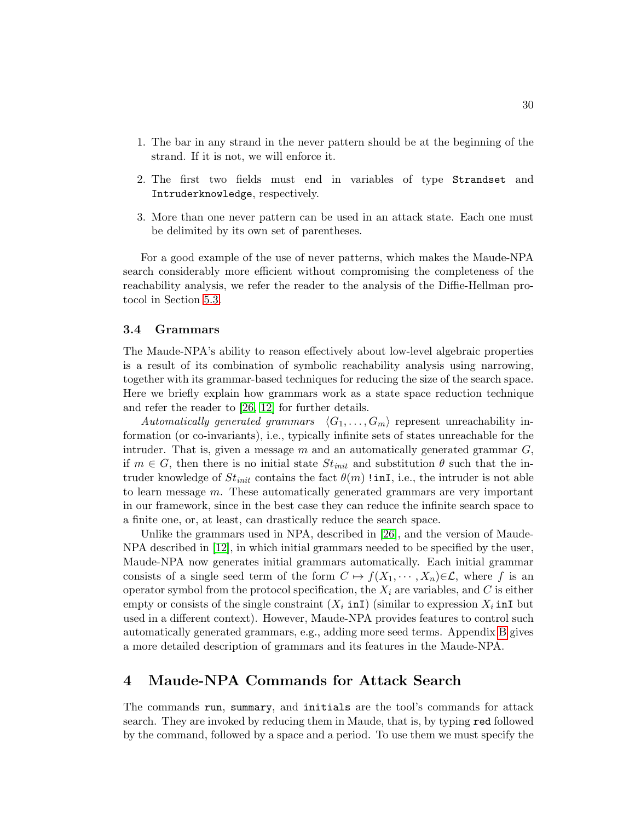- 1. The bar in any strand in the never pattern should be at the beginning of the strand. If it is not, we will enforce it.
- 2. The first two fields must end in variables of type Strandset and Intruderknowledge, respectively.
- 3. More than one never pattern can be used in an attack state. Each one must be delimited by its own set of parentheses.

For a good example of the use of never patterns, which makes the Maude-NPA search considerably more efficient without compromising the completeness of the reachability analysis, we refer the reader to the analysis of the Diffie-Hellman protocol in Section [5.3.](#page-41-0)

#### <span id="page-30-0"></span>3.4 Grammars

The Maude-NPA's ability to reason effectively about low-level algebraic properties is a result of its combination of symbolic reachability analysis using narrowing, together with its grammar-based techniques for reducing the size of the search space. Here we briefly explain how grammars work as a state space reduction technique and refer the reader to [\[26,](#page-53-7) [12\]](#page-52-0) for further details.

Automatically generated grammars  $\langle G_1, \ldots, G_m \rangle$  represent unreachability information (or co-invariants), i.e., typically infinite sets of states unreachable for the intruder. That is, given a message  $m$  and an automatically generated grammar  $G$ , if  $m \in G$ , then there is no initial state  $St_{init}$  and substitution  $\theta$  such that the intruder knowledge of  $St_{init}$  contains the fact  $\theta(m)$ !inI, i.e., the intruder is not able to learn message m. These automatically generated grammars are very important in our framework, since in the best case they can reduce the infinite search space to a finite one, or, at least, can drastically reduce the search space.

Unlike the grammars used in NPA, described in [\[26\]](#page-53-7), and the version of Maude-NPA described in [\[12\]](#page-52-0), in which initial grammars needed to be specified by the user, Maude-NPA now generates initial grammars automatically. Each initial grammar consists of a single seed term of the form  $C \mapsto f(X_1, \dots, X_n) \in \mathcal{L}$ , where f is an operator symbol from the protocol specification, the  $X_i$  are variables, and C is either empty or consists of the single constraint  $(X_i \text{ inI})$  (similar to expression  $X_i \text{ inI}$  but used in a different context). However, Maude-NPA provides features to control such automatically generated grammars, e.g., adding more seed terms. Appendix [B](#page-58-0) gives a more detailed description of grammars and its features in the Maude-NPA.

## <span id="page-30-1"></span>4 Maude-NPA Commands for Attack Search

The commands run, summary, and initials are the tool's commands for attack search. They are invoked by reducing them in Maude, that is, by typing red followed by the command, followed by a space and a period. To use them we must specify the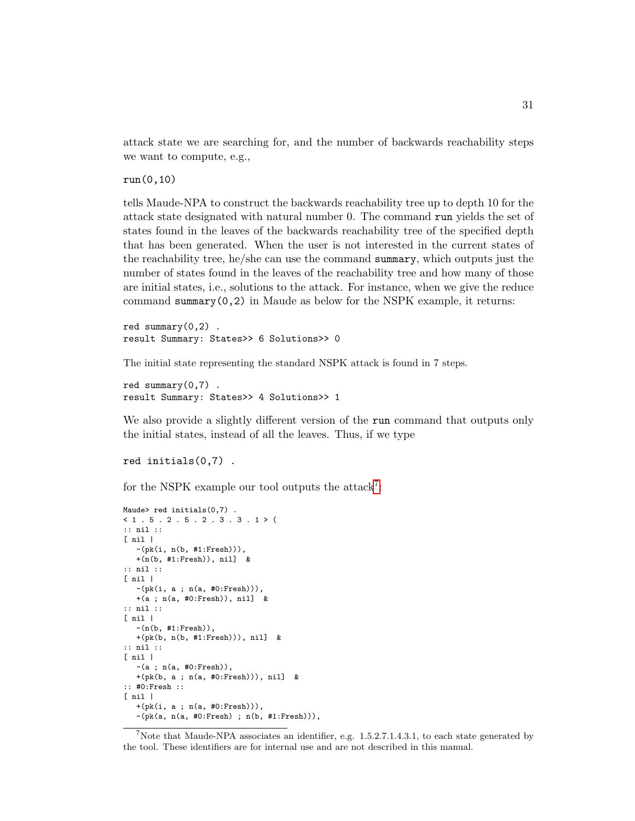attack state we are searching for, and the number of backwards reachability steps we want to compute, e.g.,

run(0,10)

tells Maude-NPA to construct the backwards reachability tree up to depth 10 for the attack state designated with natural number 0. The command run yields the set of states found in the leaves of the backwards reachability tree of the specified depth that has been generated. When the user is not interested in the current states of the reachability tree, he/she can use the command summary, which outputs just the number of states found in the leaves of the reachability tree and how many of those are initial states, i.e., solutions to the attack. For instance, when we give the reduce command summary $(0,2)$  in Maude as below for the NSPK example, it returns:

red summary $(0,2)$ . result Summary: States>> 6 Solutions>> 0

The initial state representing the standard NSPK attack is found in 7 steps.

```
red summary(0,7).
result Summary: States>> 4 Solutions>> 1
```
We also provide a slightly different version of the run command that outputs only the initial states, instead of all the leaves. Thus, if we type

```
red initials(0,7) .
```
for the NSPK example our tool outputs the attack<sup>[7](#page-31-0)</sup>:

```
Maude> red initials(0,7).
< 1 . 5 . 2 . 5 . 2 . 3 . 3 . 1 > (
:: nil ::
[ nil |
   -(pk(i, n(b, #1:Fresh))),
   +(n(b, #1:Fresh)), nil] &
:: nil ::
\lceil nil \lceil-(pk(i, a ; n(a, #0:FFesh))),+(a ; n(a, #0:Fresh)), nil] &
:: nil ::
[ nil |
   -(n(b, #1:Fresh)).
   +(pk(b, n(b, #1:Fresh))), nil] &
:: nil ::
[ nil |
   -(a ; n(a, #0:Fresh)),
   +(pk(b, a ; n(a, #0:Fresh))), nil] &
:: #0:Fresh ::
[ nil |
   +(pk(i, a ; n(a, #0:Fresh))),
   -(pk(a, n(a, #0:Fresh) ; n(b, #1:Fresh))),
```
<span id="page-31-0"></span><sup>7</sup>Note that Maude-NPA associates an identifier, e.g.  $1.5.2.7.1.4.3.1$ , to each state generated by the tool. These identifiers are for internal use and are not described in this manual.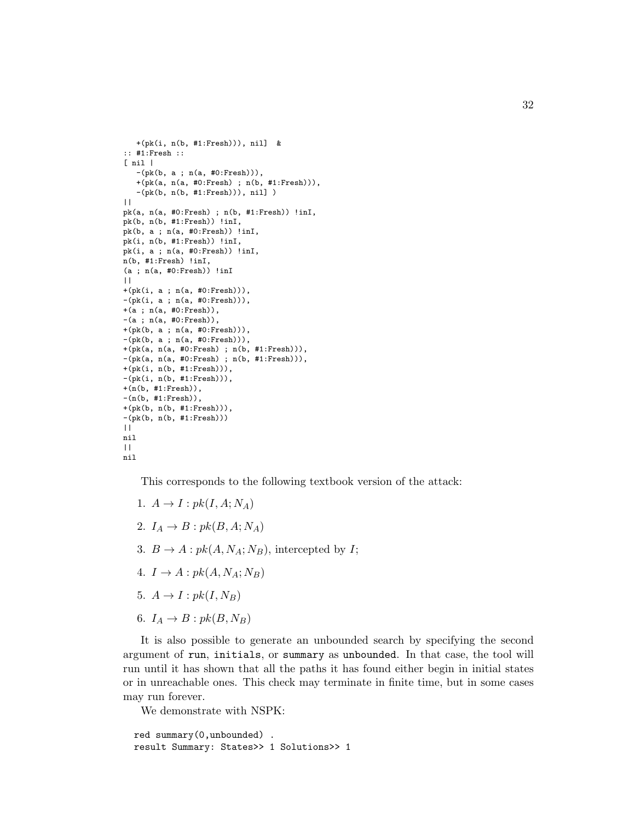```
+(pk(i, n(b, #1:Fresh))), nil] &
:: #1:Fresh ::
[ nil |
   -(pk(b, a ; n(a, #0:FFesh))),+(pk(a, n(a, #0:Fresh) ; n(b, #1:Fresh))),
   -(pk(b, n(b, #1:Fresh))), nil] )
||pk(a, n(a, #0:Fresh) ; n(b, #1:Fresh)) !inI,
pk(b, n(b, #1:Fresh)) !inI,
pk(b, a ; n(a, #0:Fresh)) !inI,
pk(i, n(b, #1:Fresh)) !inI,
pk(i, a ; n(a, #0:Fresh)) !inI,
n(b, #1:Fresh) !inI,
(a ; n(a, #0: Fresh)) !in I
| \ |+(pk(i, a ; n(a, #0:Fresh))),
-(pk(i, a ; n(a, #0:Fresh))),
+(a ; n(a, #0:Fresh)),
-(a ; n(a, #0:Fresh)),
+(pk(b, a ; n(a, #0:Fresh))),
-(pk(b, a ; n(a, #0:Fresh))),
+(pk(a, n(a, #0:Fresh) ; n(b, #1:Fresh))),
-(pk(a, n(a, #0:FFresh) ; n(b, #1:FFesh))),+(pk(i, n(b, #1:Fresh))),
-(pk(i, n(b, #1:Fresh))),
+(n(b, #1:Fresh)),
-(n(b, #1:Fresh)),+(pk(b, n(b, #1:Fresh))),
-(pk(b, n(b, #1:Fresh)))| \ |nil
| \ |nil
```
This corresponds to the following textbook version of the attack:

- 1.  $A \rightarrow I : pk(I, A; N_A)$
- 2.  $I_A \rightarrow B : pk(B, A; N_A)$
- 3.  $B \to A : pk(A, N_A; N_B)$ , intercepted by *I*;
- 4.  $I \rightarrow A : pk(A, N_A; N_B)$
- 5.  $A \rightarrow I : pk(I, N_B)$
- 6.  $I_A \rightarrow B : pk(B, N_B)$

It is also possible to generate an unbounded search by specifying the second argument of run, initials, or summary as unbounded. In that case, the tool will run until it has shown that all the paths it has found either begin in initial states or in unreachable ones. This check may terminate in finite time, but in some cases may run forever.

We demonstrate with NSPK:

red summary(0,unbounded) . result Summary: States>> 1 Solutions>> 1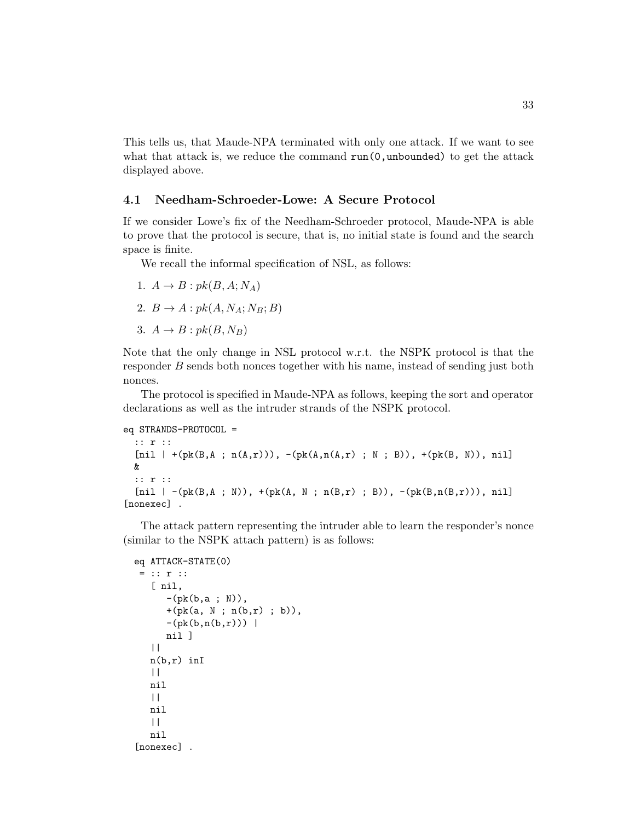This tells us, that Maude-NPA terminated with only one attack. If we want to see what that attack is, we reduce the command  $run(0,unbounded)$  to get the attack displayed above.

### <span id="page-33-0"></span>4.1 Needham-Schroeder-Lowe: A Secure Protocol

If we consider Lowe's fix of the Needham-Schroeder protocol, Maude-NPA is able to prove that the protocol is secure, that is, no initial state is found and the search space is finite.

We recall the informal specification of NSL, as follows:

- 1.  $A \rightarrow B : pk(B, A; N_A)$
- 2.  $B \to A : pk(A, N_A; N_B; B)$
- 3.  $A \rightarrow B : pk(B, N_B)$

Note that the only change in NSL protocol w.r.t. the NSPK protocol is that the responder B sends both nonces together with his name, instead of sending just both nonces.

The protocol is specified in Maude-NPA as follows, keeping the sort and operator declarations as well as the intruder strands of the NSPK protocol.

```
eq STRANDS-PROTOCOL =
```

```
:: r ::
 [nil | +(pk(B,A ; n(A,r))), -(pk(A,n(A,r) ; N ; B)), +(pk(B, N)), nil]
 &
 :: r ::
 [nil | -(pk(B, A ; N)), +(pk(A, N ; n(B, r) ; B)), -(pk(B, n(B, r))), nil]
[nonexec] .
```
The attack pattern representing the intruder able to learn the responder's nonce (similar to the NSPK attach pattern) is as follows:

```
eq ATTACK-STATE(0)
= :: r ::
   [ nil,
      -(pk(b,a ; N)),+(pk(a, N ; n(b,r) ; b)),
      -(pk(b, n(b, r))) |
      nil ]
   | \ |n(b,r) inI
   | \ |nil
   | \cdot |nil
   | \ |nil
[nonexec] .
```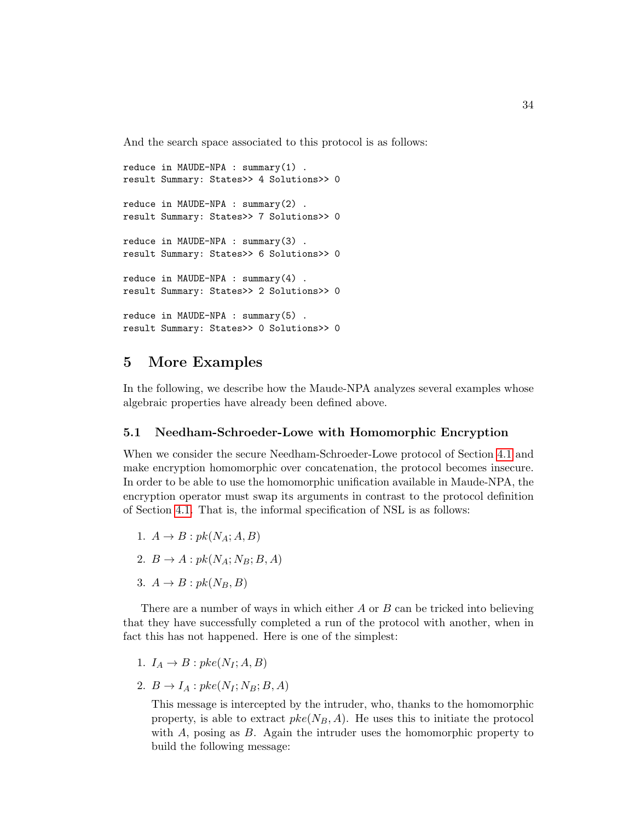And the search space associated to this protocol is as follows:

```
reduce in MAUDE-NPA : summary(1) .
result Summary: States>> 4 Solutions>> 0
reduce in MAUDE-NPA : summary(2) .
result Summary: States>> 7 Solutions>> 0
reduce in MAUDE-NPA : summary(3) .
result Summary: States>> 6 Solutions>> 0
reduce in MAUDE-NPA : summary(4) .
result Summary: States>> 2 Solutions>> 0
reduce in MAUDE-NPA : summary(5) .
result Summary: States>> 0 Solutions>> 0
```
## <span id="page-34-0"></span>5 More Examples

In the following, we describe how the Maude-NPA analyzes several examples whose algebraic properties have already been defined above.

#### <span id="page-34-1"></span>5.1 Needham-Schroeder-Lowe with Homomorphic Encryption

When we consider the secure Needham-Schroeder-Lowe protocol of Section [4.1](#page-33-0) and make encryption homomorphic over concatenation, the protocol becomes insecure. In order to be able to use the homomorphic unification available in Maude-NPA, the encryption operator must swap its arguments in contrast to the protocol definition of Section [4.1.](#page-33-0) That is, the informal specification of NSL is as follows:

- 1.  $A \rightarrow B : pk(N_A; A, B)$
- 2.  $B \rightarrow A : pk(N_A; N_B; B, A)$
- 3.  $A \rightarrow B : pk(N_B, B)$

There are a number of ways in which either A or B can be tricked into believing that they have successfully completed a run of the protocol with another, when in fact this has not happened. Here is one of the simplest:

- 1.  $I_A \rightarrow B$ :  $pke(N_I; A, B)$
- 2.  $B \rightarrow I_A$ :  $pke(N_I; N_B; B, A)$

This message is intercepted by the intruder, who, thanks to the homomorphic property, is able to extract  $pke(N_B, A)$ . He uses this to initiate the protocol with A, posing as B. Again the intruder uses the homomorphic property to build the following message: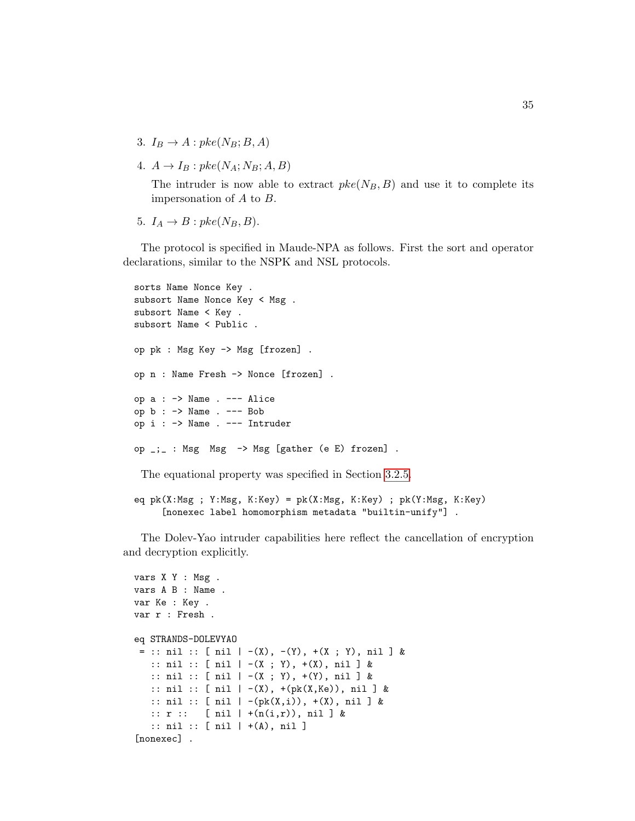- 3.  $I_B \rightarrow A : pke(N_B; B, A)$
- 4.  $A \rightarrow I_B : pke(N_A; N_B; A, B)$

The intruder is now able to extract  $pke(N_B, B)$  and use it to complete its impersonation of  $A$  to  $B$ .

5.  $I_A \rightarrow B$ :  $pke(N_B, B)$ .

The protocol is specified in Maude-NPA as follows. First the sort and operator declarations, similar to the NSPK and NSL protocols.

```
sorts Name Nonce Key .
subsort Name Nonce Key < Msg .
subsort Name < Key .
subsort Name < Public .
op pk : Msg Key -> Msg [frozen] .
op n : Name Fresh -> Nonce [frozen] .
op a : -> Name . --- Alice
op b : -> Name . --- Bob
op i : -> Name . --- Intruder
op _;_ : Msg Msg -> Msg [gather (e E) frozen] .
```
The equational property was specified in Section [3.2.5.](#page-12-0)

```
eq pk(X:MSg; Y:MSg, K:Key) = pk(X:MSg, K:Key); pk(Y:MSg, K:Key)[nonexec label homomorphism metadata "builtin-unify"] .
```
The Dolev-Yao intruder capabilities here reflect the cancellation of encryption and decryption explicitly.

```
vars X Y : Msg .
vars A B : Name .
var Ke : Key .
var r : Fresh .
eq STRANDS-DOLEVYAO
= :: nil :: [ nil | -(X), -(Y), +(X ; Y), nil ] &
   :: nil :: [ nil | -(X ; Y), +(X), nil ] &
   :: nil :: [ nil | -(X ; Y), +(Y), nil ] &
   :: nil :: [ nil | -(X), +(pk(X,Ke)), nil ] &
   :: nil :: [ nil | -(pk(X,i)), +(X), nil ] &
   :: r :: [ nil | +(n(i,r)), nil ] &
   :: nil :: [ nil | +(A), nil ]
[nonexec] .
```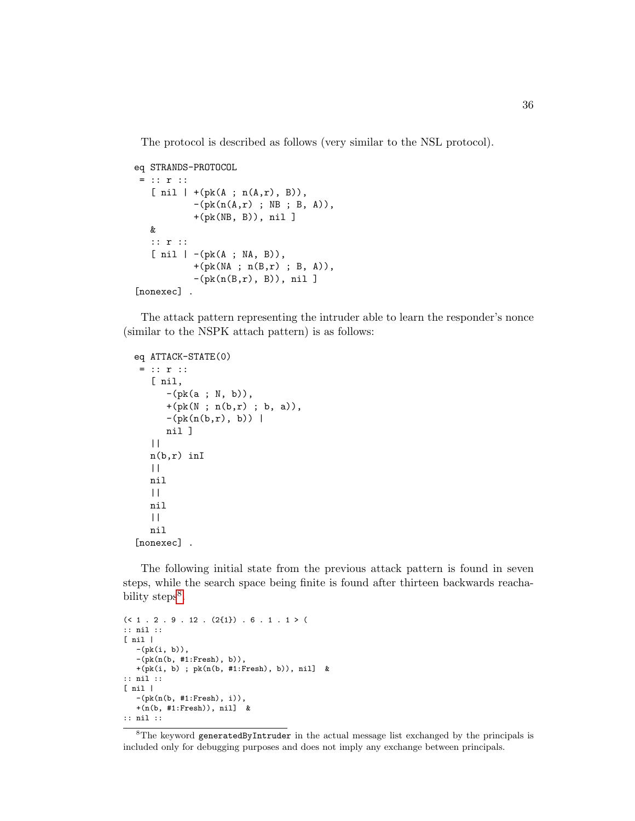The protocol is described as follows (very similar to the NSL protocol).

```
eq STRANDS-PROTOCOL
```

```
= :: r ::
  [nil] + (pk(A ; n(A,r), B)),-(pk(n(A, r) ; NB ; B, A)),+(pk(NB, B)), nil ]
  &
  :: r ::
  [nil] - (pk(A ; NA, B)),+(pk(NA ; n(B,r) ; B, A)),
          -(pk(n(B,r), B)), nil ]
[nonexec] .
```
The attack pattern representing the intruder able to learn the responder's nonce (similar to the NSPK attach pattern) is as follows:

```
eq ATTACK-STATE(0)
= :: r ::
   [ nil,
      -(pk(a ; N, b)),+(pk(N ; n(b,r) ; b, a)),-(pk(n(b,r), b)) |
      nil ]
   | \ |n(b,r) inI
   ||nil
   | \ |nil
   | \cdot |nil
[nonexec] .
```
The following initial state from the previous attack pattern is found in seven steps, while the search space being finite is found after thirteen backwards reacha-bility steps<sup>[8](#page-36-0)</sup>.

```
( 1 . \ 2 \ . \ 9 \ . \ 12 . (2\{1\}) \ . \ 6 \ . \ 1 \ . \ 1 > (
:: nil ::
[ nil |
   -(pk(i, b)),-(pk(n(b, #1:FFesh), b)),+(pk(i, b); pk(n(b, #1:Fresh), b)), nil] &
:: nil ::
[ nil |
   -(pk(n(b, #1:FFresh), i)),+(n(b, #1:Fresh)), nil] &
:: nil ::
```
<span id="page-36-0"></span><sup>8</sup>The keyword generatedByIntruder in the actual message list exchanged by the principals is included only for debugging purposes and does not imply any exchange between principals.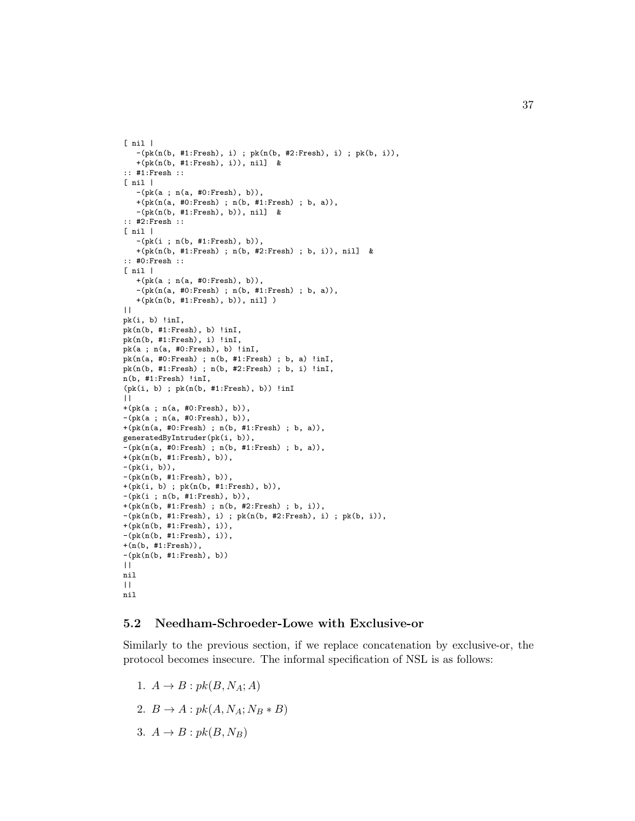```
[ nil |
   -(pk(n(b, #1:Fresh), i); pk(n(b, #2:Fresh), i); pk(b, i)),
   +(pk(n(b, #1:Fresh), i)), nil] &
:: #1:Fresh ::
[ nil |
   -(pk(a ; n(a, #0:Fresh), b)),
   +(pk(n(a, #0:Fresh) ; n(b, #1:Fresh) ; b, a)),
   -(pk(n(b, #1:Fresh), b)), nil] &
:: #2:Fresh ::
\lceil nil \lceil-(pk(i ; n(b, #1:Fresh), b)),+(pk(n(b, #1:Fresh) ; n(b, #2:Fresh) ; b, i)), nil] &
:: #0:Fresh ::
[ nil |
   +(pk(a ; n(a, #0:Fresh), b)),
   -(pk(n(a, #0:FFresh) ; n(b, #1:FFesh) ; b, a)),+(pk(n(b, #1:Fresh), b)), nil] )
||pk(i, b) !inI,
pk(n(b, #1:Fresh), b) linI,
pk(n(b, #1:Fresh), i) !inI,
pk(a ; n(a, #0:Fresh), b) !inI,
pk(n(a, #0:Fresh) ; n(b, #1:Fresh) ; b, a) !inI,
pk(n(b, #1:Fresh) ; n(b, #2:Fresh) ; b, i) !inI,
n(b, #1:Fresh) !inI,
(\text{pk}(i, b); \text{pk}(n(b, #1: Fresh), b)) !inI
| \ |+(pk(a ; n(a, #0:FFesh), b)),-(pk(a ; n(a, #0:Fresh), b)),
+(pk(n(a, #0:Fresh) ; n(b, #1:Fresh) ; b, a)),
generatedByIntruder(pk(i, b)),
-(pk(n(a, #0:Fresh) ; n(b, #1:Fresh) ; b, a)),+(pk(n(b, #1:Fresh), b)),
-(pk(i, b)),-(pk(n(b, #1:FFresh), b)),+(pk(i, b) ; pk(n(b, #1:Fresh), b)),
-(pk(i ; n(b, #1:Fresh), b)),
+(pk(n(b, #1:Fresh) ; n(b, #2:Fresh) ; b, i)),
-(pk(n(b, #1:Fresh), i) ; pk(n(b, #2:Fresh), i) ; pk(b, i)),
+(pk(n(b, #1:Fresh), i)),
-(pk(n(b, #1:Fresh), i)),
+(n(b, #1:Fresh)),
-(pk(n(b, #1:Fresh), b))||nil
| \ |nil
```
### 5.2 Needham-Schroeder-Lowe with Exclusive-or

Similarly to the previous section, if we replace concatenation by exclusive-or, the protocol becomes insecure. The informal specification of NSL is as follows:

- 1.  $A \rightarrow B : pk(B, N_A; A)$
- 2.  $B \rightarrow A : pk(A, N_A; N_B * B)$
- 3.  $A \rightarrow B : pk(B, N_B)$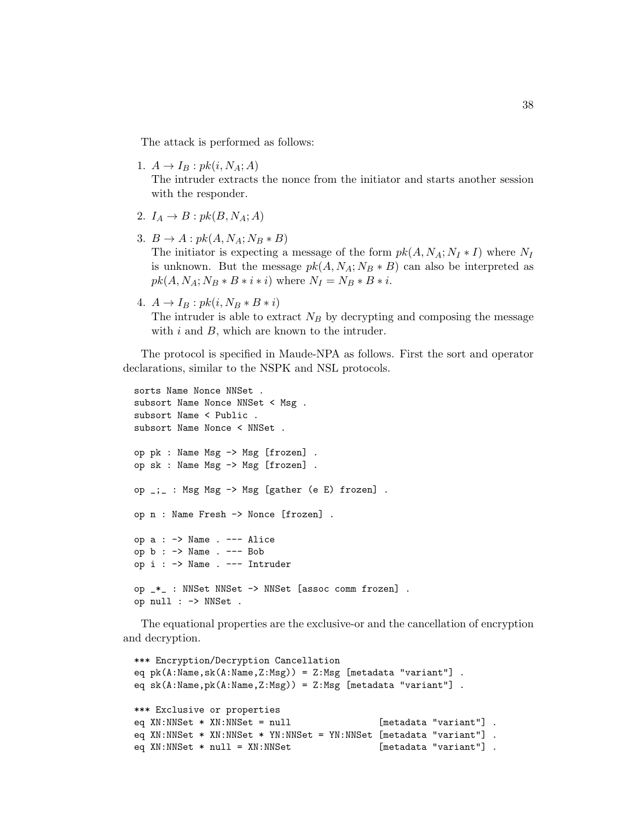The attack is performed as follows:

- 1.  $A \rightarrow I_B : pk(i, N_A; A)$ The intruder extracts the nonce from the initiator and starts another session with the responder.
- 2.  $I_A \rightarrow B : pk(B, N_A; A)$
- 3.  $B \rightarrow A : pk(A, N_A; N_B * B)$ The initiator is expecting a message of the form  $pk(A, N_A; N_I * I)$  where  $N_I$ is unknown. But the message  $pk(A, N_A; N_B * B)$  can also be interpreted as  $pk(A, N_A; N_B * B * i * i)$  where  $N_I = N_B * B * i$ .
- 4.  $A \rightarrow I_B : pk(i, N_B * B * i)$ The intruder is able to extract  $N_B$  by decrypting and composing the message with  $i$  and  $B$ , which are known to the intruder.

The protocol is specified in Maude-NPA as follows. First the sort and operator declarations, similar to the NSPK and NSL protocols.

```
sorts Name Nonce NNSet .
subsort Name Nonce NNSet < Msg .
subsort Name < Public .
subsort Name Nonce < NNSet .
op pk : Name Msg -> Msg [frozen] .
op sk : Name Msg -> Msg [frozen] .
op _;_ : Msg Msg -> Msg [gather (e E) frozen] .
op n : Name Fresh -> Nonce [frozen] .
op a : -\geq Name . --- Alice
op b : -> Name . --- Bob
op i : -> Name . --- Intruder
op _*_ : NNSet NNSet -> NNSet [assoc comm frozen] .
op null : -> NNSet .
```
The equational properties are the exclusive-or and the cancellation of encryption and decryption.

```
*** Encryption/Decryption Cancellation
eq pk(A:Name,sk(A:Name,Z:Msg)) = Z:Msg [metadata "variant"] .
eq sk(A:Name,pk(A:Name,Z:Msg)) = Z:Msg [metadata "variant"] .
*** Exclusive or properties
eq XN:NNSet * XN:NNSet = null [metadata "variant"] .
eq XN:NNSet * XN:NNSet * YN:NNSet = YN:NNSet [metadata "variant"].
eq XN:NNSet * null = XN:NNSet [metadata "variant"] .
```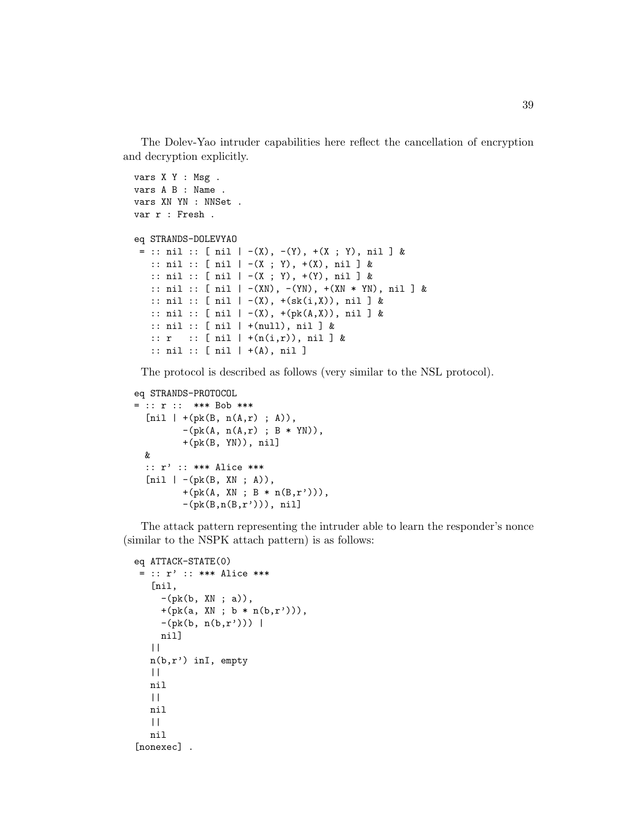The Dolev-Yao intruder capabilities here reflect the cancellation of encryption and decryption explicitly.

```
vars X Y : Msg .
vars A B : Name .
vars XN YN : NNSet .
var r : Fresh .
eq STRANDS-DOLEVYAO
= :: nil :: [ nil | -(X), -(Y), +(X ; Y), nil ] &
   :: nil :: [ nil | -(X ; Y), +(X), nil ] &
   :: nil :: [ nil | -(X ; Y), +(Y), nil ] &
   :: nil :: [ nil | -(XN), -(YN), +(XN * YN), nil ] &
   :: nil :: [ nil | -(X), +(sk(i,X)), nil ] &
   :: nil :: [ nil | -(X), +(pk(A,X)), nil ] &
   :: nil :: [ nil | +(null), nil ] &
   :: r : [nil] + (n(i,r)), nil] &
   :: nil :: [ nil | +(A), nil ]
```
The protocol is described as follows (very similar to the NSL protocol).

```
eq STRANDS-PROTOCOL
= :: r :: *** Bob ***
  [nil] + (pk(B, n(A,r) ; A)),-(pk(A, n(A, r) ; B * YN)),+(pk(B, YN)), nil]
  &
  :: r' :: *** Alice ***
  [nil] - (pk(B, XN ; A)),+(pk(A, \, XN ; B * n(B,r'))),-(pk(B, n(B, r'))), nil
```
The attack pattern representing the intruder able to learn the responder's nonce (similar to the NSPK attach pattern) is as follows:

```
eq ATTACK-STATE(0)
= :: r' :: *** Alice ***
   [nil,
     -(pk(b, XN ; a)),+(pk(a, NN ; b * n(b,r'))),-(pk(b, n(b, r'))) |
     nil]
   | \ |n(b,r') inI, empty
   | \ |nil
   | \cdot |nil
   | \ |nil
[nonexec] .
```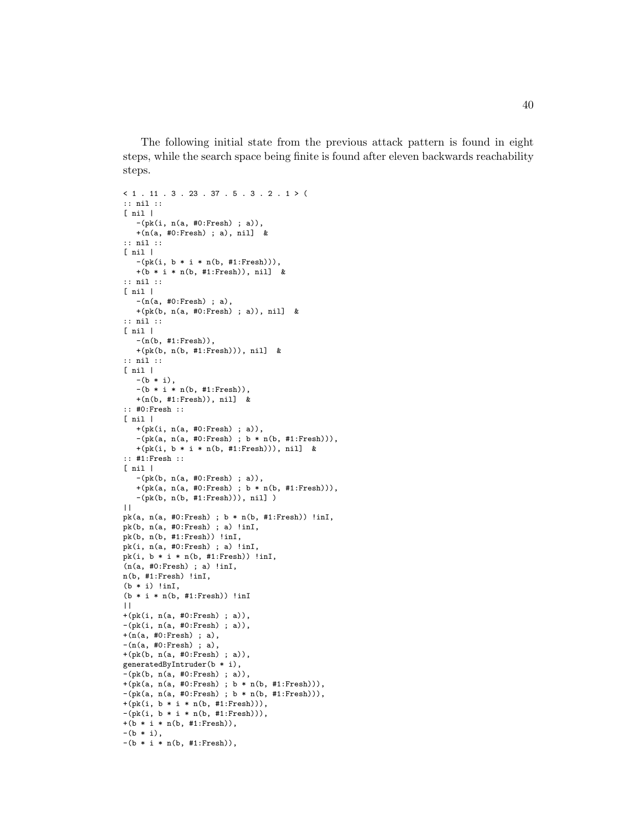The following initial state from the previous attack pattern is found in eight steps, while the search space being finite is found after eleven backwards reachability steps.

```
\leq 1 . 11 . 3 . 23 . 37 . 5 . 3 . 2 . 1 > (
:: nil ::
[ nil |
   -(pk(i, n(a, #0:Fresh) ; a)),
   +(n(a, #0:Fresh) ; a), nil] &
:: nil ::
[ nil |
   -(pk(i, b * i * n(b, #1:Fresh))),+(b * i * n(b, #1:Fresh)), nil] &
:: nil ::
[ nil |
   -(n(a, 40: Fresh); a),+(pk(b, n(a, #0:Fresh) ; a)), nil] &
:: nil ::
[ nil |
  -(n(b, #1:Fresh)),+(pk(b, n(b, #1:Fresh))), nil] &
:: nil ::
[ nil |
   -(b * i),
   -(b * i * n(b, #1: Fresh)),+(n(b, #1:Fresh)), nil] &
:: #0:Fresh ::
[ nil |
   +(pk(i, n(a, #0:Fresh) ; a)),
   -(pk(a, n(a, #0:FFresh) ; b * n(b, #1:Fresh))),+(pk(i, b * i * n(b, #1:Fresh))), nil] &
:: #1:Fresh ::
[ nil |
   -(pk(b, n(a, #0:Fresh) ; a)),
   +(pk(a, n(a, #0:Fresh) ; b * n(b, #1:Fresh))),
   -(pk(b, n(b, #1:Fresh))), nil] )
||pk(a, n(a, #0:FFesh); b * n(b, #1:FFesh)) !inI,
pk(b, n(a, #0:Fresh) ; a) !inI,
pk(b, n(b, #1:Fresh)) !inI,
pk(i, n(a, #0:Fresh) ; a) !inI,
pk(i, b * i * n(b, #1:FFresh)) !inI,
(n(a, #0: Fresh); a)! in I,
n(b, #1:Fresh) !inI,
(b * i) !inI,
(b * i * n(b, #1: Fresh)) !in I
| \ |+(pk(i, n(a, #0:Fresh) ; a)),
-(pk(i, n(a, #0:Fresh) ; a)),
+(n(a, #0:Fresh) ; a),
-(n(a, #0: Fresh); a),+(pk(b, n(a, #0:Fresh) ; a)),
generatedByIntruder(b * i),
-(pk(b, n(a, #0:FFresh) ; a)),+(pk(a, n(a, #0:Fresh) ; b * n(b, #1:Fresh))),
-(pk(a, n(a, #0:FFesh) ; b * n(b, #1:FFesh))),+(pk(i, b * i * n(b, #1:Fresh))),-(pk(i, b * i * n(b, #1:FFresh))),+(b * i * n(b, #1:Fresh)),
-(b * i),
-(b * i * n(b, #1:FFresh)),
```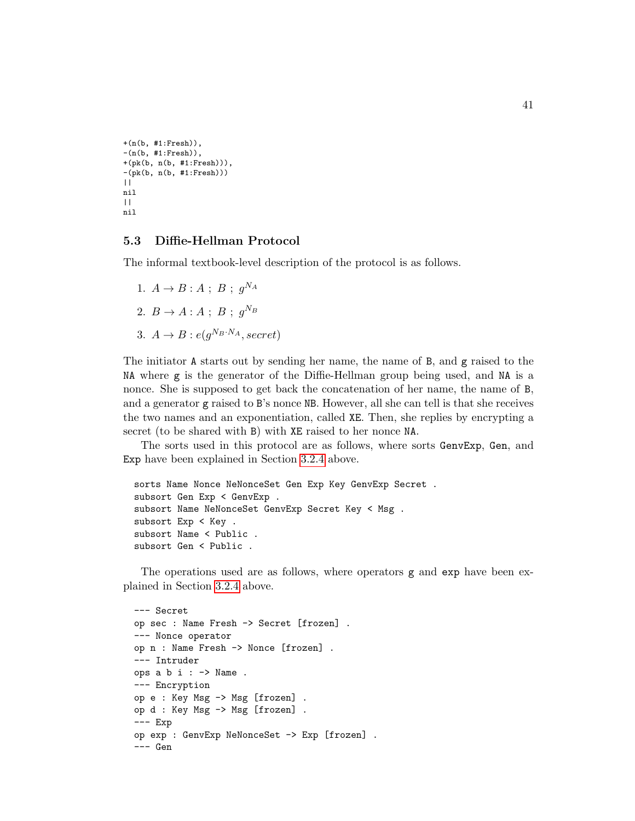```
+(n(b, #1:Fresh)),
-(n(b, #1:Fresh)),+(pk(b, n(b, #1:Fresh))),
-(pk(b, n(b, #1:Fresh)))
| \cdot |nil
| \cdot |nil
```
### <span id="page-41-0"></span>5.3 Diffie-Hellman Protocol

The informal textbook-level description of the protocol is as follows.

1.  $A \to B : A ; B ; g^{N_A}$ 2.  $B \to A : A ; B ; g^{N_B}$ 3.  $A \rightarrow B : e(g^{N_B \cdot N_A}, secret)$ 

The initiator A starts out by sending her name, the name of B, and g raised to the NA where g is the generator of the Diffie-Hellman group being used, and NA is a nonce. She is supposed to get back the concatenation of her name, the name of B, and a generator g raised to B's nonce NB. However, all she can tell is that she receives the two names and an exponentiation, called XE. Then, she replies by encrypting a secret (to be shared with B) with XE raised to her nonce NA.

The sorts used in this protocol are as follows, where sorts GenvExp, Gen, and Exp have been explained in Section [3.2.4](#page-11-0) above.

```
sorts Name Nonce NeNonceSet Gen Exp Key GenvExp Secret .
subsort Gen Exp < GenvExp .
subsort Name NeNonceSet GenvExp Secret Key < Msg .
subsort Exp < Key .
subsort Name < Public .
subsort Gen < Public .
```
The operations used are as follows, where operators g and exp have been explained in Section [3.2.4](#page-11-0) above.

```
--- Secret
op sec : Name Fresh -> Secret [frozen] .
--- Nonce operator
op n : Name Fresh -> Nonce [frozen] .
--- Intruder
ops a b i : -> Name .
--- Encryption
op e : Key Msg -> Msg [frozen] .
op d : Key Msg -> Msg [frozen] .
--- Exp
op exp : GenvExp NeNonceSet -> Exp [frozen] .
--- Gen
```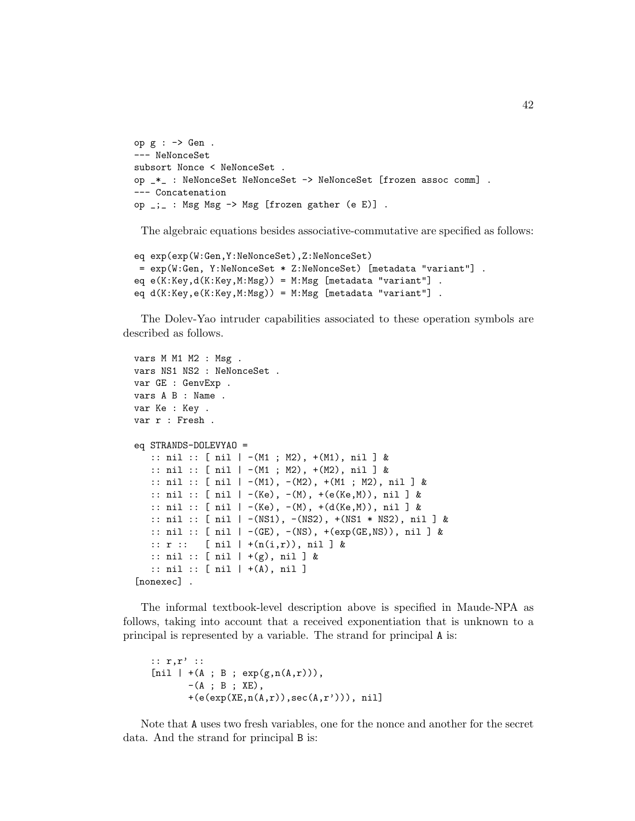```
op g : - Gen.
--- NeNonceSet
subsort Nonce < NeNonceSet .
op _*_ : NeNonceSet NeNonceSet -> NeNonceSet [frozen assoc comm] .
--- Concatenation
op _;_ : Msg Msg -> Msg [frozen gather (e E)] .
```
The algebraic equations besides associative-commutative are specified as follows:

```
eq exp(exp(W:Gen,Y:NeNonceSet),Z:NeNonceSet)
 = exp(W:Gen, Y:NeNonceSet * Z:NeNonceSet) [metadata "variant"] .
eq e(K:Key,d(K:Key,M:Msg)) = M:Msg [metadata "variant"] .
eq d(K:Key,e(K:Key,M:Msg)) = M:Msg [metadata "variant"] .
```
The Dolev-Yao intruder capabilities associated to these operation symbols are described as follows.

```
vars M M1 M2 : Msg .
vars NS1 NS2 : NeNonceSet .
var GE : GenvExp .
vars A B : Name .
var Ke : Key .
var r : Fresh .
eq STRANDS-DOLEVYAO =
   :: nil :: [ nil | -(M1 ; M2), +(M1), nil ] &
   :: nil :: [ nil | -(M1 ; M2), +(M2), nil ] &
   :: nil :: [ nil | -(M1), -(M2), +(M1 ; M2), nil ] &
   :: nil :: [ nil | -(Ke), -(M), +(e(Ke,M)), nil ] &
   :: nil :: [ nil | -(Ke), -(M), +(d(Ke,M)), nil ] &
   :: nil :: [ nil | -(NS1), -(NS2), +(NS1 * NS2), nil ] &
   :: nil :: [ nil | -(GE), -(NS), +(exp(GE,NS)), nil ] &
   :: r :: [ nil | +(n(i,r)), nil ] &
   :: nil :: [ nil | +(g), nil ] &
   :: nil :: [ nil | +(A), nil ]
[nonexec] .
```
The informal textbook-level description above is specified in Maude-NPA as follows, taking into account that a received exponentiation that is unknown to a principal is represented by a variable. The strand for principal A is:

```
:: r,r' ::
[nil | +(A ; B ; exp(g,n(A,r))),-(A ; B ; XE),+(e(exp(XE, n(A, r)), sec(A, r'))), nil
```
Note that A uses two fresh variables, one for the nonce and another for the secret data. And the strand for principal B is: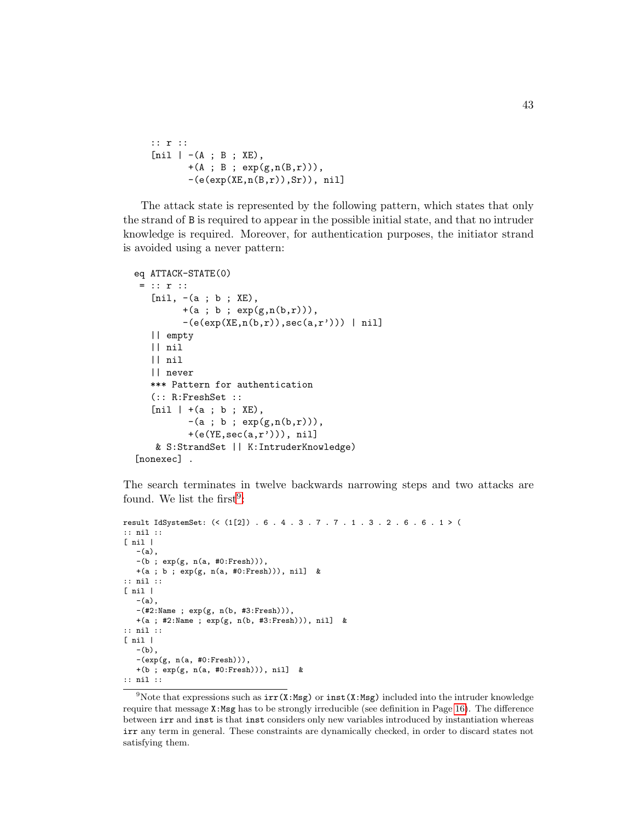```
:: r ::
[nil] - (A ; B ; XE),+(A ; B ; exp(g, n(B,r))),-(e(exp(XE, n(B, r)), Sr)), nil]
```
The attack state is represented by the following pattern, which states that only the strand of B is required to appear in the possible initial state, and that no intruder knowledge is required. Moreover, for authentication purposes, the initiator strand is avoided using a never pattern:

```
eq ATTACK-STATE(0)
 = :: \mathtt{r} ::
   [nil, -(a ; b ; XE),+(a ; b ; exp(g, n(b, r))),-(e(exp(XE, n(b, r)), sec(a, r'))) | nil]
   || empty
   || nil
   || nil
   || never
   *** Pattern for authentication
   (:: R:FreshSet ::
   [nil] + (a ; b ; XE),-(a ; b ; exp(g,n(b,r))),
          +(e(YE, sec(a, r'))), nil& S:StrandSet || K:IntruderKnowledge)
[nonexec] .
```
The search terminates in twelve backwards narrowing steps and two attacks are found. We list the first<sup>[9](#page-43-0)</sup>:

```
result IdSystemSet: (< (1[2]) . 6 . 4 . 3 . 7 . 7 . 1 . 3 . 2 . 6 . 6 . 1 > (
:: nil ::
[ nil |
   -(a),
   -(b ; exp(g, n(a, #0:FFesh))),+(a ; b ; exp(g, n(a, #0:Fresh))), nil] &
:: nil ::
[ nil |
   -(a),
   -(#2:Name ; exp(g, n(b, #3:Fresh))),
   +(a ; #2:Name ; exp(g, n(b, #3:Fresh))), nil] &
:: nil ::
[ nil |
   -(b).
   -(exp(g, n(a, #0:FFesh))),+(b ; exp(g, n(a, #0:Fresh))), nil] &
:: nil ::
```
<span id="page-43-0"></span><sup>&</sup>lt;sup>9</sup>Note that expressions such as  $irr(X:Msg)$  or  $inst(X:Msg)$  included into the intruder knowledge require that message  $X:MSg$  has to be strongly irreducible (see definition in Page [16\)](#page-16-0). The difference between irr and inst is that inst considers only new variables introduced by instantiation whereas irr any term in general. These constraints are dynamically checked, in order to discard states not satisfying them.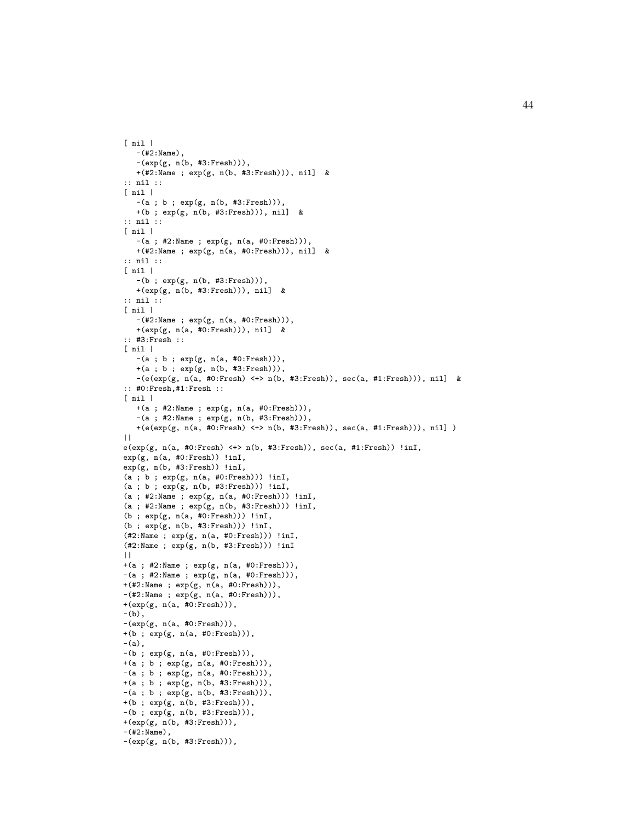```
[ nil |
   -(42:Name),
   -(exp(g, n(b, #3:Fresh))),+(#2:Name ; exp(g, n(b, #3:Fresh))), nil] &
:: nil ::
[nil ]-(a ; b ; exp(g, n(b, #3:FFesh))),+(b ; exp(g, n(b, #3:Fresh))), nil] &
:: nil ::
[ nil |
   -(a ; #2:Name ; exp(g, n(a, #0:FFesh))),+(#2:Name ; exp(g, n(a, #0:Fresh))), nil] &
:: nil ::
[ nil |
   -(b ; exp(g, n(b, #3:Fresh))),+(exp(g, n(b, #3:Fresh))), nil] &
:: nil ::
[ nil |
   -(#2:Name ; exp(g, n(a, #0:Fresh))),
   +(exp(g, n(a, #0:Fresh))), nil] &
:: #3:Fresh ::
[ nil |
   -(a ; b ; exp(g, n(a, #0:FFresh))),+(a ; b ; exp(g, n(b, #3:Fresh))),
   -(e(exp(g, n(a, #0:Fresh) <+> n(b, #3:Fresh)), sec(a, #1:Fresh))), nil] &
:: #0:Fresh,#1:Fresh ::
[ nil |
  +(a ; #2:Name ; exp(g, n(a, #0:Fresh))),
   -(a ; #2:Name ; exp(g, n(b, #3:Fresh))),
   +(e(exp(g, n(a, #0:Fresh) <+> n(b, #3:Fresh)), sec(a, #1:Fresh))), nil] )
| \ |e(exp(g, n(a, #0:Fresh) <+> n(b, #3:Fresh)), sec(a, #1:Fresh)) !inI,
exp(g, n(a, #0:Fresh)) !inI,
exp(g, n(b, #3:Fresh)) !inI,
(a ; b ; exp(g, n(a, #0:FFesh))) !inI,
(a ; b ; exp(g, n(b, #3:FFesh))) !inI,
(a ; #2:Name ; exp(g, n(a, #0:Fresh))) !inI,
(a ; #2:Name ; exp(g, n(b, #3:Fresh))) !inI,
(b ; exp(g, n(a, #0:Fresh))) linI,(b ; exp(g, n(b, #3:FFesh))) !inI,
(#2:Name ; exp(g, n(a, #0:Fresh))) !inI,
(#2:Name ; exp(g, n(b, #3:Fresh))) !inI
| \ |+(a ; #2:Name ; exp(g, n(a, #0:Fresh))),
-(a ; #2:Name ; exp(g, n(a, #0:Fresh))),
+(#2:Name ; exp(g, n(a, #0:Fresh))),
-(#2:Name ; exp(g, n(a, #0:Fresh))),
+(exp(g, n(a, #0:Fresh))),
-(b).
-(exp(g, n(a, #0:FFesh))),
+(b ; exp(g, n(a, #0:Fresh))),
-(a),
-(b ; exp(g, n(a, #0:Fresh))),+(a ; b ; exp(g, n(a, #0:Fresh))),
-(a ; b ; exp(g, n(a, #0:FFesh))),+(a ; b ; exp(g, n(b, #3:Fresh))),
-(a ; b ; exp(g, n(b, #3:Fresh))),
+(b ; exp(g, n(b, #3:Fresh))),
-(b ; exp(g, n(b, #3:Fresh))),
+(exp(g, n(b, #3:Fresh))),
-(42:Name).
-(exp(g, n(b, #3:Fresh))),
```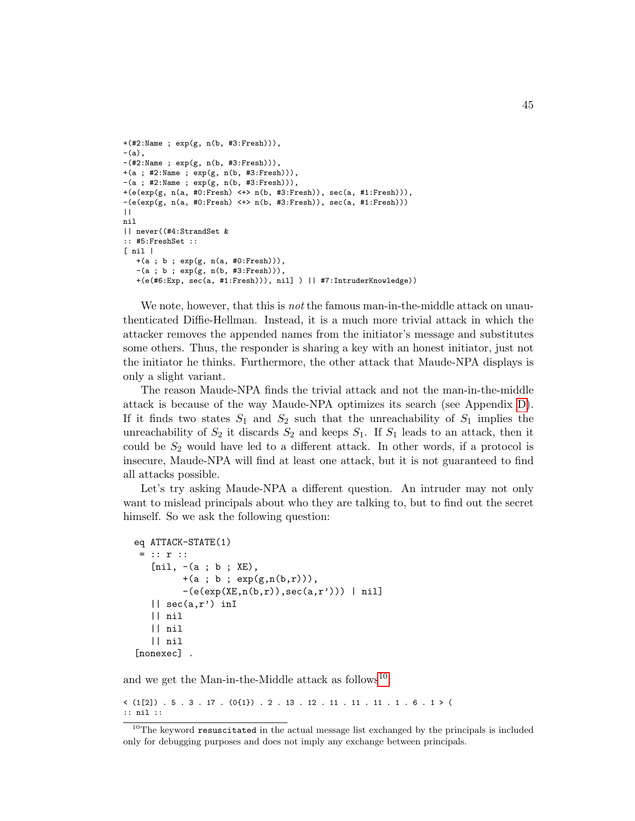```
+(#2:Name ; exp(g, n(b, #3:Fresh))),
-(a).
-(#2:Name ; exp(g, n(b, #3:Fresh))),
+(a ; #2:Name ; exp(g, n(b, #3:Fresh))),
-(a ; #2:Name ; exp(g, n(b, #3:Fresh))),
+(e(exp(g, n(a, #0:Fresh) <+> n(b, #3:Fresh)), sec(a, #1:Fresh))),
-(e(exp(g, n(a, #0:Fresh) <+> n(b, #3:Fresh)), sec(a, #1:Fresh)))
| \ |nil
|| never((#4:StrandSet &
:: #5:FreshSet ::
[ nil |
   +(a ; b ; exp(g, n(a, #0:Fresh))),
   -(a ; b ; exp(g, n(b, #3:Fresh))),
   +(e(#6:Exp, sec(a, #1:Fresh))), nil] ) || #7:IntruderKnowledge))
```
We note, however, that this is *not* the famous man-in-the-middle attack on unauthenticated Diffie-Hellman. Instead, it is a much more trivial attack in which the attacker removes the appended names from the initiator's message and substitutes some others. Thus, the responder is sharing a key with an honest initiator, just not the initiator he thinks. Furthermore, the other attack that Maude-NPA displays is only a slight variant.

The reason Maude-NPA finds the trivial attack and not the man-in-the-middle attack is because of the way Maude-NPA optimizes its search (see Appendix [D\)](#page-61-0). If it finds two states  $S_1$  and  $S_2$  such that the unreachability of  $S_1$  implies the unreachability of  $S_2$  it discards  $S_2$  and keeps  $S_1$ . If  $S_1$  leads to an attack, then it could be  $S_2$  would have led to a different attack. In other words, if a protocol is insecure, Maude-NPA will find at least one attack, but it is not guaranteed to find all attacks possible.

Let's try asking Maude-NPA a different question. An intruder may not only want to mislead principals about who they are talking to, but to find out the secret himself. So we ask the following question:

```
eq ATTACK-STATE(1)
= :: r ::
   [nil, -(a ; b ; XE),+(a ; b ; exp(g, n(b, r))),-(e(exp(XE, n(b, r)), sec(a, r'))) | nil]
   || sec(a,r') inI
   || nil
   || nil
   || nil
[nonexec] .
```
and we get the Man-in-the-Middle attack as follows<sup>[10](#page-45-0)</sup>:

 $\langle (1[2]) . 5 . 3 . 17 . (0[1]) . 2 . 13 . 12 . 11 . 11 . 11 . 1 . 6 . 1 \rangle$ :: nil ::

<span id="page-45-0"></span> $10$ The keyword resuscitated in the actual message list exchanged by the principals is included only for debugging purposes and does not imply any exchange between principals.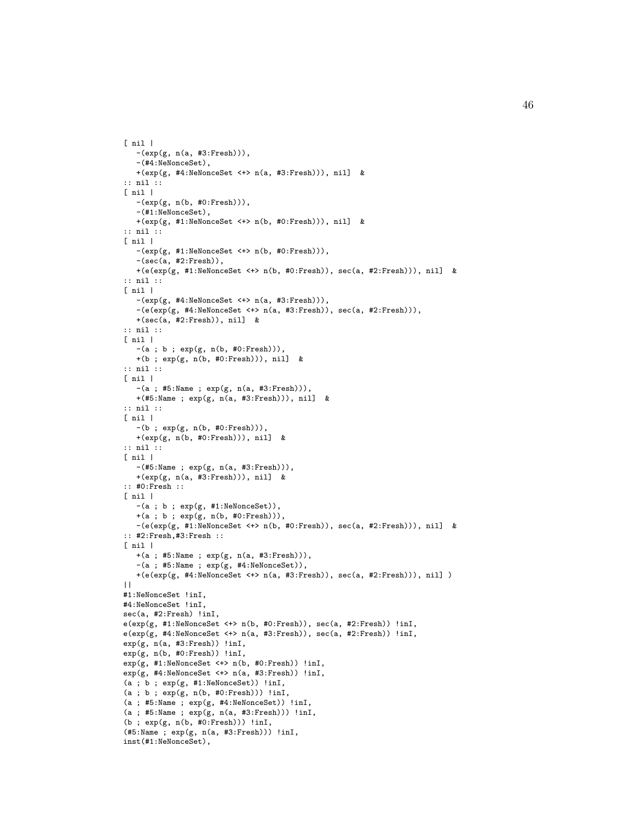```
[ nil |
   -(exp(g, n(a, #3:Fresh))),-(#4:NeNonceSet),
   +(exp(g, #4:NeNonceSet <+> n(a, #3:Fresh))), nil] &
:: nil ::
[ nil |
   -(exp(g, n(b, #0:FFesh))),-(#1:NeNonceSet),
   +(exp(g, #1:NeNonceSet <+> n(b, #0:Fresh))), nil] &
:: nil ::
[ nil |
   -(exp(g, #1:NeNonceSet <+> n(b, #0:Fresh))),
   -(sec(a, #2:Fresh)),+(e(exp(g, #1:NeNonceSet <+> n(b, #0:Fresh)), sec(a, #2:Fresh))), nil] &
:: nil ::
[ nil |
   -(exp(g, #4:NeNonceSet <+> n(a, #3:Fresh))),
   -(e(exp(g, #4:NelNonceSet <++) n(a, #3:Fresh)), sec(a, #2:Fresh))),+(sec(a, #2:Fresh)), nil] &
:: nil ::
[ nil |
   -(a ; b ; exp(g, n(b, #0:FFesh))),+(b ; exp(g, n(b, #0:Fresh))), nil] &
:: nil ::
[ nil |
   -(a ; #5:Name ; exp(g, n(a, #3:Fresh))),
   +(#5:Name ; exp(g, n(a, #3:Fresh))), nil] &
:: nil ::
[ nil |
  -(b ; exp(g, n(b, #0:Fresh))),
   +(exp(g, n(b, #0:Fresh))), nil] &
:: nil ::
[nil ]-(#5:Name ; exp(g, n(a, #3:Fresh))),
   +(exp(g, n(a, #3:Fresh))), nil] &
:: #0:Fresh ::
[ nil |
   -(a ; b ; exp(g, #1:NelNonceSet)),+(a ; b ; exp(g, n(b, #0:Fresh))),
   -(e(exp(g, #1:NeNonceSet <+> n(b, #0:Fresh)), sec(a, #2:Fresh))), nil] &
:: #2:Fresh,#3:Fresh ::
[nil ]+(a ; #5:Name ; exp(g, n(a, #3:Fresh))),
   -(a ; #5:Name ; exp(g, #4:NeNonceSet)),
   +(e(exp(g, #4:NelNonceSet < +&gt; n(a, #3:Freeh))), sec(a, #2:Freeh)))), nil] )
| \ |#1:NeNonceSet !inI,
#4:NeNonceSet !inI,
sec(a, #2:Fresh) !inI,
e(exp(g, #1:NelNonceSet <b>~</b>*) n(b, #0:Fresh)), sec(a, #2:Fresh)) !inI,e(exp(g, #4:NeNonceSet <+> n(a, #3:Fresh)), sec(a, #2:Fresh)) !inI,
exp(g, n(a, #3:Fresh)) !inI,
exp(g, n(b, #0:Fresh)) !inI,
exp(g, #1:NeNonceSet <+> n(b, #0:Fresh)) !inI,
exp(g, #4:NeNonceSet <+> n(a, #3:Fresh)) !inI,
(a ; b ; exp(g, #1:NeNonceSet)) !inI,
(a ; b ; exp(g, n(b, #0:FFesh))) !inI,
(a ; #5:Name ; exp(g, #4:NeNonceSet)) !inI,
(a ; #5:Name ; exp(g, n(a, #3:Fresh))) !inI,
(b ; exp(g, n(b, #0:FFesh))) linI,(#5:Name ; exp(g, n(a, #3:Fresh))) !inI,
inst(#1:NeNonceSet),
```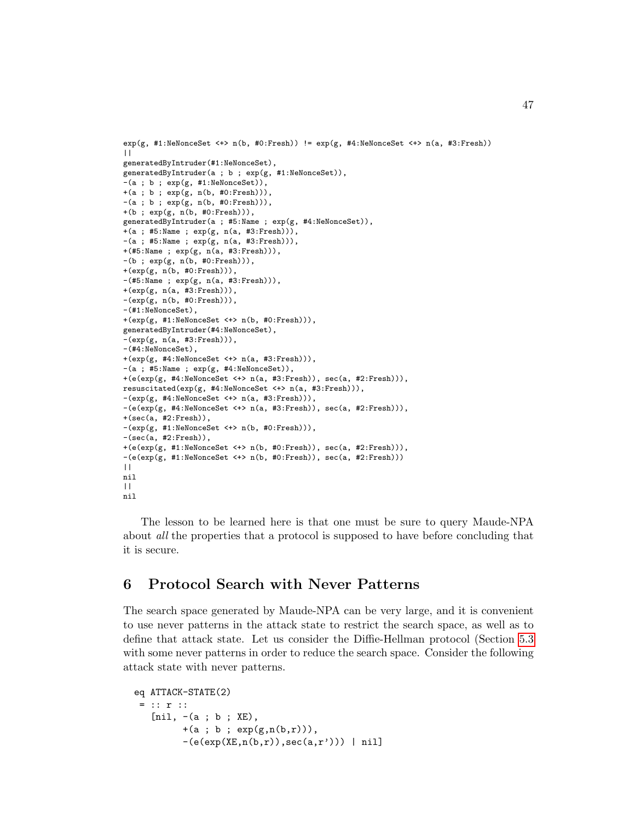```
exp(g, #1:NeNonceSet <+> n(b, #0:Fresh)) != exp(g, #4:NeNonceSet <+> n(a, #3:Fresh))
||
generatedByIntruder(#1:NeNonceSet),
generatedByIntruder(a ; b ; exp(g, #1:NeNonceSet)),
-(a ; b ; exp(g, #1:NeNonceSet)),
+(a ; b ; exp(g, n(b, #0:Fresh))),
-(a ; b ; exp(g, n(b, #0:Fresh))),
+(b ; exp(g, n(b, #0:Fresh))),
generatedByIntruder(a ; #5:Name ; exp(g, #4:NeNonceSet)),
+(a ; #5:Name ; exp(g, n(a, #3:Fresh))),
-(a ; #5:Name ; exp(g, n(a, #3:Fresh))),
+(#5:Name ; exp(g, n(a, #3:Fresh))),
-(b ; exp(g, n(b, #0:FFesh))),+(exp(g, n(b, #0:Fresh))),
-(#5:Name ; exp(g, n(a, #3:Fresh))),
+(exp(g, n(a, #3:Fresh))),
-(exp(g, n(b, #0:Fresh))),
-(#1:NeNonceSet),
+(exp(g, #1:NeNonceSet <+> n(b, #0:Fresh))),
generatedByIntruder(#4:NeNonceSet),
-(exp(g, n(a, #3:Fresh))),
-(#4:NeNonceSet),
+(exp(g, #4:NeNonceSet <+> n(a, #3:Fresh))),
-(a ; #5:Name ; exp(g, #4:NeNonceSet)),+(e(exp(g, #4:NeNonceSet <+> n(a, #3:Fresh)), sec(a, #2:Fresh))),
resuscitated(exp(g, #4:NeNonceSet <+> n(a, #3:Fresh))),
-(exp(g, #4:NeNonceSet <+> n(a, #3:Fresh))),
-(e(exp(g, #4:NeNonceSet < +) n(a, #3:Fresh)), sec(a, #2:Fresh))),+(sec(a, #2:Fresh)),
-(exp(g, #1:NeNonceSet <+> n(b, #0:Fresh))),
-(sec(a, #2:Fresh)),
+(e(exp(g, #1:NeNonceSet <+> n(b, #0:Fresh)), sec(a, #2:Fresh))),
-(e(exp(g, #1:NelNonceSet \leftrightarrow n(b, #0:Fresh)), sec(a, #2:Fresh)))||
nil
||nil
```
The lesson to be learned here is that one must be sure to query Maude-NPA about all the properties that a protocol is supposed to have before concluding that it is secure.

## 6 Protocol Search with Never Patterns

The search space generated by Maude-NPA can be very large, and it is convenient to use never patterns in the attack state to restrict the search space, as well as to define that attack state. Let us consider the Diffie-Hellman protocol (Section [5.3](#page-41-0) with some never patterns in order to reduce the search space. Consider the following attack state with never patterns.

```
eq ATTACK-STATE(2)
 = :: r ::
   [nil, -(a ; b ; XE),
         +(a ; b ; exp(g, n(b, r))),-(e(exp(XE, n(b, r)), sec(a, r'))) | nil]
```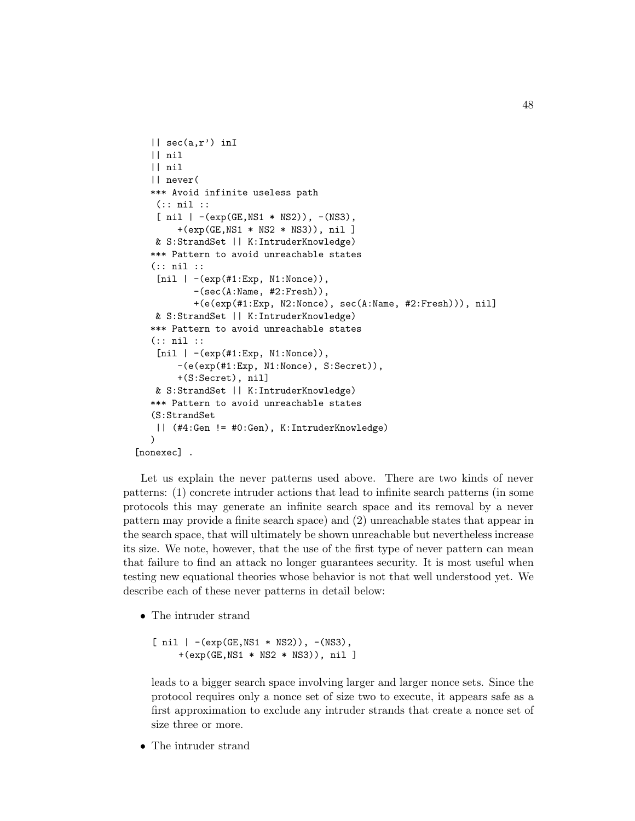```
|| sec(a,r') inI
  || nil
  || nil
  || never(
  *** Avoid infinite useless path
   (:: nil ::
   [ nil | -(exp(GE,NS1 * NS2)), -(NS3),
        +(exp(GE,NS1 * NS2 * NS3)), nil ]
   & S:StrandSet || K:IntruderKnowledge)
  *** Pattern to avoid unreachable states
  (:: nil ::
   [nil] -(exp(#1:Exp, N1:Nonce)),
           -(sec(A:Name, #2:Fresh)),
          +(e(exp(#1:Exp, N2:Nonce), sec(A:Name, #2:Fresh))), nil]
   & S:StrandSet || K:IntruderKnowledge)
  *** Pattern to avoid unreachable states
  (:: nil ::
   [nil | -(exp(+1:Exp, N1:Nonce)),
        -(e(exp(#1:Exp, N1:Nonce), S:Secret)),
       +(S:Secret), nil]
   & S:StrandSet || K:IntruderKnowledge)
  *** Pattern to avoid unreachable states
  (S:StrandSet
   || (#4:Gen != #0:Gen), K:IntruderKnowledge)
  \lambda[nonexec] .
```
Let us explain the never patterns used above. There are two kinds of never patterns: (1) concrete intruder actions that lead to infinite search patterns (in some protocols this may generate an infinite search space and its removal by a never pattern may provide a finite search space) and (2) unreachable states that appear in the search space, that will ultimately be shown unreachable but nevertheless increase its size. We note, however, that the use of the first type of never pattern can mean that failure to find an attack no longer guarantees security. It is most useful when testing new equational theories whose behavior is not that well understood yet. We describe each of these never patterns in detail below:

• The intruder strand

```
[ni] | -(exp(GE, NS1 * NS2)), -(NS3),
    +(exp(GE,NS1 * NS2 * NS3)), nil ]
```
leads to a bigger search space involving larger and larger nonce sets. Since the protocol requires only a nonce set of size two to execute, it appears safe as a first approximation to exclude any intruder strands that create a nonce set of size three or more.

• The intruder strand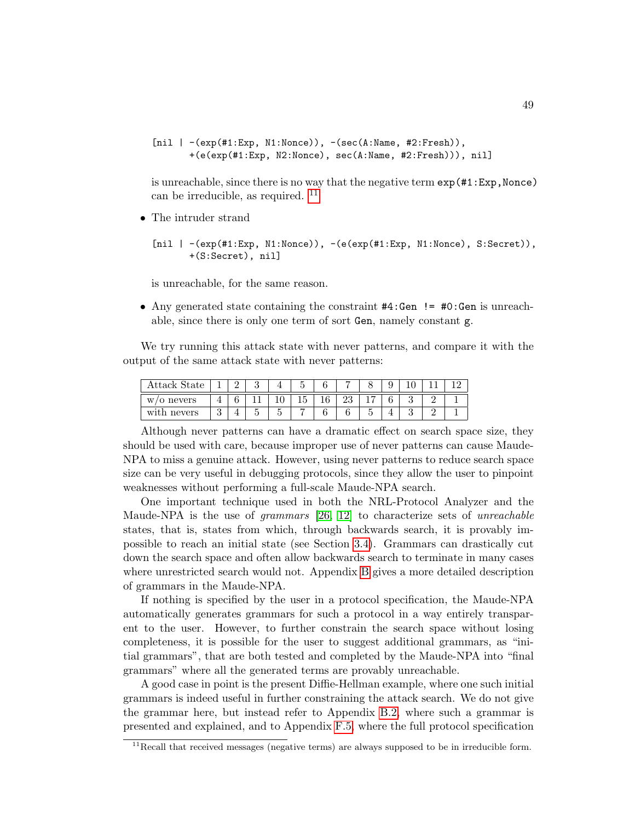```
[nil | -(\exp(\#1:Exp, N1:Nonce)), -(\sec(A:Name, #2:Fresh)),
       +(e(exp(#1:Exp, N2:Nonce), sec(A:Name, #2:Fresh))), nil]
```
is unreachable, since there is no way that the negative term exp(#1:Exp,Nonce) can be irreducible, as required. [11](#page-49-0)

• The intruder strand

```
[nil | -(exp(#1:Exp, N1:Nonce)), -(e(exp(#1:Exp, N1:Nonce), S:Secret)),
      +(S:Secret), nil]
```
is unreachable, for the same reason.

• Any generated state containing the constraint #4:Gen != #0:Gen is unreachable, since there is only one term of sort Gen, namely constant g.

We try running this attack state with never patterns, and compare it with the output of the same attack state with never patterns:

| ttack<br>State<br>$\mathbf{A}$ |    | ∩        |   |        |                  |           |   |    |   |  |
|--------------------------------|----|----------|---|--------|------------------|-----------|---|----|---|--|
| nevers<br>W                    |    | ື        |   | $\sim$ | $\sqrt{2}$<br>⊥∪ | ററ<br>∠ι∪ | − | ⌒  | ↶ |  |
| nevers<br>with                 | IJ | <b>.</b> | ٠ | -      |                  |           |   | л. |   |  |

Although never patterns can have a dramatic effect on search space size, they should be used with care, because improper use of never patterns can cause Maude-NPA to miss a genuine attack. However, using never patterns to reduce search space size can be very useful in debugging protocols, since they allow the user to pinpoint weaknesses without performing a full-scale Maude-NPA search.

One important technique used in both the NRL-Protocol Analyzer and the Maude-NPA is the use of grammars [\[26,](#page-53-0) [12\]](#page-52-0) to characterize sets of unreachable states, that is, states from which, through backwards search, it is provably impossible to reach an initial state (see Section [3.4\)](#page-30-0). Grammars can drastically cut down the search space and often allow backwards search to terminate in many cases where unrestricted search would not. Appendix [B](#page-58-0) gives a more detailed description of grammars in the Maude-NPA.

If nothing is specified by the user in a protocol specification, the Maude-NPA automatically generates grammars for such a protocol in a way entirely transparent to the user. However, to further constrain the search space without losing completeness, it is possible for the user to suggest additional grammars, as "initial grammars", that are both tested and completed by the Maude-NPA into "final grammars" where all the generated terms are provably unreachable.

A good case in point is the present Diffie-Hellman example, where one such initial grammars is indeed useful in further constraining the attack search. We do not give the grammar here, but instead refer to Appendix [B.2,](#page-59-0) where such a grammar is presented and explained, and to Appendix [F.5,](#page-70-0) where the full protocol specification

<span id="page-49-0"></span> $11$ Recall that received messages (negative terms) are always supposed to be in irreducible form.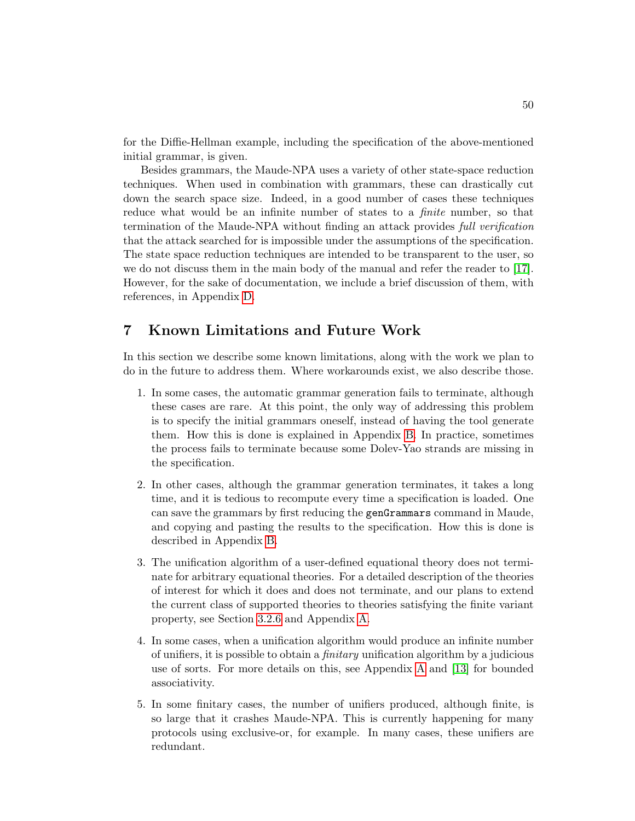for the Diffie-Hellman example, including the specification of the above-mentioned initial grammar, is given.

Besides grammars, the Maude-NPA uses a variety of other state-space reduction techniques. When used in combination with grammars, these can drastically cut down the search space size. Indeed, in a good number of cases these techniques reduce what would be an infinite number of states to a finite number, so that termination of the Maude-NPA without finding an attack provides full verification that the attack searched for is impossible under the assumptions of the specification. The state space reduction techniques are intended to be transparent to the user, so we do not discuss them in the main body of the manual and refer the reader to [\[17\]](#page-52-1). However, for the sake of documentation, we include a brief discussion of them, with references, in Appendix [D.](#page-61-0)

# 7 Known Limitations and Future Work

In this section we describe some known limitations, along with the work we plan to do in the future to address them. Where workarounds exist, we also describe those.

- 1. In some cases, the automatic grammar generation fails to terminate, although these cases are rare. At this point, the only way of addressing this problem is to specify the initial grammars oneself, instead of having the tool generate them. How this is done is explained in Appendix [B.](#page-58-0) In practice, sometimes the process fails to terminate because some Dolev-Yao strands are missing in the specification.
- 2. In other cases, although the grammar generation terminates, it takes a long time, and it is tedious to recompute every time a specification is loaded. One can save the grammars by first reducing the genGrammars command in Maude, and copying and pasting the results to the specification. How this is done is described in Appendix [B.](#page-58-0)
- 3. The unification algorithm of a user-defined equational theory does not terminate for arbitrary equational theories. For a detailed description of the theories of interest for which it does and does not terminate, and our plans to extend the current class of supported theories to theories satisfying the finite variant property, see Section [3.2.6](#page-13-0) and Appendix [A.](#page-53-1)
- 4. In some cases, when a unification algorithm would produce an infinite number of unifiers, it is possible to obtain a finitary unification algorithm by a judicious use of sorts. For more details on this, see Appendix [A](#page-53-1) and [\[13\]](#page-52-2) for bounded associativity.
- 5. In some finitary cases, the number of unifiers produced, although finite, is so large that it crashes Maude-NPA. This is currently happening for many protocols using exclusive-or, for example. In many cases, these unifiers are redundant.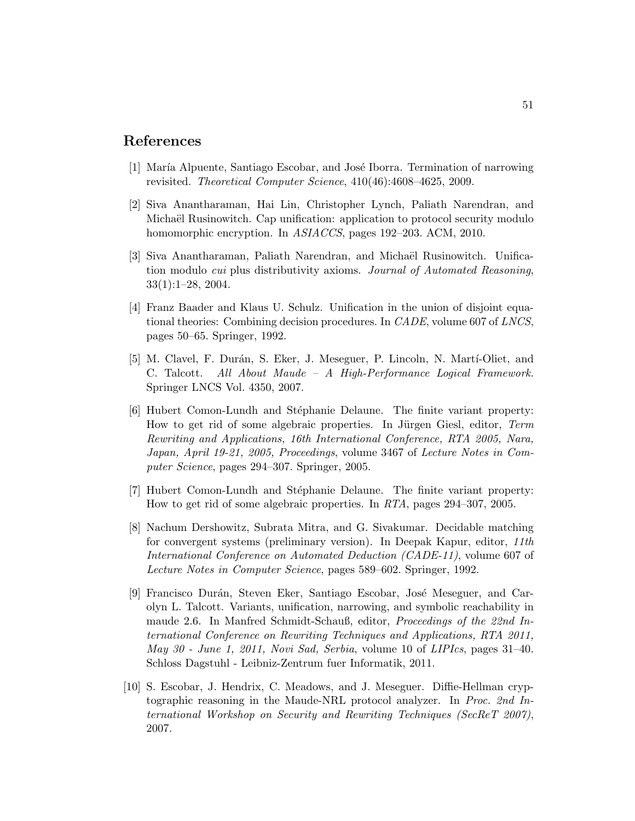## References

- <span id="page-51-2"></span>[1] María Alpuente, Santiago Escobar, and José Iborra. Termination of narrowing revisited. Theoretical Computer Science, 410(46):4608–4625, 2009.
- <span id="page-51-4"></span>[2] Siva Anantharaman, Hai Lin, Christopher Lynch, Paliath Narendran, and Michaël Rusinowitch. Cap unification: application to protocol security modulo homomorphic encryption. In ASIACCS, pages 192–203. ACM, 2010.
- [3] Siva Anantharaman, Paliath Narendran, and Michaël Rusinowitch. Unification modulo cui plus distributivity axioms. Journal of Automated Reasoning, 33(1):1–28, 2004.
- <span id="page-51-6"></span>[4] Franz Baader and Klaus U. Schulz. Unification in the union of disjoint equational theories: Combining decision procedures. In *CADE*, volume 607 of *LNCS*, pages 50–65. Springer, 1992.
- [5] M. Clavel, F. Durán, S. Eker, J. Meseguer, P. Lincoln, N. Martí-Oliet, and C. Talcott. All About Maude – A High-Performance Logical Framework. Springer LNCS Vol. 4350, 2007.
- <span id="page-51-3"></span>[6] Hubert Comon-Lundh and Stéphanie Delaune. The finite variant property: How to get rid of some algebraic properties. In Jürgen Giesl, editor, Term Rewriting and Applications, 16th International Conference, RTA 2005, Nara, Japan, April 19-21, 2005, Proceedings, volume 3467 of Lecture Notes in Computer Science, pages 294–307. Springer, 2005.
- <span id="page-51-5"></span>[7] Hubert Comon-Lundh and Stéphanie Delaune. The finite variant property: How to get rid of some algebraic properties. In RTA, pages 294–307, 2005.
- <span id="page-51-1"></span>[8] Nachum Dershowitz, Subrata Mitra, and G. Sivakumar. Decidable matching for convergent systems (preliminary version). In Deepak Kapur, editor, 11th International Conference on Automated Deduction (CADE-11), volume 607 of Lecture Notes in Computer Science, pages 589–602. Springer, 1992.
- <span id="page-51-0"></span>[9] Francisco Durán, Steven Eker, Santiago Escobar, José Meseguer, and Carolyn L. Talcott. Variants, unification, narrowing, and symbolic reachability in maude 2.6. In Manfred Schmidt-Schauß, editor, Proceedings of the 22nd International Conference on Rewriting Techniques and Applications, RTA 2011, May 30 - June 1, 2011, Novi Sad, Serbia, volume 10 of LIPIcs, pages 31–40. Schloss Dagstuhl - Leibniz-Zentrum fuer Informatik, 2011.
- [10] S. Escobar, J. Hendrix, C. Meadows, and J. Meseguer. Diffie-Hellman cryptographic reasoning in the Maude-NRL protocol analyzer. In Proc. 2nd International Workshop on Security and Rewriting Techniques (SecReT 2007), 2007.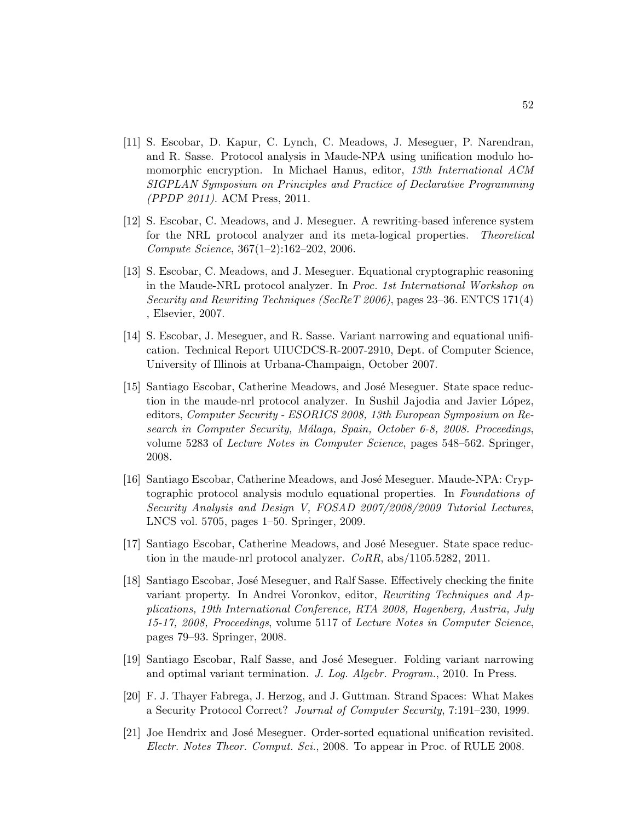- <span id="page-52-6"></span>[11] S. Escobar, D. Kapur, C. Lynch, C. Meadows, J. Meseguer, P. Narendran, and R. Sasse. Protocol analysis in Maude-NPA using unification modulo homomorphic encryption. In Michael Hanus, editor, 13th International ACM SIGPLAN Symposium on Principles and Practice of Declarative Programming (PPDP 2011). ACM Press, 2011.
- <span id="page-52-0"></span>[12] S. Escobar, C. Meadows, and J. Meseguer. A rewriting-based inference system for the NRL protocol analyzer and its meta-logical properties. Theoretical Compute Science, 367(1–2):162–202, 2006.
- <span id="page-52-2"></span>[13] S. Escobar, C. Meadows, and J. Meseguer. Equational cryptographic reasoning in the Maude-NRL protocol analyzer. In Proc. 1st International Workshop on Security and Rewriting Techniques (SecReT 2006), pages 23–36. ENTCS 171(4) , Elsevier, 2007.
- <span id="page-52-3"></span>[14] S. Escobar, J. Meseguer, and R. Sasse. Variant narrowing and equational unification. Technical Report UIUCDCS-R-2007-2910, Dept. of Computer Science, University of Illinois at Urbana-Champaign, October 2007.
- <span id="page-52-8"></span>[15] Santiago Escobar, Catherine Meadows, and José Meseguer. State space reduction in the maude-nrl protocol analyzer. In Sushil Jajodia and Javier López, editors, Computer Security - ESORICS 2008, 13th European Symposium on Research in Computer Security, Málaga, Spain, October 6-8, 2008. Proceedings, volume 5283 of Lecture Notes in Computer Science, pages 548–562. Springer, 2008.
- [16] Santiago Escobar, Catherine Meadows, and José Meseguer. Maude-NPA: Cryptographic protocol analysis modulo equational properties. In Foundations of Security Analysis and Design V, FOSAD 2007/2008/2009 Tutorial Lectures, LNCS vol. 5705, pages 1–50. Springer, 2009.
- <span id="page-52-1"></span>[17] Santiago Escobar, Catherine Meadows, and Jos´e Meseguer. State space reduction in the maude-nrl protocol analyzer. CoRR, abs/1105.5282, 2011.
- <span id="page-52-5"></span>[18] Santiago Escobar, José Meseguer, and Ralf Sasse. Effectively checking the finite variant property. In Andrei Voronkov, editor, Rewriting Techniques and Applications, 19th International Conference, RTA 2008, Hagenberg, Austria, July 15-17, 2008, Proceedings, volume 5117 of Lecture Notes in Computer Science, pages 79–93. Springer, 2008.
- <span id="page-52-4"></span>[19] Santiago Escobar, Ralf Sasse, and Jos´e Meseguer. Folding variant narrowing and optimal variant termination. J. Log. Algebr. Program., 2010. In Press.
- [20] F. J. Thayer Fabrega, J. Herzog, and J. Guttman. Strand Spaces: What Makes a Security Protocol Correct? Journal of Computer Security, 7:191–230, 1999.
- <span id="page-52-7"></span>[21] Joe Hendrix and José Meseguer. Order-sorted equational unification revisited. Electr. Notes Theor. Comput. Sci., 2008. To appear in Proc. of RULE 2008.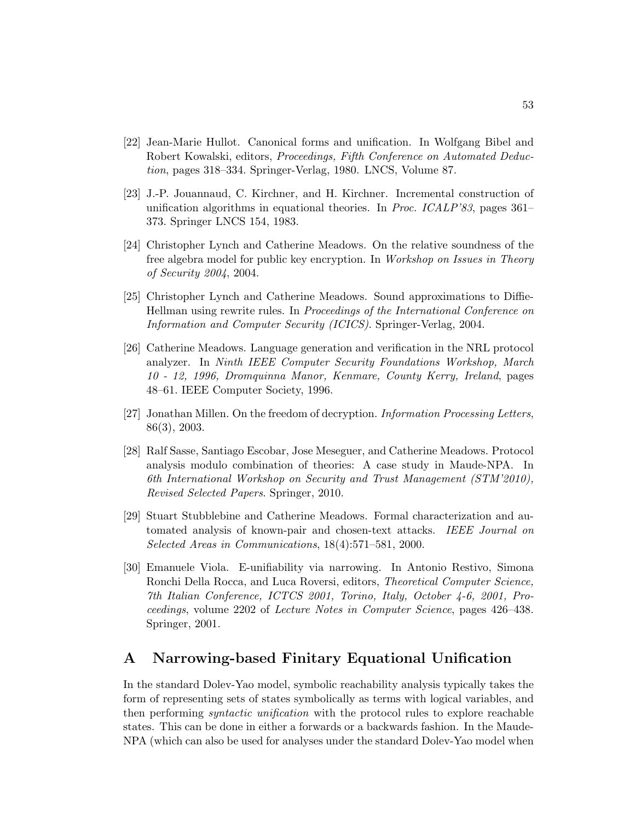- <span id="page-53-2"></span>[22] Jean-Marie Hullot. Canonical forms and unification. In Wolfgang Bibel and Robert Kowalski, editors, Proceedings, Fifth Conference on Automated Deduction, pages 318–334. Springer-Verlag, 1980. LNCS, Volume 87.
- <span id="page-53-3"></span>[23] J.-P. Jouannaud, C. Kirchner, and H. Kirchner. Incremental construction of unification algorithms in equational theories. In Proc. ICALP'83, pages 361– 373. Springer LNCS 154, 1983.
- [24] Christopher Lynch and Catherine Meadows. On the relative soundness of the free algebra model for public key encryption. In Workshop on Issues in Theory of Security 2004, 2004.
- [25] Christopher Lynch and Catherine Meadows. Sound approximations to Diffie-Hellman using rewrite rules. In Proceedings of the International Conference on Information and Computer Security (ICICS). Springer-Verlag, 2004.
- <span id="page-53-0"></span>[26] Catherine Meadows. Language generation and verification in the NRL protocol analyzer. In Ninth IEEE Computer Security Foundations Workshop, March 10 - 12, 1996, Dromquinna Manor, Kenmare, County Kerry, Ireland, pages 48–61. IEEE Computer Society, 1996.
- [27] Jonathan Millen. On the freedom of decryption. Information Processing Letters, 86(3), 2003.
- <span id="page-53-5"></span>[28] Ralf Sasse, Santiago Escobar, Jose Meseguer, and Catherine Meadows. Protocol analysis modulo combination of theories: A case study in Maude-NPA. In 6th International Workshop on Security and Trust Management (STM'2010), Revised Selected Papers. Springer, 2010.
- [29] Stuart Stubblebine and Catherine Meadows. Formal characterization and automated analysis of known-pair and chosen-text attacks. IEEE Journal on Selected Areas in Communications, 18(4):571–581, 2000.
- <span id="page-53-4"></span>[30] Emanuele Viola. E-unifiability via narrowing. In Antonio Restivo, Simona Ronchi Della Rocca, and Luca Roversi, editors, Theoretical Computer Science, 7th Italian Conference, ICTCS 2001, Torino, Italy, October 4-6, 2001, Proceedings, volume 2202 of Lecture Notes in Computer Science, pages 426–438. Springer, 2001.

# <span id="page-53-1"></span>A Narrowing-based Finitary Equational Unification

In the standard Dolev-Yao model, symbolic reachability analysis typically takes the form of representing sets of states symbolically as terms with logical variables, and then performing syntactic unification with the protocol rules to explore reachable states. This can be done in either a forwards or a backwards fashion. In the Maude-NPA (which can also be used for analyses under the standard Dolev-Yao model when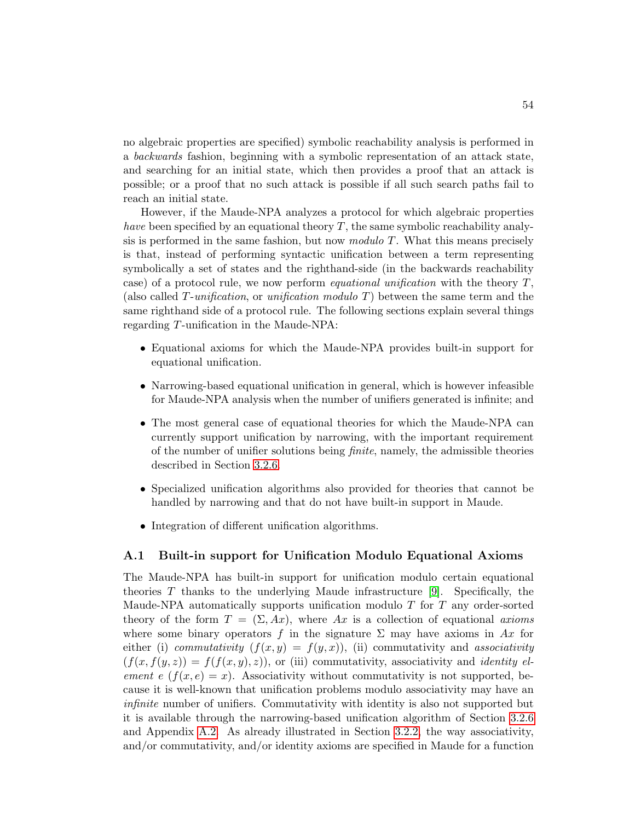no algebraic properties are specified) symbolic reachability analysis is performed in a backwards fashion, beginning with a symbolic representation of an attack state, and searching for an initial state, which then provides a proof that an attack is possible; or a proof that no such attack is possible if all such search paths fail to reach an initial state.

However, if the Maude-NPA analyzes a protocol for which algebraic properties have been specified by an equational theory  $T$ , the same symbolic reachability analysis is performed in the same fashion, but now modulo  $T$ . What this means precisely is that, instead of performing syntactic unification between a term representing symbolically a set of states and the righthand-side (in the backwards reachability case) of a protocol rule, we now perform *equational unification* with the theory  $T$ , (also called  $T$ -unification, or unification modulo  $T$ ) between the same term and the same righthand side of a protocol rule. The following sections explain several things regarding T-unification in the Maude-NPA:

- Equational axioms for which the Maude-NPA provides built-in support for equational unification.
- Narrowing-based equational unification in general, which is however infeasible for Maude-NPA analysis when the number of unifiers generated is infinite; and
- The most general case of equational theories for which the Maude-NPA can currently support unification by narrowing, with the important requirement of the number of unifier solutions being finite, namely, the admissible theories described in Section [3.2.6.](#page-13-0)
- Specialized unification algorithms also provided for theories that cannot be handled by narrowing and that do not have built-in support in Maude.
- Integration of different unification algorithms.

#### A.1 Built-in support for Unification Modulo Equational Axioms

The Maude-NPA has built-in support for unification modulo certain equational theories T thanks to the underlying Maude infrastructure [\[9\]](#page-51-0). Specifically, the Maude-NPA automatically supports unification modulo  $T$  for  $T$  any order-sorted theory of the form  $T = (\Sigma, Ax)$ , where Ax is a collection of equational axioms where some binary operators f in the signature  $\Sigma$  may have axioms in Ax for either (i) commutativity  $(f(x, y) = f(y, x))$ , (ii) commutativity and associativity  $(f(x, f(y, z)) = f(f(x, y), z)$ , or (iii) commutativity, associativity and *identity el*ement e  $(f(x, e) = x)$ . Associativity without commutativity is not supported, because it is well-known that unification problems modulo associativity may have an infinite number of unifiers. Commutativity with identity is also not supported but it is available through the narrowing-based unification algorithm of Section [3.2.6](#page-13-0) and Appendix [A.2.](#page-55-0) As already illustrated in Section [3.2.2,](#page-10-0) the way associativity, and/or commutativity, and/or identity axioms are specified in Maude for a function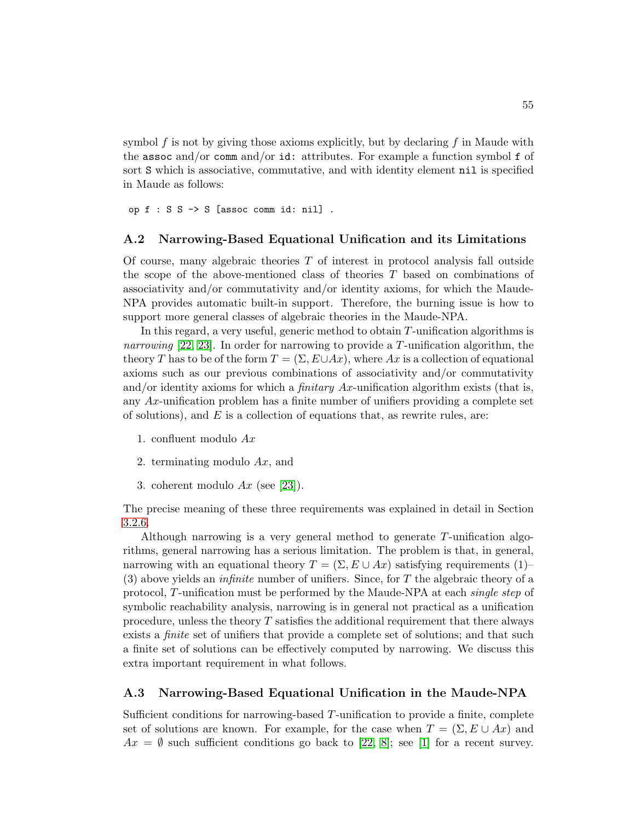symbol  $f$  is not by giving those axioms explicitly, but by declaring  $f$  in Maude with the assoc and/or comm and/or id: attributes. For example a function symbol  $f$  of sort S which is associative, commutative, and with identity element nil is specified in Maude as follows:

op f : S S -> S [assoc comm id: nil] .

## <span id="page-55-0"></span>A.2 Narrowing-Based Equational Unification and its Limitations

Of course, many algebraic theories  $T$  of interest in protocol analysis fall outside the scope of the above-mentioned class of theories T based on combinations of associativity and/or commutativity and/or identity axioms, for which the Maude-NPA provides automatic built-in support. Therefore, the burning issue is how to support more general classes of algebraic theories in the Maude-NPA.

In this regard, a very useful, generic method to obtain T-unification algorithms is narrowing [\[22,](#page-53-2) [23\]](#page-53-3). In order for narrowing to provide a T-unification algorithm, the theory T has to be of the form  $T = (\Sigma, E\cup Ax)$ , where Ax is a collection of equational axioms such as our previous combinations of associativity and/or commutativity and/or identity axioms for which a *finitary*  $Ax$ -unification algorithm exists (that is, any Ax-unification problem has a finite number of unifiers providing a complete set of solutions), and  $E$  is a collection of equations that, as rewrite rules, are:

- 1. confluent modulo Ax
- 2. terminating modulo Ax, and
- 3. coherent modulo  $Ax$  (see [\[23\]](#page-53-3)).

The precise meaning of these three requirements was explained in detail in Section [3.2.6.](#page-13-0)

Although narrowing is a very general method to generate  $T$ -unification algorithms, general narrowing has a serious limitation. The problem is that, in general, narrowing with an equational theory  $T = (\Sigma, E \cup Ax)$  satisfying requirements (1)–  $(3)$  above yields an *infinite* number of unifiers. Since, for T the algebraic theory of a protocol, T-unification must be performed by the Maude-NPA at each single step of symbolic reachability analysis, narrowing is in general not practical as a unification procedure, unless the theory T satisfies the additional requirement that there always exists a *finite* set of unifiers that provide a complete set of solutions; and that such a finite set of solutions can be effectively computed by narrowing. We discuss this extra important requirement in what follows.

#### A.3 Narrowing-Based Equational Unification in the Maude-NPA

Sufficient conditions for narrowing-based T-unification to provide a finite, complete set of solutions are known. For example, for the case when  $T = (\Sigma, E \cup Ax)$  and  $Ax = \emptyset$  such sufficient conditions go back to [\[22,](#page-53-2) [8\]](#page-51-1); see [\[1\]](#page-51-2) for a recent survey.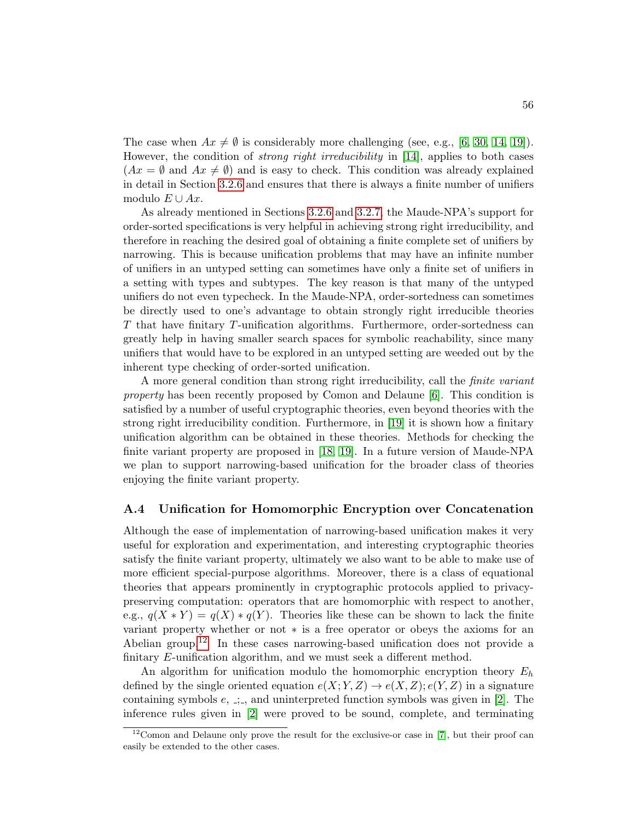The case when  $Ax \neq \emptyset$  is considerably more challenging (see, e.g., [\[6,](#page-51-3) [30,](#page-53-4) [14,](#page-52-3) [19\]](#page-52-4)). However, the condition of *strong right irreducibility* in [\[14\]](#page-52-3), applies to both cases  $(Ax = \emptyset \text{ and } Ax \neq \emptyset)$  and is easy to check. This condition was already explained in detail in Section [3.2.6](#page-13-0) and ensures that there is always a finite number of unifiers modulo  $E \cup Ax$ .

As already mentioned in Sections [3.2.6](#page-13-0) and [3.2.7,](#page-17-0) the Maude-NPA's support for order-sorted specifications is very helpful in achieving strong right irreducibility, and therefore in reaching the desired goal of obtaining a finite complete set of unifiers by narrowing. This is because unification problems that may have an infinite number of unifiers in an untyped setting can sometimes have only a finite set of unifiers in a setting with types and subtypes. The key reason is that many of the untyped unifiers do not even typecheck. In the Maude-NPA, order-sortedness can sometimes be directly used to one's advantage to obtain strongly right irreducible theories T that have finitary T-unification algorithms. Furthermore, order-sortedness can greatly help in having smaller search spaces for symbolic reachability, since many unifiers that would have to be explored in an untyped setting are weeded out by the inherent type checking of order-sorted unification.

A more general condition than strong right irreducibility, call the finite variant property has been recently proposed by Comon and Delaune [\[6\]](#page-51-3). This condition is satisfied by a number of useful cryptographic theories, even beyond theories with the strong right irreducibility condition. Furthermore, in [\[19\]](#page-52-4) it is shown how a finitary unification algorithm can be obtained in these theories. Methods for checking the finite variant property are proposed in [\[18,](#page-52-5) [19\]](#page-52-4). In a future version of Maude-NPA we plan to support narrowing-based unification for the broader class of theories enjoying the finite variant property.

#### <span id="page-56-1"></span>A.4 Unification for Homomorphic Encryption over Concatenation

Although the ease of implementation of narrowing-based unification makes it very useful for exploration and experimentation, and interesting cryptographic theories satisfy the finite variant property, ultimately we also want to be able to make use of more efficient special-purpose algorithms. Moreover, there is a class of equational theories that appears prominently in cryptographic protocols applied to privacypreserving computation: operators that are homomorphic with respect to another, e.g.,  $q(X * Y) = q(X) * q(Y)$ . Theories like these can be shown to lack the finite variant property whether or not ∗ is a free operator or obeys the axioms for an Abelian group.<sup>[12](#page-56-0)</sup> In these cases narrowing-based unification does not provide a finitary E-unification algorithm, and we must seek a different method.

An algorithm for unification modulo the homomorphic encryption theory  $E_h$ defined by the single oriented equation  $e(X; Y, Z) \to e(X, Z); e(Y, Z)$  in a signature containing symbols  $e$ ,  $\vdots$ , and uninterpreted function symbols was given in [\[2\]](#page-51-4). The inference rules given in [\[2\]](#page-51-4) were proved to be sound, complete, and terminating

<span id="page-56-0"></span> $12$ Comon and Delaune only prove the result for the exclusive-or case in [\[7\]](#page-51-5), but their proof can easily be extended to the other cases.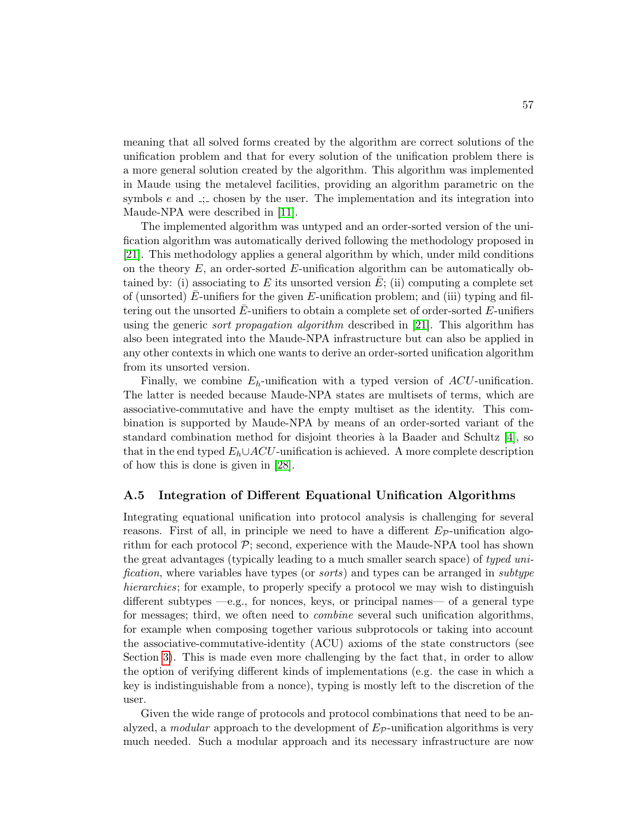meaning that all solved forms created by the algorithm are correct solutions of the unification problem and that for every solution of the unification problem there is a more general solution created by the algorithm. This algorithm was implemented in Maude using the metalevel facilities, providing an algorithm parametric on the symbols  $e$  and  $\vdots$  chosen by the user. The implementation and its integration into Maude-NPA were described in [\[11\]](#page-52-6).

The implemented algorithm was untyped and an order-sorted version of the unification algorithm was automatically derived following the methodology proposed in [\[21\]](#page-52-7). This methodology applies a general algorithm by which, under mild conditions on the theory  $E$ , an order-sorted  $E$ -unification algorithm can be automatically obtained by: (i) associating to E its unsorted version  $E$ ; (ii) computing a complete set of (unsorted)  $\bar{E}$ -unifiers for the given E-unification problem; and (iii) typing and filtering out the unsorted  $E$ -unifiers to obtain a complete set of order-sorted  $E$ -unifiers using the generic *sort propagation algorithm* described in [\[21\]](#page-52-7). This algorithm has also been integrated into the Maude-NPA infrastructure but can also be applied in any other contexts in which one wants to derive an order-sorted unification algorithm from its unsorted version.

Finally, we combine  $E_h$ -unification with a typed version of  $ACU$ -unification. The latter is needed because Maude-NPA states are multisets of terms, which are associative-commutative and have the empty multiset as the identity. This combination is supported by Maude-NPA by means of an order-sorted variant of the standard combination method for disjoint theories à la Baader and Schultz  $[4]$ , so that in the end typed  $E_h \cup ACU$ -unification is achieved. A more complete description of how this is done is given in [\[28\]](#page-53-5).

#### A.5 Integration of Different Equational Unification Algorithms

Integrating equational unification into protocol analysis is challenging for several reasons. First of all, in principle we need to have a different  $E_{\mathcal{P}}$ -unification algorithm for each protocol  $P$ ; second, experience with the Maude-NPA tool has shown the great advantages (typically leading to a much smaller search space) of typed unification, where variables have types (or *sorts*) and types can be arranged in *subtype* hierarchies; for example, to properly specify a protocol we may wish to distinguish different subtypes  $-e.g.,$  for nonces, keys, or principal names— of a general type for messages; third, we often need to *combine* several such unification algorithms, for example when composing together various subprotocols or taking into account the associative-commutative-identity (ACU) axioms of the state constructors (see Section [3\)](#page-4-0). This is made even more challenging by the fact that, in order to allow the option of verifying different kinds of implementations (e.g. the case in which a key is indistinguishable from a nonce), typing is mostly left to the discretion of the user.

Given the wide range of protocols and protocol combinations that need to be analyzed, a modular approach to the development of  $E<sub>P</sub>$ -unification algorithms is very much needed. Such a modular approach and its necessary infrastructure are now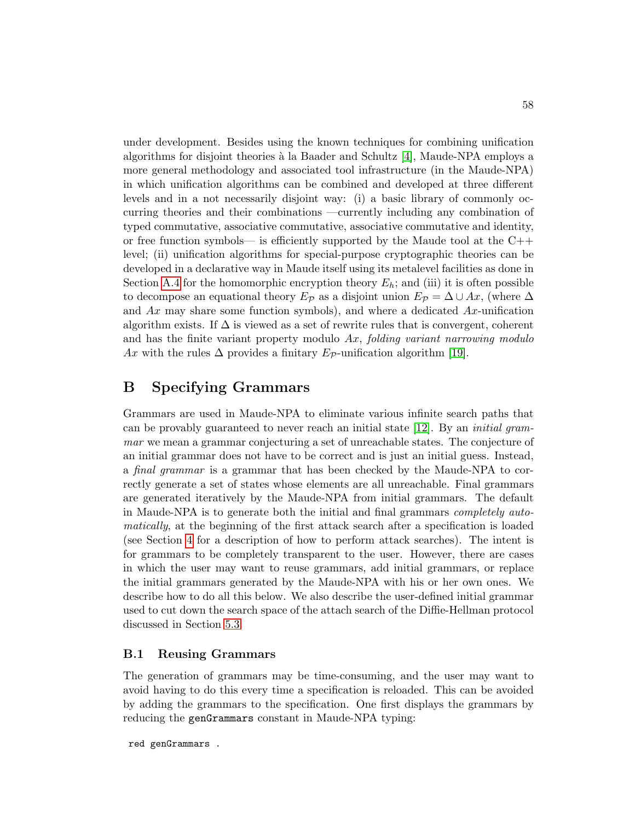under development. Besides using the known techniques for combining unification algorithms for disjoint theories à la Baader and Schultz  $[4]$ , Maude-NPA employs a more general methodology and associated tool infrastructure (in the Maude-NPA) in which unification algorithms can be combined and developed at three different levels and in a not necessarily disjoint way: (i) a basic library of commonly occurring theories and their combinations —currently including any combination of typed commutative, associative commutative, associative commutative and identity, or free function symbols— is efficiently supported by the Maude tool at the  $C++$ level; (ii) unification algorithms for special-purpose cryptographic theories can be developed in a declarative way in Maude itself using its metalevel facilities as done in Section [A.4](#page-56-1) for the homomorphic encryption theory  $E_h$ ; and (iii) it is often possible to decompose an equational theory  $E_{\mathcal{P}}$  as a disjoint union  $E_{\mathcal{P}} = \Delta \cup Ax$ , (where  $\Delta$ and  $Ax$  may share some function symbols), and where a dedicated  $Ax$ -unification algorithm exists. If  $\Delta$  is viewed as a set of rewrite rules that is convergent, coherent and has the finite variant property modulo  $Ax$ , folding variant narrowing modulo Ax with the rules  $\Delta$  provides a finitary  $E_{\mathcal{P}}$ -unification algorithm [\[19\]](#page-52-4).

# <span id="page-58-0"></span>B Specifying Grammars

Grammars are used in Maude-NPA to eliminate various infinite search paths that can be provably guaranteed to never reach an initial state [\[12\]](#page-52-0). By an initial grammar we mean a grammar conjecturing a set of unreachable states. The conjecture of an initial grammar does not have to be correct and is just an initial guess. Instead, a final grammar is a grammar that has been checked by the Maude-NPA to correctly generate a set of states whose elements are all unreachable. Final grammars are generated iteratively by the Maude-NPA from initial grammars. The default in Maude-NPA is to generate both the initial and final grammars completely automatically, at the beginning of the first attack search after a specification is loaded (see Section [4](#page-30-1) for a description of how to perform attack searches). The intent is for grammars to be completely transparent to the user. However, there are cases in which the user may want to reuse grammars, add initial grammars, or replace the initial grammars generated by the Maude-NPA with his or her own ones. We describe how to do all this below. We also describe the user-defined initial grammar used to cut down the search space of the attach search of the Diffie-Hellman protocol discussed in Section [5.3.](#page-41-0)

### B.1 Reusing Grammars

The generation of grammars may be time-consuming, and the user may want to avoid having to do this every time a specification is reloaded. This can be avoided by adding the grammars to the specification. One first displays the grammars by reducing the genGrammars constant in Maude-NPA typing:

red genGrammars .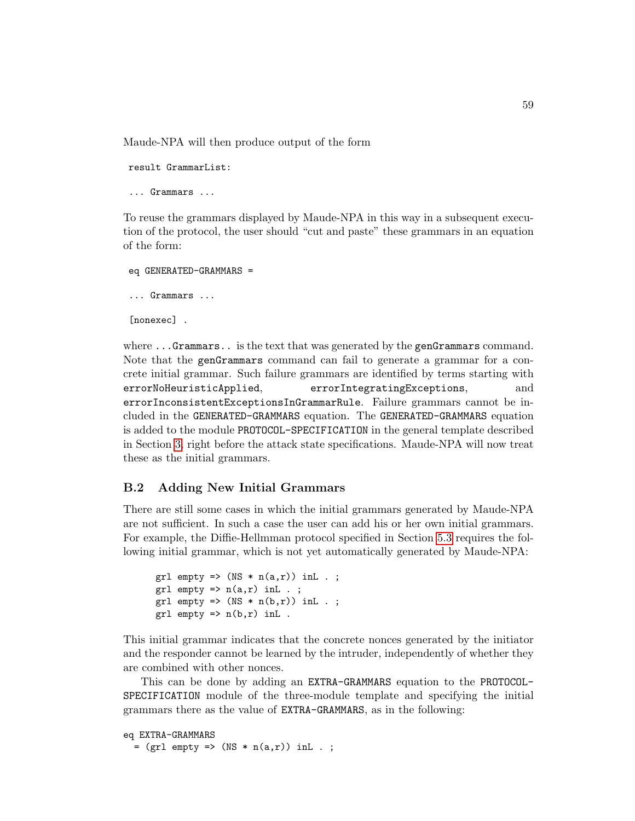Maude-NPA will then produce output of the form

```
result GrammarList:
```

```
... Grammars ...
```
To reuse the grammars displayed by Maude-NPA in this way in a subsequent execution of the protocol, the user should "cut and paste" these grammars in an equation of the form:

```
eq GENERATED-GRAMMARS =
... Grammars ...
[nonexec] .
```
where ...Grammars.. is the text that was generated by the genGrammars command. Note that the genGrammars command can fail to generate a grammar for a concrete initial grammar. Such failure grammars are identified by terms starting with errorNoHeuristicApplied, errorIntegratingExceptions, and errorInconsistentExceptionsInGrammarRule. Failure grammars cannot be included in the GENERATED-GRAMMARS equation. The GENERATED-GRAMMARS equation is added to the module PROTOCOL-SPECIFICATION in the general template described in Section [3,](#page-4-0) right before the attack state specifications. Maude-NPA will now treat these as the initial grammars.

## <span id="page-59-0"></span>B.2 Adding New Initial Grammars

There are still some cases in which the initial grammars generated by Maude-NPA are not sufficient. In such a case the user can add his or her own initial grammars. For example, the Diffie-Hellmman protocol specified in Section [5.3](#page-41-0) requires the following initial grammar, which is not yet automatically generated by Maude-NPA:

```
grl empty => (NS * n(a,r)) inL.;
grl empty \Rightarrow n(a,r) in L.;
grl empty => (NS * n(b,r)) inL.;
gr1 empty => n(b,r) inL.
```
This initial grammar indicates that the concrete nonces generated by the initiator and the responder cannot be learned by the intruder, independently of whether they are combined with other nonces.

This can be done by adding an EXTRA-GRAMMARS equation to the PROTOCOL-SPECIFICATION module of the three-module template and specifying the initial grammars there as the value of EXTRA-GRAMMARS, as in the following:

eq EXTRA-GRAMMARS  $=$  (grl empty  $=$   $\langle$  NS  $*$  n(a,r)) inL .;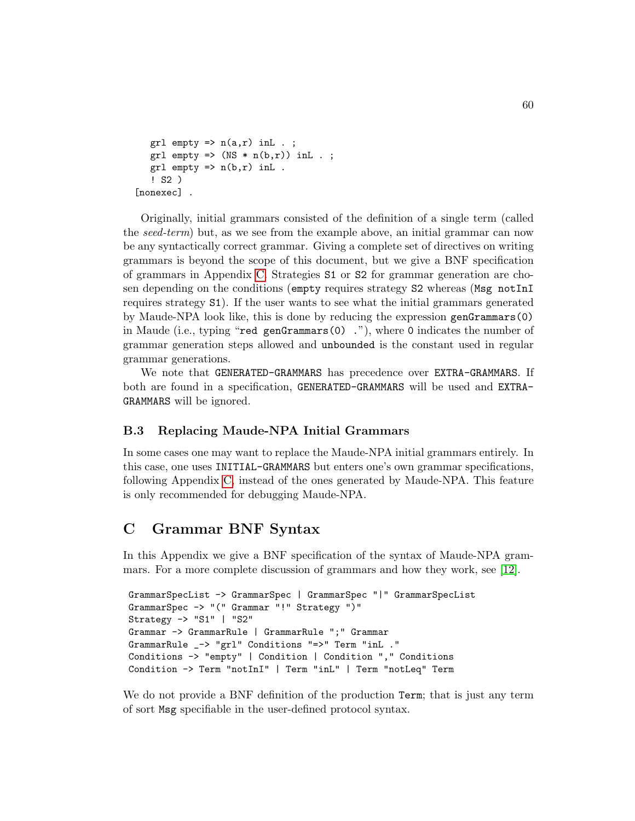```
grl empty \Rightarrow n(a,r) inL .;
  grl empty => (NS * n(b,r)) inL.;
  grl empty => n(b,r) inL.
  ! S2 )
[nonexec] .
```
Originally, initial grammars consisted of the definition of a single term (called the seed-term) but, as we see from the example above, an initial grammar can now be any syntactically correct grammar. Giving a complete set of directives on writing grammars is beyond the scope of this document, but we give a BNF specification of grammars in Appendix [C.](#page-60-0) Strategies S1 or S2 for grammar generation are chosen depending on the conditions (empty requires strategy S2 whereas (Msg notInI requires strategy S1). If the user wants to see what the initial grammars generated by Maude-NPA look like, this is done by reducing the expression genGrammars(0) in Maude (i.e., typing "red genGrammars $(0)$ ."), where 0 indicates the number of grammar generation steps allowed and unbounded is the constant used in regular grammar generations.

We note that GENERATED-GRAMMARS has precedence over EXTRA-GRAMMARS. If both are found in a specification, GENERATED-GRAMMARS will be used and EXTRA-GRAMMARS will be ignored.

## B.3 Replacing Maude-NPA Initial Grammars

In some cases one may want to replace the Maude-NPA initial grammars entirely. In this case, one uses INITIAL-GRAMMARS but enters one's own grammar specifications, following Appendix [C,](#page-60-0) instead of the ones generated by Maude-NPA. This feature is only recommended for debugging Maude-NPA.

# <span id="page-60-0"></span>C Grammar BNF Syntax

In this Appendix we give a BNF specification of the syntax of Maude-NPA grammars. For a more complete discussion of grammars and how they work, see [\[12\]](#page-52-0).

```
GrammarSpecList -> GrammarSpec | GrammarSpec "|" GrammarSpecList
GrammarSpec -> "(" Grammar "!" Strategy ")"
Strategy -> "S1" | "S2"
Grammar -> GrammarRule | GrammarRule ";" Grammar
GrammarRule _-> "grl" Conditions "=>" Term "inL ."
Conditions -> "empty" | Condition | Condition "," Conditions
Condition -> Term "notInI" | Term "inL" | Term "notLeq" Term
```
We do not provide a BNF definition of the production Term; that is just any term of sort Msg specifiable in the user-defined protocol syntax.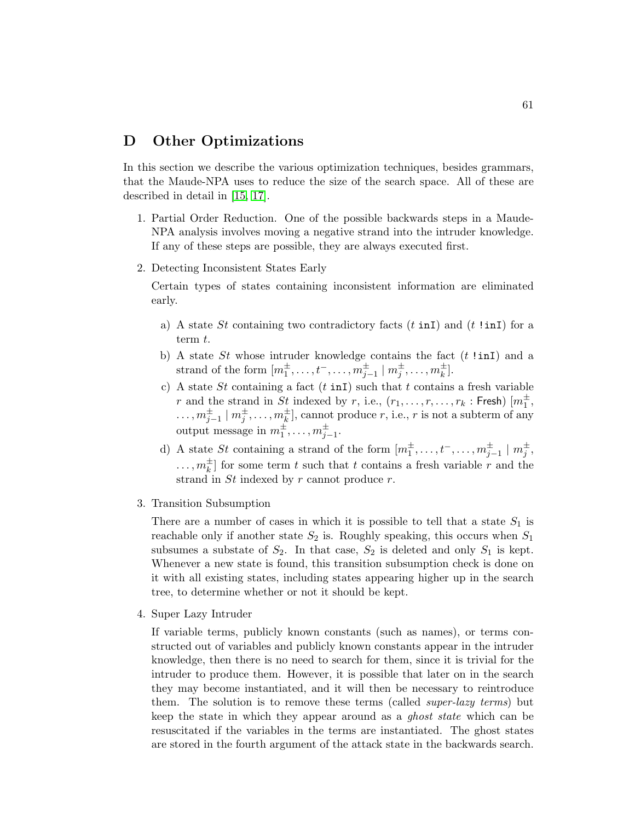# <span id="page-61-0"></span>D Other Optimizations

In this section we describe the various optimization techniques, besides grammars, that the Maude-NPA uses to reduce the size of the search space. All of these are described in detail in [\[15,](#page-52-8) [17\]](#page-52-1).

- 1. Partial Order Reduction. One of the possible backwards steps in a Maude-NPA analysis involves moving a negative strand into the intruder knowledge. If any of these steps are possible, they are always executed first.
- 2. Detecting Inconsistent States Early

Certain types of states containing inconsistent information are eliminated early.

- a) A state St containing two contradictory facts  $(t \text{ in } I)$  and  $(t \text{ in } I)$  for a term t.
- b) A state St whose intruder knowledge contains the fact  $(t \text{linI})$  and a strand of the form  $[m_1^{\pm}, \ldots, t^-, \ldots, m_{j-1}^{\pm} \mid m_j^{\pm}, \ldots, m_k^{\pm}].$
- c) A state St containing a fact  $(t \text{ in } I)$  such that t contains a fresh variable r and the strand in St indexed by r, i.e.,  $(r_1, \ldots, r, \ldots, r_k : \mathsf{Fresh}) [m_1^{\pm},$  $\ldots, m_{j-1}^{\pm} \mid m_j^{\pm}, \ldots, m_k^{\pm}$ , cannot produce r, i.e., r is not a subterm of any output message in  $m_1^{\pm}, \ldots, m_{j-1}^{\pm}$ .
- d) A state St containing a strand of the form  $[m_1^{\pm}, \ldots, t^{-}, \ldots, m_{j-1}^{\pm} \mid m_j^{\pm}]$  $\ldots, m_k^{\pm}$  for some term t such that t contains a fresh variable r and the strand in  $St$  indexed by  $r$  cannot produce  $r$ .
- 3. Transition Subsumption

There are a number of cases in which it is possible to tell that a state  $S_1$  is reachable only if another state  $S_2$  is. Roughly speaking, this occurs when  $S_1$ subsumes a substate of  $S_2$ . In that case,  $S_2$  is deleted and only  $S_1$  is kept. Whenever a new state is found, this transition subsumption check is done on it with all existing states, including states appearing higher up in the search tree, to determine whether or not it should be kept.

4. Super Lazy Intruder

If variable terms, publicly known constants (such as names), or terms constructed out of variables and publicly known constants appear in the intruder knowledge, then there is no need to search for them, since it is trivial for the intruder to produce them. However, it is possible that later on in the search they may become instantiated, and it will then be necessary to reintroduce them. The solution is to remove these terms (called *super-lazy terms*) but keep the state in which they appear around as a ghost state which can be resuscitated if the variables in the terms are instantiated. The ghost states are stored in the fourth argument of the attack state in the backwards search.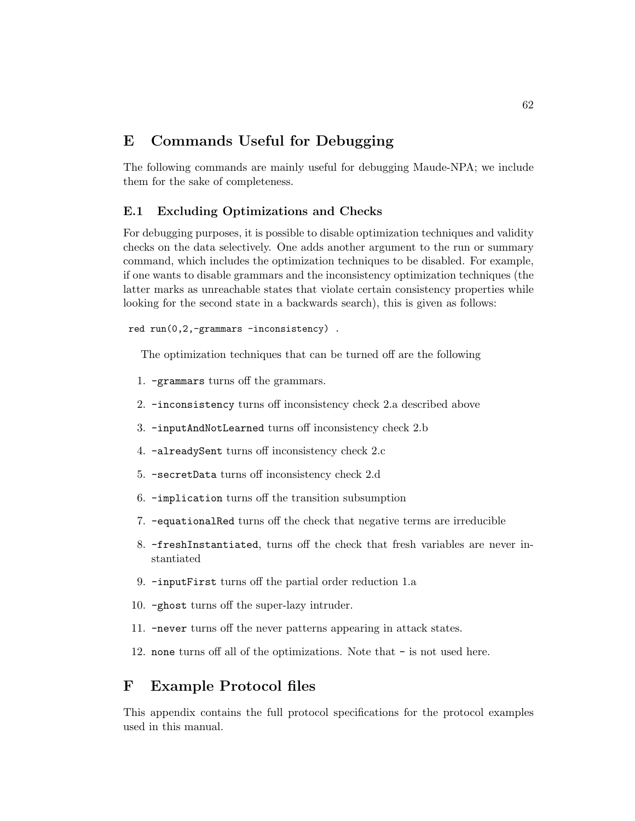# E Commands Useful for Debugging

The following commands are mainly useful for debugging Maude-NPA; we include them for the sake of completeness.

## E.1 Excluding Optimizations and Checks

For debugging purposes, it is possible to disable optimization techniques and validity checks on the data selectively. One adds another argument to the run or summary command, which includes the optimization techniques to be disabled. For example, if one wants to disable grammars and the inconsistency optimization techniques (the latter marks as unreachable states that violate certain consistency properties while looking for the second state in a backwards search), this is given as follows:

red run(0,2,-grammars -inconsistency) .

The optimization techniques that can be turned off are the following

- 1. -grammars turns off the grammars.
- 2. -inconsistency turns off inconsistency check 2.a described above
- 3. -inputAndNotLearned turns off inconsistency check 2.b
- 4. -alreadySent turns off inconsistency check 2.c
- 5. -secretData turns off inconsistency check 2.d
- 6. -implication turns off the transition subsumption
- 7. -equationalRed turns off the check that negative terms are irreducible
- 8. -freshInstantiated, turns off the check that fresh variables are never instantiated
- 9. -inputFirst turns off the partial order reduction 1.a
- 10. -ghost turns off the super-lazy intruder.
- 11. -never turns off the never patterns appearing in attack states.
- 12. none turns off all of the optimizations. Note that is not used here.

# F Example Protocol files

This appendix contains the full protocol specifications for the protocol examples used in this manual.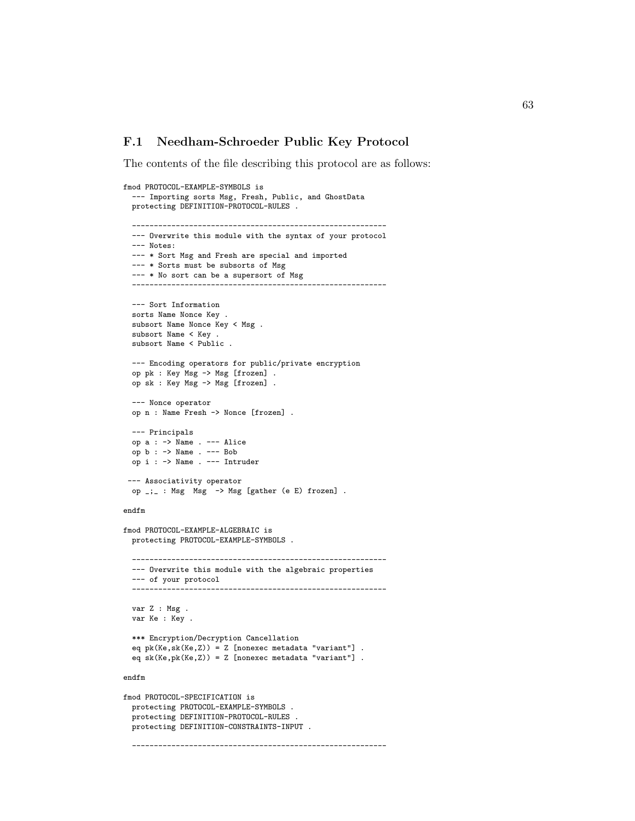### F.1 Needham-Schroeder Public Key Protocol

The contents of the file describing this protocol are as follows:

```
fmod PROTOCOL-EXAMPLE-SYMBOLS is
  --- Importing sorts Msg, Fresh, Public, and GhostData
 protecting DEFINITION-PROTOCOL-RULES .
         ----------------------------------------------------------
  --- Overwrite this module with the syntax of your protocol
 --- Notes:
 --- * Sort Msg and Fresh are special and imported
 --- * Sorts must be subsorts of Msg
 --- * No sort can be a supersort of Msg
  ----------------------------------------------------------
 --- Sort Information
 sorts Name Nonce Key .
 subsort Name Nonce Key < Msg .
 subsort Name < Key .
 subsort Name < Public .
 --- Encoding operators for public/private encryption
 op pk : Key Msg -> Msg [frozen] .
 op sk : Key Msg -> Msg [frozen] .
 --- Nonce operator
 op n : Name Fresh -> Nonce [frozen] .
 --- Principals
 op a : -> Name . --- Alice
 op b : -> Name . --- Bob
 op i : -> Name . --- Intruder
 --- Associativity operator
 op _;_ : Msg Msg -> Msg [gather (e E) frozen] .
endfm
fmod PROTOCOL-EXAMPLE-ALGEBRAIC is
 protecting PROTOCOL-EXAMPLE-SYMBOLS .
  ----------------------------------------------------------
  --- Overwrite this module with the algebraic properties
 --- of your protocol
                          ----------------------------------------------------------
 var Z : Msg .
 var Ke : Key .
 *** Encryption/Decryption Cancellation
 eq pk(Ke,sk(Ke,Z)) = Z [nonexec metadata "variant"] .
 eq sk(Ke,pk(Ke,Z)) = Z [nonexec metadata "variant"].
endfm
fmod PROTOCOL-SPECIFICATION is
 protecting PROTOCOL-EXAMPLE-SYMBOLS .
 protecting DEFINITION-PROTOCOL-RULES .
 protecting DEFINITION-CONSTRAINTS-INPUT .
```
----------------------------------------------------------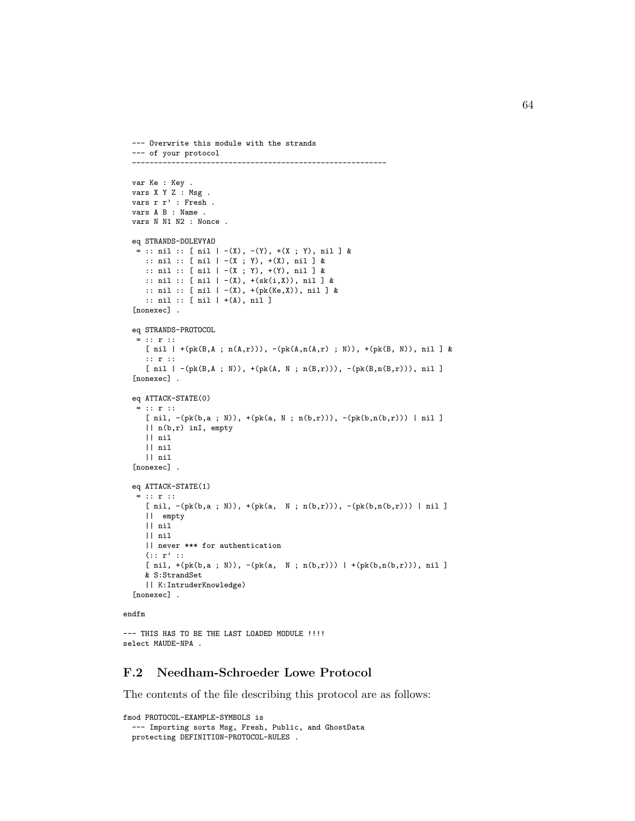```
--- Overwrite this module with the strands
--- of your protocol
                  ----------------------------------------------------------
var Ke : Key .
vars X Y Z : Msg .
vars r r' : Fresh .
vars A B : Name .
vars N N1 N2 : Nonce .
eq STRANDS-DOLEVYAO
 = :: nil :: [ nil | -(X), -(Y), +(X ; Y), nil ] &
  :: nil :: [ nil | -(X ; Y), +(X), nil ] &
  :: nil :: [ nil | -(X ; Y), +(Y), nil ] &
  :: nil :: [ nil | -(X), +(sk(i,X)), nil ] &
  :: nil :: [ nil | -(X), +(pk(Ke,X)), nil ] &
   :: nil :: [ nil | +(A), nil ]
[nonexec] .
eq STRANDS-PROTOCOL
  = :: r ::
   [ nil | +(pk(B,A ; n(A,r))), -(pk(A,n(A,r) ; N)), +(pk(B, N)), nil ] &
   :: r ::
   [ nil | -(pk(B, A ; N)), +(pk(A, N ; n(B, r))), -(pk(B, n(B, r))), nil ]
[nonexec] .
eq ATTACK-STATE(0)
  = :: r ::
  [ nil, -(pk(b,a ; N)), +(pk(a, N ; n(b,r))), -(pk(b,n(b,r))) | nil ]
   || n(b,r) inI, empty
   || nil
  || nil
  || nil
[nonexec] .
eq ATTACK-STATE(1)
 = :: r ::
   [ nil, -(pk(b, a ; N)), +(pk(a, N ; n(b,r))), -(pk(b, n(b,r))) | nil ]
  || empty
   || nil
  || nil
  || never *** for authentication
   (:: r': :[ nil, +(pk(b,a ; N)), -(pk(a, N ; n(b,r))) | +(pk(b,n(b,r))), nil ]
  & S:StrandSet
  || K:IntruderKnowledge)
[nonexec] .
```

```
endfm
```

```
--- THIS HAS TO BE THE LAST LOADED MODULE !!!!
select MAUDE-NPA .
```
## F.2 Needham-Schroeder Lowe Protocol

The contents of the file describing this protocol are as follows:

```
fmod PROTOCOL-EXAMPLE-SYMBOLS is
 --- Importing sorts Msg, Fresh, Public, and GhostData
 protecting DEFINITION-PROTOCOL-RULES .
```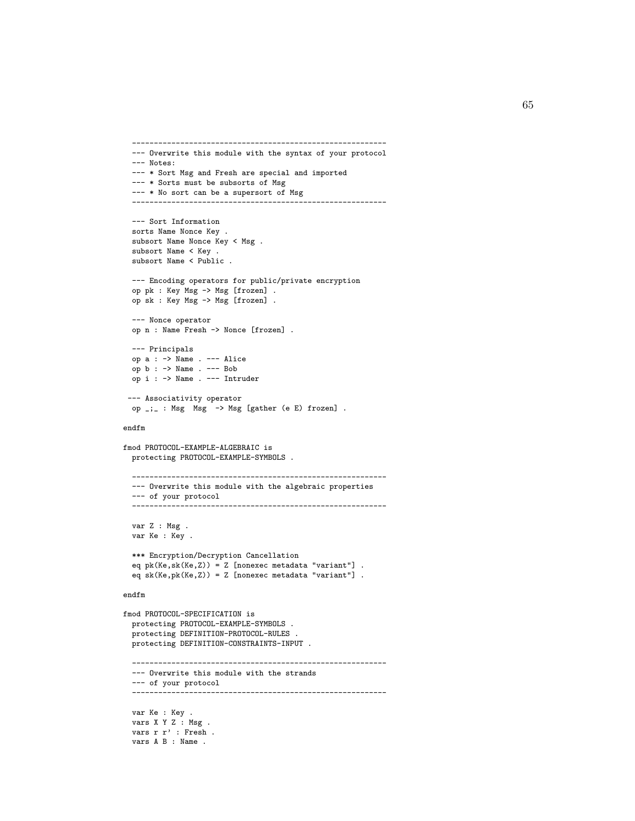```
----------------------------------------------------------
 --- Overwrite this module with the syntax of your protocol
 --- Notes:
 --- * Sort Msg and Fresh are special and imported
 --- * Sorts must be subsorts of Msg
 --- * No sort can be a supersort of Msg
 ----------------------------------------------------------
 --- Sort Information
 sorts Name Nonce Key .
 subsort Name Nonce Key < Msg .
 subsort Name < Key .
 subsort Name < Public .
 --- Encoding operators for public/private encryption
 op pk : Key Msg -> Msg [frozen] .
 op sk : Key Msg -> Msg [frozen] .
 --- Nonce operator
 op n : Name Fresh -> Nonce [frozen] .
 --- Principals
 op a : -> Name . --- Alice
 op b : -> Name . --- Bob
 op i : -> Name . --- Intruder
--- Associativity operator
 op -; -: Msg Msg -> Msg [gather (e E) frozen].
endfm
fmod PROTOCOL-EXAMPLE-ALGEBRAIC is
 protecting PROTOCOL-EXAMPLE-SYMBOLS .
 ----------------------------------------------------------
 --- Overwrite this module with the algebraic properties
 --- of your protocol
 ----------------------------------------------------------
 var Z : Msg .
 var Ke : Key .
 *** Encryption/Decryption Cancellation
 eq pk(Ke,sk(Ke,Z)) = Z [nonexec metadata "variant"] .
 eq sk(Ke,pk(Ke,Z)) = Z [nonexec metadata "variant"].
endfm
fmod PROTOCOL-SPECIFICATION is
 protecting PROTOCOL-EXAMPLE-SYMBOLS .
 protecting DEFINITION-PROTOCOL-RULES .
 protecting DEFINITION-CONSTRAINTS-INPUT .
  ----------------------------------------------------------
 --- Overwrite this module with the strands
 --- of your protocol
 ----------------------------------------------------------
 var Ke : Key .
 vars X Y Z : Msg .
 vars r r' : Fresh.
 vars A B : Name .
```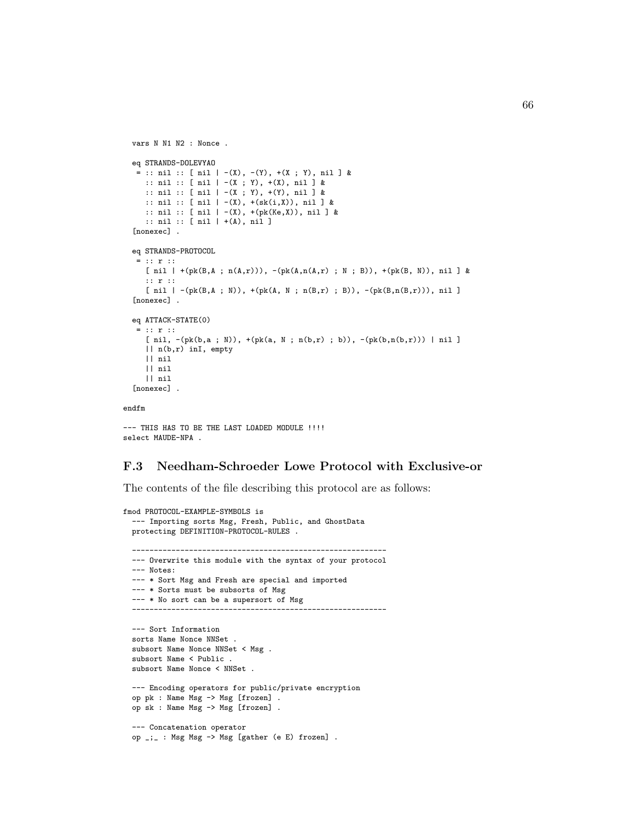```
vars N N1 N2 : Nonce .
 eq STRANDS-DOLEVYAO
  = :: nil :: [ nil | -(X), -(Y), +(X ; Y), nil ] &
    :: nil :: [ nil | -(X ; Y), +(X), nil ] &
    :: nil :: [ nil | -(X ; Y), +(Y), nil ] &
    :: nil :: [ nil | -(X), +(sk(i,X)), nil ] &
    :: nil :: [ nil | -(X), +(pk(Ke,X)), nil ] &
    :: nil :: [ nil | +(A), nil ]
 [nonexec] .
 eq STRANDS-PROTOCOL
   = :: r ::
    [ni] + (pk(B,A; n(A,r))), - (pk(A,n(A,r); N; B)), + (pk(B, N)), nil ] &
    :: r ::
    [ nil | -(pk(B, A ; N)), +(pk(A, N ; n(B, r) ; B)), -(pk(B, n(B, r))), nil ]
  [nonexec] .
 eq ATTACK-STATE(0)
  = :: r ::
    [ nil, -(pk(b,a ; N)), +(pk(a, N ; n(b,r) ; b)), -(pk(b,n(b,r))) | nil ]
    || n(b,r) inI, empty
    || nil
    || nil
    || nil
  [nonexec] .
endfm
```

```
--- THIS HAS TO BE THE LAST LOADED MODULE !!!!
select MAUDE-NPA .
```
## F.3 Needham-Schroeder Lowe Protocol with Exclusive-or

The contents of the file describing this protocol are as follows:

```
fmod PROTOCOL-EXAMPLE-SYMBOLS is
 --- Importing sorts Msg, Fresh, Public, and GhostData
 protecting DEFINITION-PROTOCOL-RULES .
  ----------------------------------------------------------
 --- Overwrite this module with the syntax of your protocol
 --- Notes:
 --- * Sort Msg and Fresh are special and imported
 --- * Sorts must be subsorts of Msg
 --- * No sort can be a supersort of Msg
  ----------------------------------------------------------
 --- Sort Information
 sorts Name Nonce NNSet .
 subsort Name Nonce NNSet < Msg .
 subsort Name < Public .
 subsort Name Nonce < NNSet .
 --- Encoding operators for public/private encryption
 op pk : Name Msg -> Msg [frozen] .
 op sk : Name Msg -> Msg [frozen] .
 --- Concatenation operator
 op _;_ : Msg Msg -> Msg [gather (e E) frozen] .
```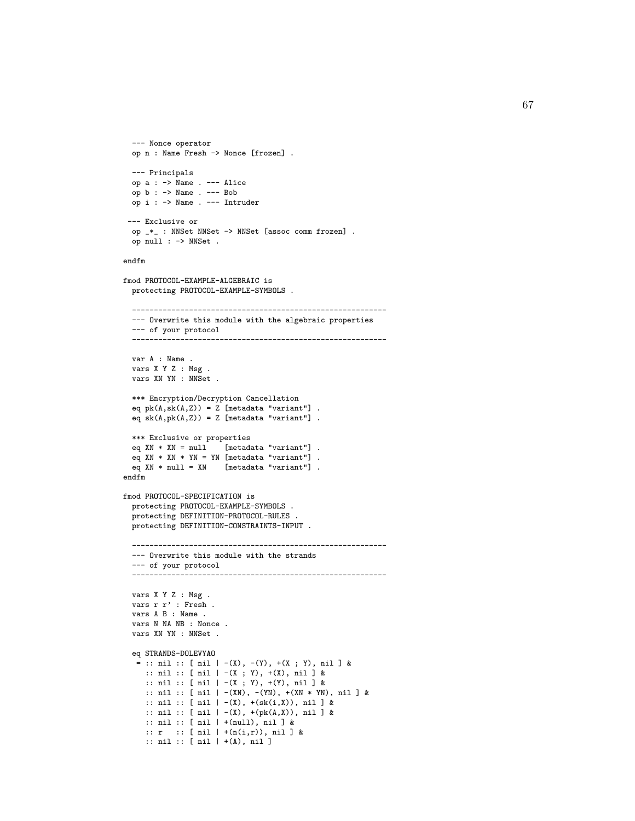```
--- Nonce operator
 op n : Name Fresh -> Nonce [frozen] .
 --- Principals
 op a : -> Name . --- Alice
  op b : -> Name . --- Bob
  op i : -> Name . --- Intruder
--- Exclusive or
 op _*_ : NNSet NNSet -> NNSet [assoc comm frozen] .
 op null : -> NNSet .
endfm
fmod PROTOCOL-EXAMPLE-ALGEBRAIC is
 protecting PROTOCOL-EXAMPLE-SYMBOLS .
  ----------------------------------------------------------
 --- Overwrite this module with the algebraic properties
 --- of your protocol
 ----------------------------------------------------------
 var A : Name .
 vars X Y Z : Msg .
 vars XN YN : NNSet .
 *** Encryption/Decryption Cancellation
 eq pk(A, sk(A, Z)) = Z [metadata "variant"].
 eq sk(A, pk(A, Z)) = Z [metadata "variant"].
 *** Exclusive or properties
 eq XN * XN = null [metadata "variant"] .
 eq XN * XN * YN = YN [metadata "variant"] .
 eq XN * null = XN [metadata "variant"] .
endfm
fmod PROTOCOL-SPECIFICATION is
 protecting PROTOCOL-EXAMPLE-SYMBOLS .
 protecting DEFINITION-PROTOCOL-RULES .
 protecting DEFINITION-CONSTRAINTS-INPUT .
                                 ----------------------------------------------------------
 --- Overwrite this module with the strands
 --- of your protocol<br>--------------------
         ----------------------------------------------------------
 vars X Y Z : Msg .
 vars r r' : Fresh .
 vars A B : Name .
 vars N NA NB : Nonce .
 vars XN YN : NNSet .
 eq STRANDS-DOLEVYAO
  = :: nil :: [ nil | -(X), -(Y), +(X ; Y), nil ] &
     :: nil :: [ nil | -(X ; Y), +(X), nil ] &
     :: nil :: [ nil | -(X ; Y), +(Y), nil ] &
    :: nil :: [ nil | -(XN), -(YN), +(XN * YN), nil ] &
    :: nil :: [ nil | -(X), +(sk(i,X)), nil ] &
     :: nil :: [ nil | -(X), +(pk(A,X)), nil ] &
     :: nil :: [ nil | +(null), nil ] &
     :: r :: [ nil | +(n(i,r)), nil ] &
    :: nil :: [ nil | +(A), nil ]
```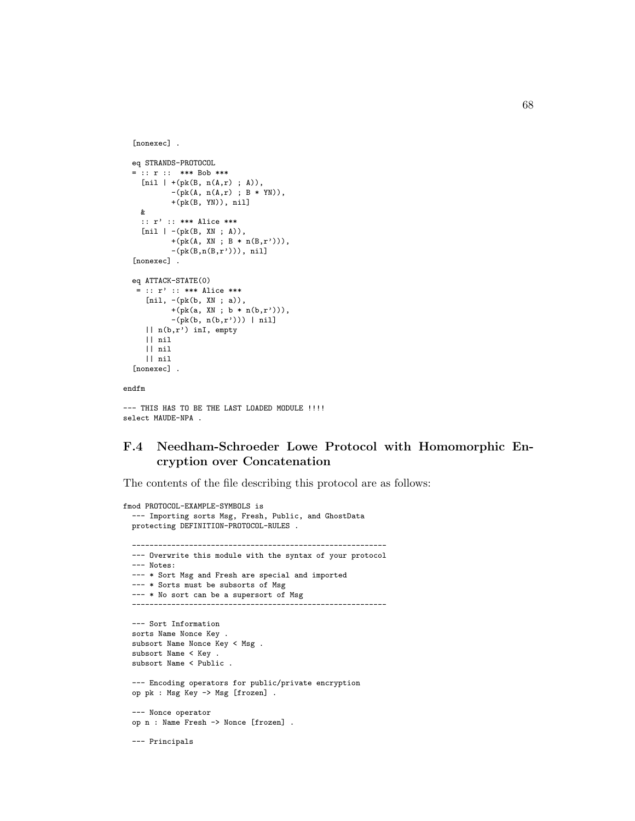[nonexec] .

```
eq STRANDS-PROTOCOL
= :: r :: *** Bob ***
  [nil | +(pk(B, n(A,r) ; A)),-(pk(A, n(A, r) ; B * YN)),+(pk(B, YN)), nil]
  \mathcal{R}:: r' :: *** Alice ***
  [nil | -(pk(B, XN ; A)),+(pk(A, \, XN ; B * n(B,r'))),-(pk(B, n(B, r'))), nil[nonexec] .
eq ATTACK-STATE(0)
 = :: r' :: *** Alice ***
   [nil, -(pk(b, XN ; a)),
         +(pk(a, NN ; b * n(b,r'))),-(pk(b, n(b, r'))) | nil]
   || n(b,r') inI, empty
   || nil
   || nil
  || nil
[nonexec] .
```

```
endfm
```

```
--- THIS HAS TO BE THE LAST LOADED MODULE !!!!
select MAUDE-NPA .
```
# F.4 Needham-Schroeder Lowe Protocol with Homomorphic Encryption over Concatenation

The contents of the file describing this protocol are as follows:

```
fmod PROTOCOL-EXAMPLE-SYMBOLS is
 --- Importing sorts Msg, Fresh, Public, and GhostData
 protecting DEFINITION-PROTOCOL-RULES .
 ----------------------------------------------------------
 --- Overwrite this module with the syntax of your protocol
 --- Notes:
 --- * Sort Msg and Fresh are special and imported
 --- * Sorts must be subsorts of Msg
 --- * No sort can be a supersort of Msg
 --- Sort Information
 sorts Name Nonce Key .
 subsort Name Nonce Key < Msg .
 subsort Name < Key .
 subsort Name < Public .
 --- Encoding operators for public/private encryption
 op pk : Msg Key -> Msg [frozen] .
 --- Nonce operator
 op n : Name Fresh -> Nonce [frozen] .
 --- Principals
```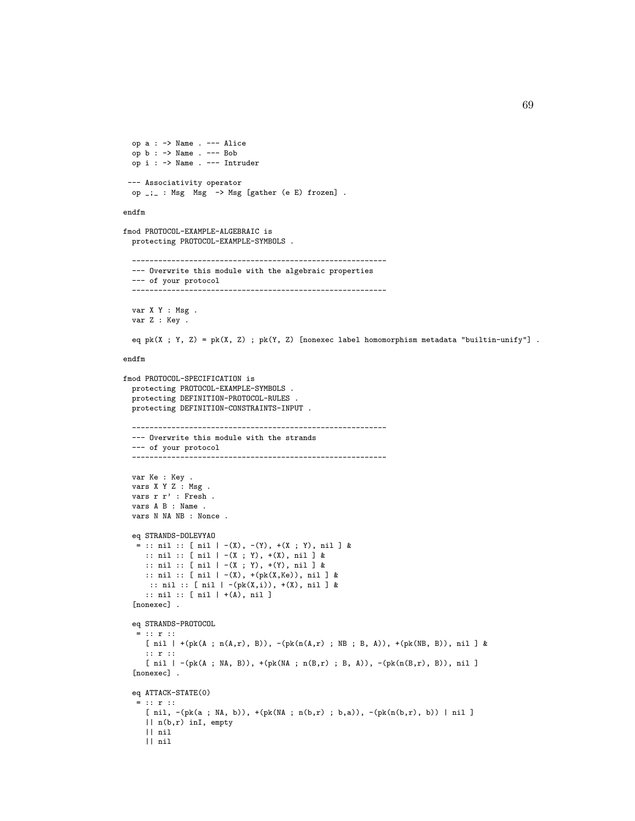```
op a : -> Name . --- Alice
  op b : -> Name . --- Bob
  op i : \rightarrow Name . --- Intruder
 --- Associativity operator
 op _;_ : Msg Msg -> Msg [gather (e E) frozen] .
endfm
fmod PROTOCOL-EXAMPLE-ALGEBRAIC is
 protecting PROTOCOL-EXAMPLE-SYMBOLS .
      ----------------------------------------------------------
  --- Overwrite this module with the algebraic properties
  --- of your protocol
         ----------------------------------------------------------
 var X Y : Msg .
 var Z : Key .
  eq pk(X; Y, Z) = pk(X, Z); pk(Y, Z) [nonexec label homomorphism metadata "builtin-unify"].
endfm
fmod PROTOCOL-SPECIFICATION is
  protecting PROTOCOL-EXAMPLE-SYMBOLS .
  protecting DEFINITION-PROTOCOL-RULES .
 protecting DEFINITION-CONSTRAINTS-INPUT .
                                                 ----------------------------------------------------------
  --- Overwrite this module with the strands
  --- of your protocol
                             ----------------------------------------------------------
  var Ke : Key .
  vars X Y Z : Msg .
  vars r r' : Fresh .
  vars A B : Name .
  vars N NA NB : Nonce .
  eq STRANDS-DOLEVYAO
   = :: nil :: [ nil | -(X), -(Y), +(X ; Y), nil ] &
    :: nil :: [ nil | -(X ; Y), +(X), nil ] &
     :: nil :: [ nil | -(X ; Y), +(Y), nil ] &
     :: nil :: [ nil | -(X), +(pk(X,Ke)), nil ] &
      :: nil :: [ nil | -(pk(X,i)), +(X), nil ] &
     :: nil :: [ nil | +(A), nil ]
  [nonexec] .
  eq STRANDS-PROTOCOL
   = :: \mathtt{r} ::
     [ nil | +(pk(A ; n(A,r), B)), -(pk(n(A,r) ; NB ; B, A)), +(pk(MB, B)), nil ] &
     :: r ::
     [ni] -(pk(A ; NA, B)), +(pk(MA ; n(B,r) ; B, A)), -(pk(n(B,r), B)), nil ]
  [nonexec] .
  eq ATTACK-STATE(0)
   = :: r ::
     [ nil, -(pk(a ; NA, b)), +(pk(MA ; n(b,r) ; b,a)), -(pk(n(b,r), b)) | nil ]
     || n(b,r) inI, empty
     || nil
     || nil
```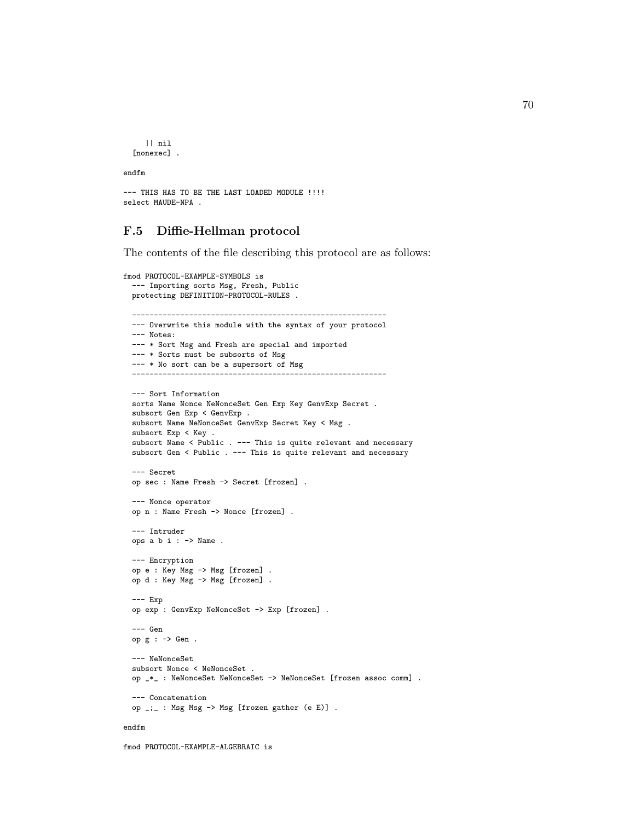```
|| nil
[nonexec] .
```
endfm

```
--- THIS HAS TO BE THE LAST LOADED MODULE !!!!
select MAUDE-NPA .
```
## <span id="page-70-0"></span>F.5 Diffie-Hellman protocol

The contents of the file describing this protocol are as follows:

```
fmod PROTOCOL-EXAMPLE-SYMBOLS is
 --- Importing sorts Msg, Fresh, Public
 protecting DEFINITION-PROTOCOL-RULES .
           ----------------------------------------------------------
 --- Overwrite this module with the syntax of your protocol
 --- Notes:
 --- * Sort Msg and Fresh are special and imported
 --- * Sorts must be subsorts of Msg
 --- * No sort can be a supersort of Msg
 ----------------------------------------------------------
 --- Sort Information
 sorts Name Nonce NeNonceSet Gen Exp Key GenvExp Secret .
 subsort Gen Exp < GenvExp .
 subsort Name NeNonceSet GenvExp Secret Key < Msg .
 subsort Exp < Key .
 subsort Name < Public . --- This is quite relevant and necessary
 subsort Gen < Public . --- This is quite relevant and necessary
 --- Secret
 op sec : Name Fresh -> Secret [frozen] .
 --- Nonce operator
 op n : Name Fresh -> Nonce [frozen] .
 --- Intruder
 ops a b i : -> Name .
 --- Encryption
 op e : Key Msg -> Msg [frozen] .
 op d : Key Msg -> Msg [frozen] .
 --- Exp
 op exp : GenvExp NeNonceSet -> Exp [frozen] .
 --- Gen
 op g : -> Gen .
 --- NeNonceSet
 subsort Nonce < NeNonceSet .
 op _*_ : NeNonceSet NeNonceSet -> NeNonceSet [frozen assoc comm] .
 --- Concatenation
 op _;_ : Msg Msg -> Msg [frozen gather (e E)] .
```
#### endfm

fmod PROTOCOL-EXAMPLE-ALGEBRAIC is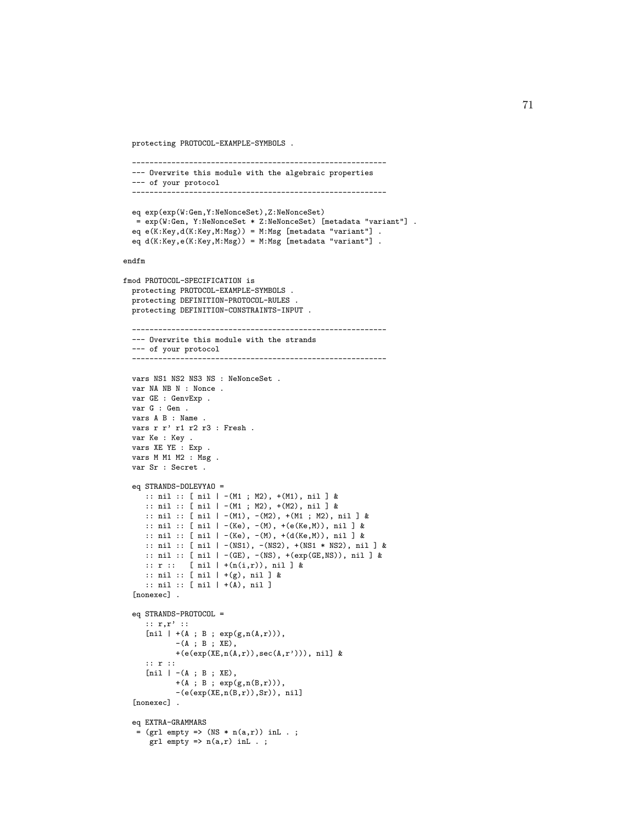protecting PROTOCOL-EXAMPLE-SYMBOLS .

```
----------------------------------------------------------
  --- Overwrite this module with the algebraic properties
 --- of your protocol
         ----------------------------------------------------------
 eq exp(exp(W:Gen,Y:NeNonceSet),Z:NeNonceSet)
  = exp(W:Gen, Y:NeNonceSet * Z:NeNonceSet) [metadata "variant"] .
 eq e(K:Key,d(K:Key,M:Msg)) = M:Msg [metadata "variant"] .
 eq d(K:Key,e(K:Key,M:Msg)) = M:Msg [metadata "variant"] .
endfm
fmod PROTOCOL-SPECIFICATION is
 protecting PROTOCOL-EXAMPLE-SYMBOLS .
 protecting DEFINITION-PROTOCOL-RULES .
 protecting DEFINITION-CONSTRAINTS-INPUT .
  ----------------------------------------------------------
  --- Overwrite this module with the strands
 --- of your protocol<br>---------------------
                       ----------------------------------------------------------
 vars NS1 NS2 NS3 NS : NeNonceSet .
 var NA NB N : Nonce .
 var GE : GenvExp .
 var G : Gen .
 vars A B : Name .
 vars r r' r1 r2 r3 : Fresh .
 var Ke : Key .
 vars XE YE : Exp .
 vars M M1 M2 : Msg .
 var Sr : Secret .
 eq STRANDS-DOLEVYAO =
     :: nil :: [ nil | -(M1 ; M2), +(M1), nil ] &
    :: nil :: [ nil | -(M1 ; M2), +(M2), nil ] &
    :: nil :: [ nil | -(M1), -(M2), +(M1 ; M2), nil ] &
     :: nil :: [ nil | -(Ke), -(M), +(e(Ke,M)), nil ] &
     :: nil :: [ nil | -(Ke), -(M), +(d(Ke,M)), nil ] &
    :: nil :: [ nil | -(NS1), -(NS2), +(NS1 * NS2), nil ] &
    :: nil :: [ nil | -(GE), -(NS), +(exp(GE,NS)), nil ] &
    :: r :: [ nil | +(n(i,r)), nil ] &
     :: nil :: [ nil | +(g), nil ] &
     :: nil :: [ nil | +(A), nil ]
  [nonexec] .
 eq STRANDS-PROTOCOL =
     :: r,r' ::
     [nil | +(A ; B ; exp(g,n(A,r))),-(A ; B ; XE),+(e(exp(XE, n(A, r)), sec(A, r'))), nil &
     :: r ::
     [nil | -(A ; B ; XE),+(A ; B ; exp(g,n(B,r))),-(e(exp(XE, n(B, r)), Sr)), nil]
  [nonexec] .
 eq EXTRA-GRAMMARS
  = (grl empty = \geq (NS * n(a,r)) in L.;
     grl empty \Rightarrow n(a,r) in L.;
```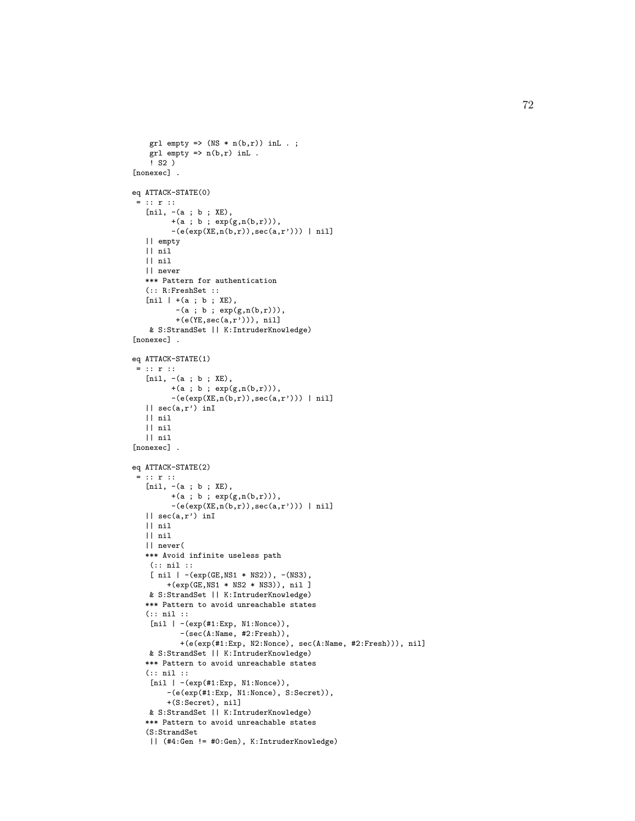```
grl empty => (NS * n(b,r)) inL.;
    gr1 empty => n(b,r) inL.
    ! S2 )
[nonexec] .
eq ATTACK-STATE(0)
 = :: r ::
   [nil, -(a ; b ; XE),
         +(a ; b ; exp(g, n(b,r))),-(e(exp(XE, n(b, r)), sec(a, r'))) | nil]
   || empty
   || nil
   || nil
   || never
   *** Pattern for authentication
   (:: R:FreshSet ::
   [nil | +(a ; b ; XE),-(a ; b ; exp(g, n(b, r))),+(e(YE,sec(a,r'))), nil]
    & S:StrandSet || K:IntruderKnowledge)
[nonexec] .
eq ATTACK-STATE(1)
 = :: r ::
   [nil, -(a ; b ; XE),
        +(a ; b ; exp(g,n(b,r))),
         -(e(exp(XE, n(b, r)), sec(a, r'))) | nil]
   || sec(a,r') inI
   || nil
   || nil
   || nil
[nonexec] .
eq ATTACK-STATE(2)
 = :: \mathtt{r} ::
   [nil, -(a ; b ; XE),
         +(a ; b ; exp(g, n(b, r))),-(e(exp(XE, n(b, r)), sec(a, r'))) | nil]
   || sec(a,r') inI
   || nil
   || nil
   || never(
   *** Avoid infinite useless path
   (::nil ::
    [ nil | -(exp(GE, NS1 * NS2)), -(NS3),
        +(exp(GE,NS1 * NS2 * NS3)), nil ]
    & S:StrandSet || K:IntruderKnowledge)
   *** Pattern to avoid unreachable states
   (:: nil ::
    [nil | -(exp(+1:Exp, N1:Nonce)),
           -(sec(A:Name, #2:Fresh)),
           +(e(exp(#1:Exp, N2:Nonce), sec(A:Name, #2:Fresh))), nil]
    & S:StrandSet || K:IntruderKnowledge)
   *** Pattern to avoid unreachable states
   (:: nil ::
    [nil | -(exp(+1:Exp, N1:Nonce)),
        -(e(exp(#1:Exp, N1:Nonce), S:Secret)),
        +(S:Secret), nil]
    & S:StrandSet || K:IntruderKnowledge)
   *** Pattern to avoid unreachable states
   (S:StrandSet
    || (#4:Gen != #0:Gen), K:IntruderKnowledge)
```